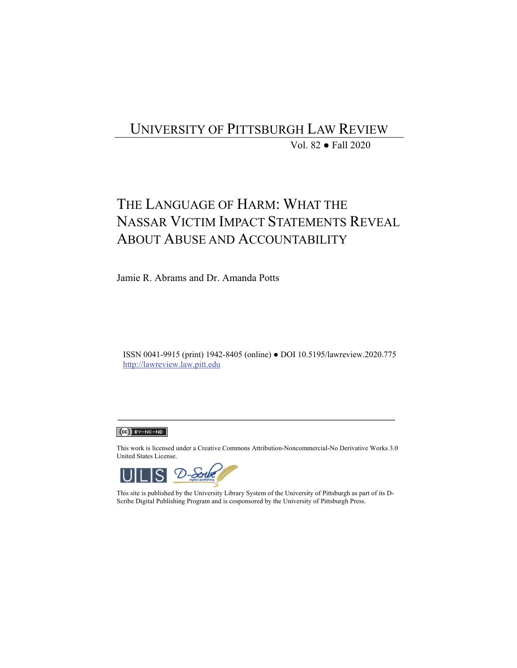# UNIVERSITY OF PITTSBURGH LAW REVIEW

Vol. 82 ● Fall 2020

# THE LANGUAGE OF HARM: WHAT THE NASSAR VICTIM IMPACT STATEMENTS REVEAL ABOUT ABUSE AND ACCOUNTABILITY

Jamie R. Abrams and Dr. Amanda Potts

ISSN 0041-9915 (print) 1942-8405 (online) ● DOI 10.5195/lawreview.2020.775 http://lawreview.law.pitt.edu

# $(G)$  BY-NC-ND

This work is licensed under a Creative Commons Attribution-Noncommercial-No Derivative Works 3.0 United States License.



This site is published by the University Library System of the University of Pittsburgh as part of its D-Scribe Digital Publishing Program and is cosponsored by the University of Pittsburgh Press.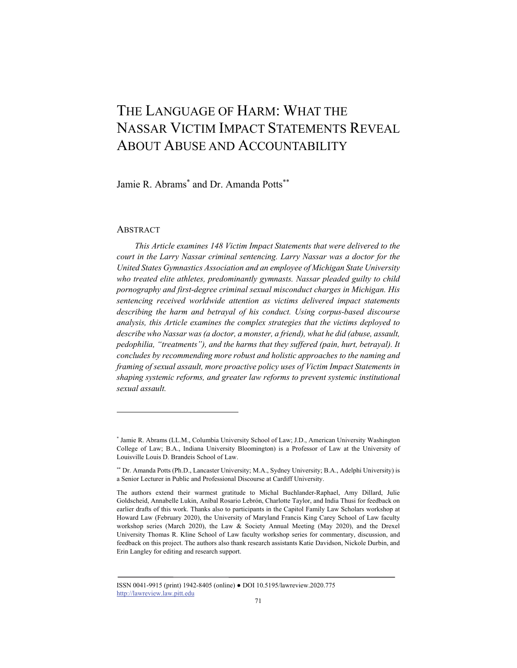# THE LANGUAGE OF HARM: WHAT THE NASSAR VICTIM IMPACT STATEMENTS REVEAL ABOUT ABUSE AND ACCOUNTABILITY

Jamie R. Abrams<sup>\*</sup> and Dr. Amanda Potts<sup>\*\*</sup>

### **ABSTRACT**

l

*This Article examines 148 Victim Impact Statements that were delivered to the court in the Larry Nassar criminal sentencing. Larry Nassar was a doctor for the United States Gymnastics Association and an employee of Michigan State University who treated elite athletes, predominantly gymnasts. Nassar pleaded guilty to child pornography and first-degree criminal sexual misconduct charges in Michigan. His sentencing received worldwide attention as victims delivered impact statements describing the harm and betrayal of his conduct. Using corpus-based discourse analysis, this Article examines the complex strategies that the victims deployed to describe who Nassar was (a doctor, a monster, a friend), what he did (abuse, assault, pedophilia, "treatments"), and the harms that they suffered (pain, hurt, betrayal). It concludes by recommending more robust and holistic approaches to the naming and framing of sexual assault, more proactive policy uses of Victim Impact Statements in shaping systemic reforms, and greater law reforms to prevent systemic institutional sexual assault.*

<sup>\*</sup> Jamie R. Abrams (LL.M., Columbia University School of Law; J.D., American University Washington College of Law; B.A., Indiana University Bloomington) is a Professor of Law at the University of Louisville Louis D. Brandeis School of Law.

<sup>\*\*</sup> Dr. Amanda Potts (Ph.D., Lancaster University; M.A., Sydney University; B.A., Adelphi University) is a Senior Lecturer in Public and Professional Discourse at Cardiff University.

The authors extend their warmest gratitude to Michal Buchlander-Raphael, Amy Dillard, Julie Goldscheid, Annabelle Lukin, Aníbal Rosario Lebrón, Charlotte Taylor, and India Thusi for feedback on earlier drafts of this work. Thanks also to participants in the Capitol Family Law Scholars workshop at Howard Law (February 2020), the University of Maryland Francis King Carey School of Law faculty workshop series (March 2020), the Law & Society Annual Meeting (May 2020), and the Drexel University Thomas R. Kline School of Law faculty workshop series for commentary, discussion, and feedback on this project. The authors also thank research assistants Katie Davidson, Nickole Durbin, and Erin Langley for editing and research support.

ISSN 0041-9915 (print) 1942-8405 (online) ● DOI 10.5195/lawreview.2020.775 http://lawreview.law.pitt.edu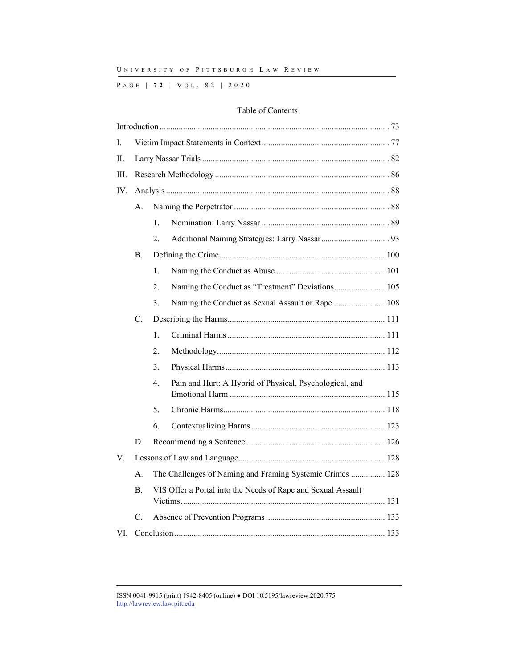U NIVERSITY OF P ITTSBURGH L AW R EVIEW

P AGE | **7 2** | V O L . 8 2 | 2020

## Table of Contents

| L.  |             |                  |                                                              |  |
|-----|-------------|------------------|--------------------------------------------------------------|--|
| II. |             |                  |                                                              |  |
| Ш.  |             |                  |                                                              |  |
| IV. |             |                  |                                                              |  |
|     | А.          |                  |                                                              |  |
|     |             | 1.               |                                                              |  |
|     |             | 2.5              |                                                              |  |
|     | Β.          |                  |                                                              |  |
|     |             | 1.               |                                                              |  |
|     |             | 2.               | Naming the Conduct as "Treatment" Deviations 105             |  |
|     |             | 3.               | Naming the Conduct as Sexual Assault or Rape  108            |  |
|     | C.          |                  |                                                              |  |
|     |             | 1.               |                                                              |  |
|     |             | 2.               |                                                              |  |
|     |             | 3.               |                                                              |  |
|     |             | $\overline{4}$ . | Pain and Hurt: A Hybrid of Physical, Psychological, and      |  |
|     |             | 5.               |                                                              |  |
|     |             | 6.               |                                                              |  |
|     | D.          |                  |                                                              |  |
| V.  |             |                  |                                                              |  |
|     | А.          |                  | The Challenges of Naming and Framing Systemic Crimes  128    |  |
|     | В.          |                  | VIS Offer a Portal into the Needs of Rape and Sexual Assault |  |
|     | $C_{\cdot}$ |                  |                                                              |  |
|     |             |                  |                                                              |  |
| VI. |             |                  |                                                              |  |

ISSN 0041-9915 (print) 1942-8405 (online) ● DOI 10.5195/lawreview.2020.775 http://lawreview.law.pitt.edu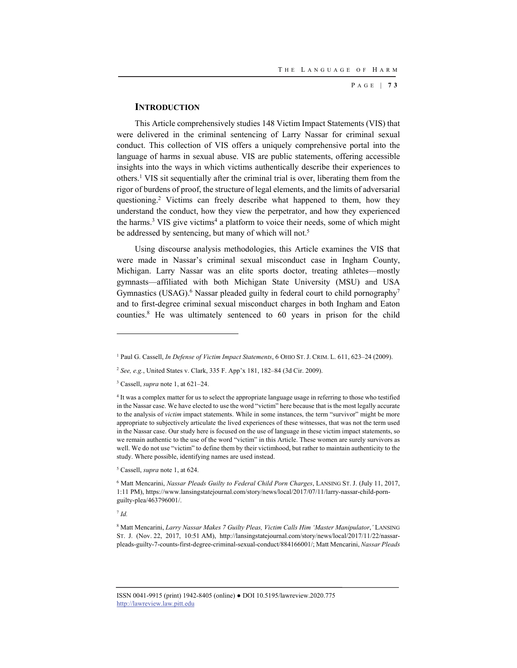P AGE | **7 3**

## **INTRODUCTION**

This Article comprehensively studies 148 Victim Impact Statements (VIS) that were delivered in the criminal sentencing of Larry Nassar for criminal sexual conduct. This collection of VIS offers a uniquely comprehensive portal into the language of harms in sexual abuse. VIS are public statements, offering accessible insights into the ways in which victims authentically describe their experiences to others.1 VIS sit sequentially after the criminal trial is over, liberating them from the rigor of burdens of proof, the structure of legal elements, and the limits of adversarial questioning.<sup>2</sup> Victims can freely describe what happened to them, how they understand the conduct, how they view the perpetrator, and how they experienced the harms.<sup>3</sup> VIS give victims<sup>4</sup> a platform to voice their needs, some of which might be addressed by sentencing, but many of which will not.<sup>5</sup>

Using discourse analysis methodologies, this Article examines the VIS that were made in Nassar's criminal sexual misconduct case in Ingham County, Michigan. Larry Nassar was an elite sports doctor, treating athletes—mostly gymnasts—affiliated with both Michigan State University (MSU) and USA Gymnastics (USAG).<sup>6</sup> Nassar pleaded guilty in federal court to child pornography<sup>7</sup> and to first-degree criminal sexual misconduct charges in both Ingham and Eaton counties.8 He was ultimately sentenced to 60 years in prison for the child

3 Cassell, *supra* note 1, at 621–24.

5 Cassell, *supra* note 1, at 624.

6 Matt Mencarini, *Nassar Pleads Guilty to Federal Child Porn Charges*, LANSING ST. J. (July 11, 2017, 1:11 PM), https://www.lansingstatejournal.com/story/news/local/2017/07/11/larry-nassar-child-pornguilty-plea/463796001/.

 $^7$  *Id.* 

l

8 Matt Mencarini, *Larry Nassar Makes 7 Guilty Pleas, Victim Calls Him 'Master Manipulator*,*'* LANSING ST. J. (Nov. 22, 2017, 10:51 AM), http://lansingstatejournal.com/story/news/local/2017/11/22/nassarpleads-guilty-7-counts-first-degree-criminal-sexual-conduct/884166001/; Matt Mencarini, *Nassar Pleads* 

<sup>&</sup>lt;sup>1</sup> Paul G. Cassell, *In Defense of Victim Impact Statements*, 6 OHIO ST. J. CRIM. L. 611, 623–24 (2009).

<sup>2</sup> *See, e.g.*, United States v. Clark, 335 F. App'x 181, 182–84 (3d Cir. 2009).

<sup>4</sup> It was a complex matter for us to select the appropriate language usage in referring to those who testified in the Nassar case. We have elected to use the word "victim" here because that is the most legally accurate to the analysis of *victim* impact statements. While in some instances, the term "survivor" might be more appropriate to subjectively articulate the lived experiences of these witnesses, that was not the term used in the Nassar case. Our study here is focused on the use of language in these victim impact statements, so we remain authentic to the use of the word "victim" in this Article. These women are surely survivors as well. We do not use "victim" to define them by their victimhood, but rather to maintain authenticity to the study. Where possible, identifying names are used instead.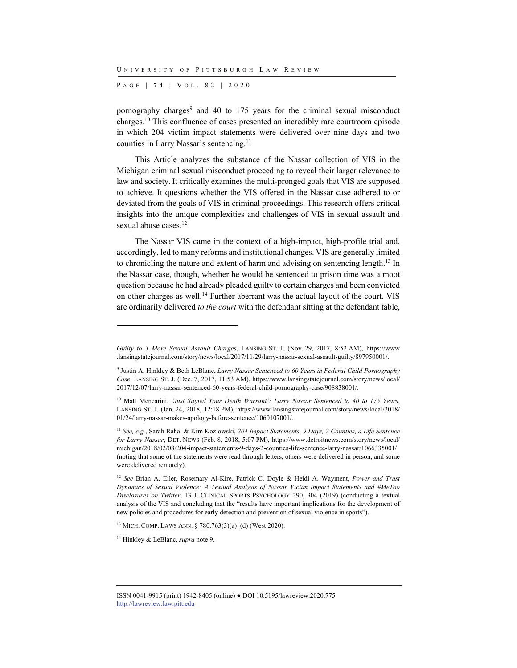P AGE | **7 4** | V O L . 8 2 | 2020

pornography charges<sup>9</sup> and 40 to 175 years for the criminal sexual misconduct charges.10 This confluence of cases presented an incredibly rare courtroom episode in which 204 victim impact statements were delivered over nine days and two counties in Larry Nassar's sentencing.<sup>11</sup>

This Article analyzes the substance of the Nassar collection of VIS in the Michigan criminal sexual misconduct proceeding to reveal their larger relevance to law and society. It critically examines the multi-pronged goals that VIS are supposed to achieve. It questions whether the VIS offered in the Nassar case adhered to or deviated from the goals of VIS in criminal proceedings. This research offers critical insights into the unique complexities and challenges of VIS in sexual assault and sexual abuse cases.<sup>12</sup>

The Nassar VIS came in the context of a high-impact, high-profile trial and, accordingly, led to many reforms and institutional changes. VIS are generally limited to chronicling the nature and extent of harm and advising on sentencing length.13 In the Nassar case, though, whether he would be sentenced to prison time was a moot question because he had already pleaded guilty to certain charges and been convicted on other charges as well.<sup>14</sup> Further aberrant was the actual layout of the court. VIS are ordinarily delivered *to the court* with the defendant sitting at the defendant table,

14 Hinkley & LeBlanc, *supra* note 9.

*Guilty to 3 More Sexual Assault Charges*, LANSING ST. J. (Nov. 29, 2017, 8:52 AM), https://www .lansingstatejournal.com/story/news/local/2017/11/29/larry-nassar-sexual-assault-guilty/897950001/.

<sup>9</sup> Justin A. Hinkley & Beth LeBlanc, *Larry Nassar Sentenced to 60 Years in Federal Child Pornography Case*, LANSING ST. J. (Dec. 7, 2017, 11:53 AM), https://www.lansingstatejournal.com/story/news/local/ 2017/12/07/larry-nassar-sentenced-60-years-federal-child-pornography-case/908838001/.

<sup>10</sup> Matt Mencarini, *'Just Signed Your Death Warrant': Larry Nassar Sentenced to 40 to 175 Years*, LANSING ST. J. (Jan. 24, 2018, 12:18 PM), https://www.lansingstatejournal.com/story/news/local/2018/ 01/24/larry-nassar-makes-apology-before-sentence/1060107001/.

<sup>11</sup> *See, e.g.*, Sarah Rahal & Kim Kozlowski, *204 Impact Statements, 9 Days, 2 Counties, a Life Sentence for Larry Nassar*, DET. NEWS (Feb. 8, 2018, 5:07 PM), https://www.detroitnews.com/story/news/local/ michigan/2018/02/08/204-impact-statements-9-days-2-counties-life-sentence-larry-nassar/1066335001/ (noting that some of the statements were read through letters, others were delivered in person, and some were delivered remotely).

<sup>12</sup> *See* Brian A. Eiler, Rosemary Al-Kire, Patrick C. Doyle & Heidi A. Wayment, *Power and Trust Dynamics of Sexual Violence: A Textual Analysis of Nassar Victim Impact Statements and #MeToo Disclosures on Twitter*, 13 J. CLINICAL SPORTS PSYCHOLOGY 290, 304 (2019) (conducting a textual analysis of the VIS and concluding that the "results have important implications for the development of new policies and procedures for early detection and prevention of sexual violence in sports").

<sup>13</sup> MICH. COMP. LAWS ANN. § 780.763(3)(a)–(d) (West 2020).

ISSN 0041-9915 (print) 1942-8405 (online) ● DOI 10.5195/lawreview.2020.775 http://lawreview.law.pitt.edu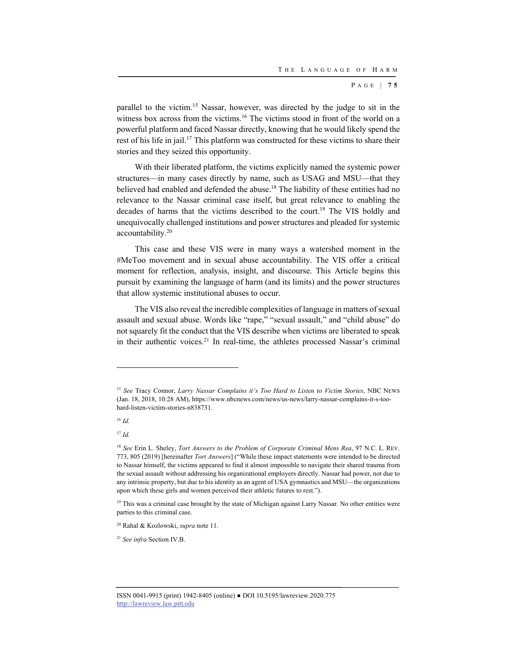P AGE | **7 5**

parallel to the victim.<sup>15</sup> Nassar, however, was directed by the judge to sit in the witness box across from the victims.<sup>16</sup> The victims stood in front of the world on a powerful platform and faced Nassar directly, knowing that he would likely spend the rest of his life in jail.17 This platform was constructed for these victims to share their stories and they seized this opportunity.

With their liberated platform, the victims explicitly named the systemic power structures—in many cases directly by name, such as USAG and MSU—that they believed had enabled and defended the abuse.<sup>18</sup> The liability of these entities had no relevance to the Nassar criminal case itself, but great relevance to enabling the decades of harms that the victims described to the court.19 The VIS boldly and unequivocally challenged institutions and power structures and pleaded for systemic accountability.20

This case and these VIS were in many ways a watershed moment in the #MeToo movement and in sexual abuse accountability. The VIS offer a critical moment for reflection, analysis, insight, and discourse. This Article begins this pursuit by examining the language of harm (and its limits) and the power structures that allow systemic institutional abuses to occur.

The VIS also reveal the incredible complexities of language in matters of sexual assault and sexual abuse. Words like "rape," "sexual assault," and "child abuse" do not squarely fit the conduct that the VIS describe when victims are liberated to speak in their authentic voices.<sup>21</sup> In real-time, the athletes processed Nassar's criminal

<sup>15</sup> *See* Tracy Connor, *Larry Nassar Complains it's Too Hard to Listen to Victim Stories*, NBC NEWS (Jan. 18, 2018, 10:28 AM), https://www.nbcnews.com/news/us-news/larry-nassar-complains-it-s-toohard-listen-victim-stories-n838731.

<sup>16</sup> *Id.*

<sup>17</sup> *Id.*

<sup>18</sup> *See* Erin L. Sheley, *Tort Answers to the Problem of Corporate Criminal Mens Rea*, 97 N.C. L. REV. 773, 805 (2019) [hereinafter *Tort Answers*] ("While these impact statements were intended to be directed to Nassar himself, the victims appeared to find it almost impossible to navigate their shared trauma from the sexual assault without addressing his organizational employers directly. Nassar had power, not due to any intrinsic property, but due to his identity as an agent of USA gymnastics and MSU—the organizations upon which these girls and women perceived their athletic futures to rest.").

<sup>&</sup>lt;sup>19</sup> This was a criminal case brought by the state of Michigan against Larry Nassar. No other entities were parties to this criminal case.

<sup>20</sup> Rahal & Kozlowski, *supra* note 11.

<sup>21</sup> *See infra* Section IV.B.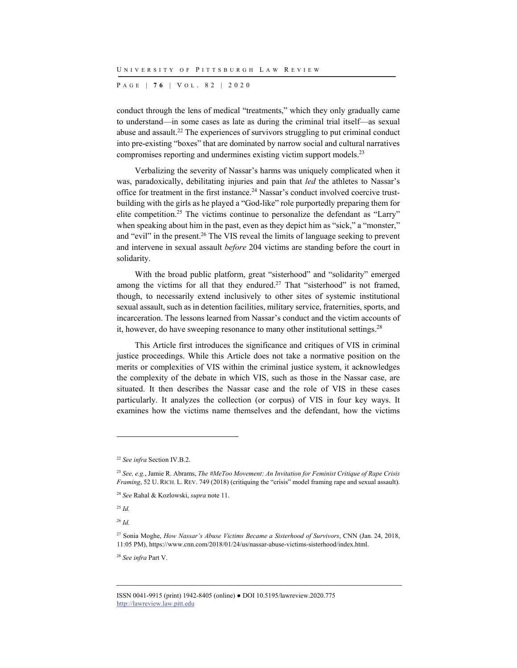P AGE | **7 6** | V O L . 8 2 | 2020

conduct through the lens of medical "treatments," which they only gradually came to understand—in some cases as late as during the criminal trial itself—as sexual abuse and assault.<sup>22</sup> The experiences of survivors struggling to put criminal conduct into pre-existing "boxes" that are dominated by narrow social and cultural narratives compromises reporting and undermines existing victim support models.23

Verbalizing the severity of Nassar's harms was uniquely complicated when it was, paradoxically, debilitating injuries and pain that *led* the athletes to Nassar's office for treatment in the first instance.<sup>24</sup> Nassar's conduct involved coercive trustbuilding with the girls as he played a "God-like" role purportedly preparing them for elite competition.<sup>25</sup> The victims continue to personalize the defendant as "Larry" when speaking about him in the past, even as they depict him as "sick," a "monster," and "evil" in the present.26 The VIS reveal the limits of language seeking to prevent and intervene in sexual assault *before* 204 victims are standing before the court in solidarity.

With the broad public platform, great "sisterhood" and "solidarity" emerged among the victims for all that they endured.<sup>27</sup> That "sisterhood" is not framed, though, to necessarily extend inclusively to other sites of systemic institutional sexual assault, such as in detention facilities, military service, fraternities, sports, and incarceration. The lessons learned from Nassar's conduct and the victim accounts of it, however, do have sweeping resonance to many other institutional settings.<sup>28</sup>

This Article first introduces the significance and critiques of VIS in criminal justice proceedings. While this Article does not take a normative position on the merits or complexities of VIS within the criminal justice system, it acknowledges the complexity of the debate in which VIS, such as those in the Nassar case, are situated. It then describes the Nassar case and the role of VIS in these cases particularly. It analyzes the collection (or corpus) of VIS in four key ways. It examines how the victims name themselves and the defendant, how the victims

<sup>25</sup> *Id.*

l

<sup>26</sup> *Id.*

<sup>22</sup> *See infra* Section IV.B.2.

<sup>23</sup> *See, e.g.*, Jamie R. Abrams, *The #MeToo Movement: An Invitation for Feminist Critique of Rape Crisis Framing*, 52 U. RICH. L. REV. 749 (2018) (critiquing the "crisis" model framing rape and sexual assault).

<sup>24</sup> *See* Rahal & Kozlowski, *supra* note 11.

<sup>27</sup> Sonia Moghe, *How Nassar's Abuse Victims Became a Sisterhood of Survivors*, CNN (Jan. 24, 2018, 11:05 PM), https://www.cnn.com/2018/01/24/us/nassar-abuse-victims-sisterhood/index.html.

<sup>28</sup> *See infra* Part V.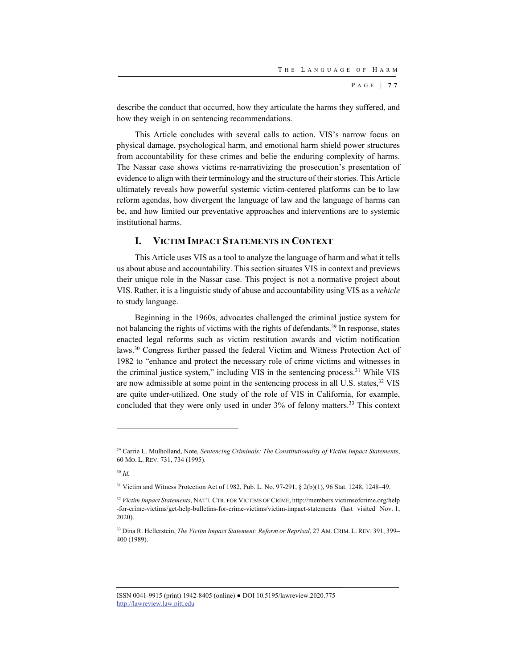P AGE | **7 7**

describe the conduct that occurred, how they articulate the harms they suffered, and how they weigh in on sentencing recommendations.

This Article concludes with several calls to action. VIS's narrow focus on physical damage, psychological harm, and emotional harm shield power structures from accountability for these crimes and belie the enduring complexity of harms. The Nassar case shows victims re-narrativizing the prosecution's presentation of evidence to align with their terminology and the structure of their stories. This Article ultimately reveals how powerful systemic victim-centered platforms can be to law reform agendas, how divergent the language of law and the language of harms can be, and how limited our preventative approaches and interventions are to systemic institutional harms.

# **I. VICTIM IMPACT STATEMENTS IN CONTEXT**

This Article uses VIS as a tool to analyze the language of harm and what it tells us about abuse and accountability. This section situates VIS in context and previews their unique role in the Nassar case. This project is not a normative project about VIS. Rather, it is a linguistic study of abuse and accountability using VIS as a *vehicle* to study language.

Beginning in the 1960s, advocates challenged the criminal justice system for not balancing the rights of victims with the rights of defendants.29 In response, states enacted legal reforms such as victim restitution awards and victim notification laws.30 Congress further passed the federal Victim and Witness Protection Act of 1982 to "enhance and protect the necessary role of crime victims and witnesses in the criminal justice system," including VIS in the sentencing process.<sup>31</sup> While VIS are now admissible at some point in the sentencing process in all U.S. states, $32$  VIS are quite under-utilized. One study of the role of VIS in California, for example, concluded that they were only used in under 3% of felony matters.<sup>33</sup> This context

<sup>30</sup> *Id.*

<sup>29</sup> Carrie L. Mulholland, Note, *Sentencing Criminals: The Constitutionality of Victim Impact Statements*, 60 MO. L. REV. 731, 734 (1995).

<sup>31</sup> Victim and Witness Protection Act of 1982, Pub. L. No. 97-291, § 2(b)(1), 96 Stat. 1248, 1248–49.

<sup>32</sup> *Victim Impact Statements*, NAT'L CTR. FOR VICTIMS OF CRIME, http://members.victimsofcrime.org/help -for-crime-victims/get-help-bulletins-for-crime-victims/victim-impact-statements (last visited Nov. 1, 2020).

<sup>33</sup> Dina R. Hellerstein, *The Victim Impact Statement: Reform or Reprisal*, 27 AM.CRIM. L.REV. 391, 399– 400 (1989).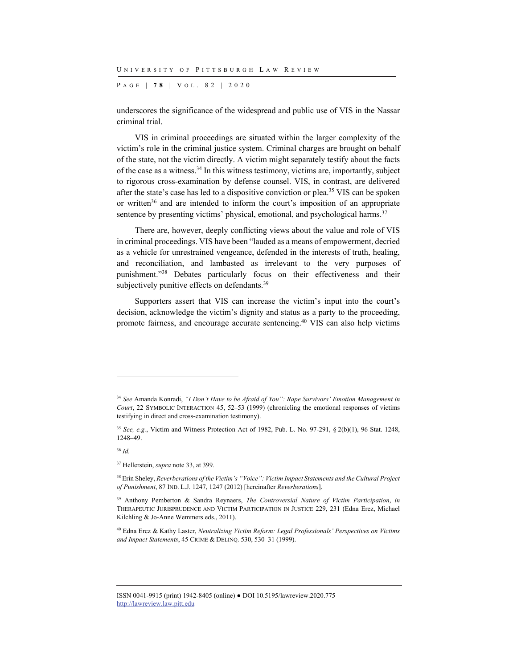P AGE | **7 8** | V O L . 8 2 | 2020

underscores the significance of the widespread and public use of VIS in the Nassar criminal trial.

VIS in criminal proceedings are situated within the larger complexity of the victim's role in the criminal justice system. Criminal charges are brought on behalf of the state, not the victim directly. A victim might separately testify about the facts of the case as a witness.34 In this witness testimony, victims are, importantly, subject to rigorous cross-examination by defense counsel. VIS, in contrast, are delivered after the state's case has led to a dispositive conviction or plea.35 VIS can be spoken or written<sup>36</sup> and are intended to inform the court's imposition of an appropriate sentence by presenting victims' physical, emotional, and psychological harms.<sup>37</sup>

There are, however, deeply conflicting views about the value and role of VIS in criminal proceedings. VIS have been "lauded as a means of empowerment, decried as a vehicle for unrestrained vengeance, defended in the interests of truth, healing, and reconciliation, and lambasted as irrelevant to the very purposes of punishment."38 Debates particularly focus on their effectiveness and their subjectively punitive effects on defendants.<sup>39</sup>

Supporters assert that VIS can increase the victim's input into the court's decision, acknowledge the victim's dignity and status as a party to the proceeding, promote fairness, and encourage accurate sentencing.40 VIS can also help victims

<sup>36</sup> *Id.*

l

37 Hellerstein, *supra* note 33, at 399.

<sup>34</sup> *See* Amanda Konradi, *"I Don't Have to be Afraid of You": Rape Survivors' Emotion Management in Court*, 22 SYMBOLIC INTERACTION 45, 52–53 (1999) (chronicling the emotional responses of victims testifying in direct and cross-examination testimony).

<sup>35</sup> *See, e.g.*, Victim and Witness Protection Act of 1982, Pub. L. No. 97-291, § 2(b)(1), 96 Stat. 1248, 1248–49.

<sup>38</sup> Erin Sheley, *Reverberations of the Victim's "Voice": Victim Impact Statements and the Cultural Project of Punishment*, 87 IND. L.J. 1247, 1247 (2012) [hereinafter *Reverberations*].

<sup>39</sup> Anthony Pemberton & Sandra Reynaers, *The Controversial Nature of Victim Participation*, *in* THERAPEUTIC JURISPRUDENCE AND VICTIM PARTICIPATION IN JUSTICE 229, 231 (Edna Erez, Michael Kilchling & Jo-Anne Wemmers eds., 2011).

<sup>40</sup> Edna Erez & Kathy Laster, *Neutralizing Victim Reform: Legal Professionals' Perspectives on Victims and Impact Statements*, 45 CRIME & DELINQ. 530, 530–31 (1999).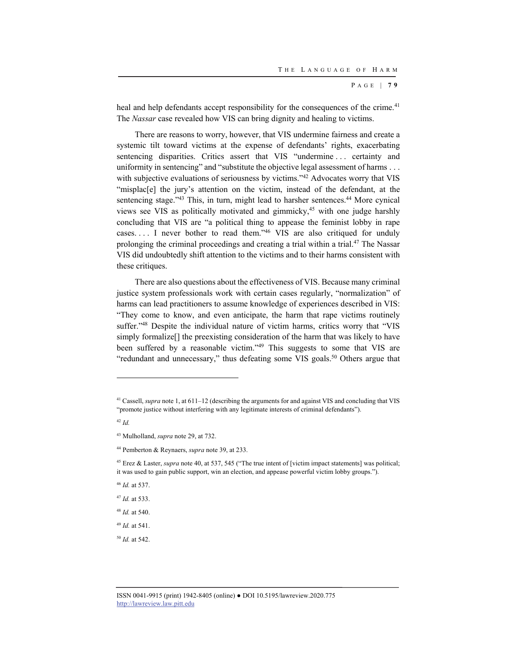P AGE | **7 9**

heal and help defendants accept responsibility for the consequences of the crime.<sup>41</sup> The *Nassar* case revealed how VIS can bring dignity and healing to victims.

There are reasons to worry, however, that VIS undermine fairness and create a systemic tilt toward victims at the expense of defendants' rights, exacerbating sentencing disparities. Critics assert that VIS "undermine ... certainty and uniformity in sentencing" and "substitute the objective legal assessment of harms . . . with subjective evaluations of seriousness by victims."<sup>42</sup> Advocates worry that VIS "misplac<sup>[e]</sup> the jury's attention on the victim, instead of the defendant, at the sentencing stage."<sup>43</sup> This, in turn, might lead to harsher sentences.<sup>44</sup> More cynical views see VIS as politically motivated and gimmicky,<sup>45</sup> with one judge harshly concluding that VIS are "a political thing to appease the feminist lobby in rape cases. . . . I never bother to read them."46 VIS are also critiqued for unduly prolonging the criminal proceedings and creating a trial within a trial.47 The Nassar VIS did undoubtedly shift attention to the victims and to their harms consistent with these critiques.

There are also questions about the effectiveness of VIS. Because many criminal justice system professionals work with certain cases regularly, "normalization" of harms can lead practitioners to assume knowledge of experiences described in VIS: "They come to know, and even anticipate, the harm that rape victims routinely suffer."<sup>48</sup> Despite the individual nature of victim harms, critics worry that "VIS simply formalize[] the preexisting consideration of the harm that was likely to have been suffered by a reasonable victim."49 This suggests to some that VIS are "redundant and unnecessary," thus defeating some VIS goals.<sup>50</sup> Others argue that

- <sup>46</sup> *Id.* at 537.
- <sup>47</sup> *Id.* at 533.
- <sup>48</sup> *Id.* at 540.
- <sup>49</sup> *Id.* at 541.
- <sup>50</sup> *Id.* at 542.

<sup>41</sup> Cassell, *supra* note 1, at 611–12 (describing the arguments for and against VIS and concluding that VIS "promote justice without interfering with any legitimate interests of criminal defendants").

<sup>42</sup> *Id.*

<sup>43</sup> Mulholland, *supra* note 29, at 732.

<sup>44</sup> Pemberton & Reynaers, *supra* note 39, at 233.

<sup>45</sup> Erez & Laster, *supra* note 40, at 537, 545 ("The true intent of [victim impact statements] was political; it was used to gain public support, win an election, and appease powerful victim lobby groups.").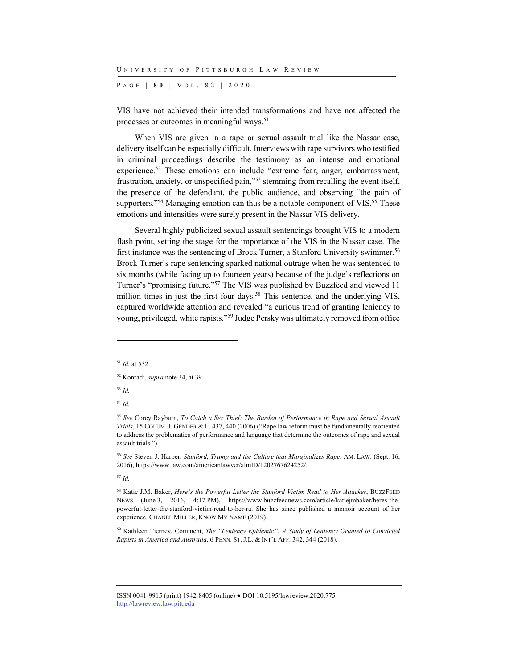P AGE | **8 0** | V O L . 8 2 | 2020

VIS have not achieved their intended transformations and have not affected the processes or outcomes in meaningful ways.<sup>51</sup>

When VIS are given in a rape or sexual assault trial like the Nassar case, delivery itself can be especially difficult. Interviews with rape survivors who testified in criminal proceedings describe the testimony as an intense and emotional experience.<sup>52</sup> These emotions can include "extreme fear, anger, embarrassment, frustration, anxiety, or unspecified pain,"53 stemming from recalling the event itself, the presence of the defendant, the public audience, and observing "the pain of supporters."<sup>54</sup> Managing emotion can thus be a notable component of VIS.<sup>55</sup> These emotions and intensities were surely present in the Nassar VIS delivery.

Several highly publicized sexual assault sentencings brought VIS to a modern flash point, setting the stage for the importance of the VIS in the Nassar case. The first instance was the sentencing of Brock Turner, a Stanford University swimmer.<sup>56</sup> Brock Turner's rape sentencing sparked national outrage when he was sentenced to six months (while facing up to fourteen years) because of the judge's reflections on Turner's "promising future."57 The VIS was published by Buzzfeed and viewed 11 million times in just the first four days.<sup>58</sup> This sentence, and the underlying VIS, captured worldwide attention and revealed "a curious trend of granting leniency to young, privileged, white rapists."59 Judge Persky was ultimately removed from office

l

<sup>54</sup> *Id.*

<sup>57</sup> *Id.*

<sup>51</sup> *Id.* at 532.

<sup>52</sup> Konradi, *supra* note 34, at 39.

<sup>53</sup> *Id.*

<sup>55</sup> *See* Corey Rayburn, *To Catch a Sex Thief: The Burden of Performance in Rape and Sexual Assault Trials*, 15 COLUM.J. GENDER & L. 437, 440 (2006) ("Rape law reform must be fundamentally reoriented to address the problematics of performance and language that determine the outcomes of rape and sexual assault trials.").

<sup>56</sup> *See* Steven J. Harper, *Stanford, Trump and the Culture that Marginalizes Rape*, AM. LAW. (Sept. 16, 2016), https://www.law.com/americanlawyer/almID/1202767624252/.

<sup>58</sup> Katie J.M. Baker, *Here's the Powerful Letter the Stanford Victim Read to Her Attacker*, BUZZFEED NEWS (June 3, 2016, 4:17 PM), https://www.buzzfeednews.com/article/katiejmbaker/heres-thepowerful-letter-the-stanford-victim-read-to-her-ra. She has since published a memoir account of her experience. CHANEL MILLER, KNOW MY NAME (2019).

<sup>59</sup> Kathleen Tierney, Comment, *The "Leniency Epidemic": A Study of Leniency Granted to Convicted Rapists in America and Australia*, 6 PENN. ST. J.L. & INT'L AFF. 342, 344 (2018).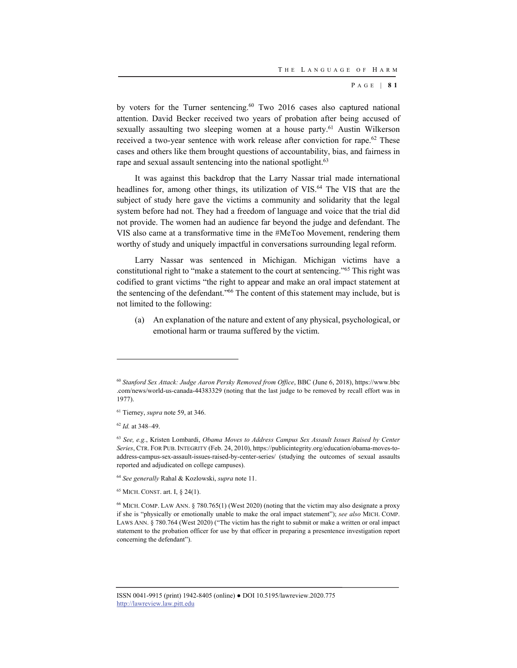P AGE | **8 1**

by voters for the Turner sentencing.<sup>60</sup> Two 2016 cases also captured national attention. David Becker received two years of probation after being accused of sexually assaulting two sleeping women at a house party.<sup>61</sup> Austin Wilkerson received a two-year sentence with work release after conviction for rape.<sup>62</sup> These cases and others like them brought questions of accountability, bias, and fairness in rape and sexual assault sentencing into the national spotlight.<sup>63</sup>

It was against this backdrop that the Larry Nassar trial made international headlines for, among other things, its utilization of VIS.<sup>64</sup> The VIS that are the subject of study here gave the victims a community and solidarity that the legal system before had not. They had a freedom of language and voice that the trial did not provide. The women had an audience far beyond the judge and defendant. The VIS also came at a transformative time in the #MeToo Movement, rendering them worthy of study and uniquely impactful in conversations surrounding legal reform.

Larry Nassar was sentenced in Michigan. Michigan victims have a constitutional right to "make a statement to the court at sentencing."65 This right was codified to grant victims "the right to appear and make an oral impact statement at the sentencing of the defendant."66 The content of this statement may include, but is not limited to the following:

(a) An explanation of the nature and extent of any physical, psychological, or emotional harm or trauma suffered by the victim.

<sup>60</sup> *Stanford Sex Attack: Judge Aaron Persky Removed from Office*, BBC (June 6, 2018), https://www.bbc .com/news/world-us-canada-44383329 (noting that the last judge to be removed by recall effort was in 1977).

<sup>61</sup> Tierney, *supra* note 59, at 346.

<sup>62</sup> *Id.* at 348–49.

<sup>63</sup> *See, e.g.*, Kristen Lombardi, *Obama Moves to Address Campus Sex Assault Issues Raised by Center Series*, CTR. FOR PUB. INTEGRITY (Feb. 24, 2010), https://publicintegrity.org/education/obama-moves-toaddress-campus-sex-assault-issues-raised-by-center-series/ (studying the outcomes of sexual assaults reported and adjudicated on college campuses).

<sup>64</sup> *See generally* Rahal & Kozlowski, *supra* note 11.

<sup>65</sup> MICH. CONST. art. I, § 24(1).

<sup>&</sup>lt;sup>66</sup> MICH. COMP. LAW ANN. § 780.765(1) (West 2020) (noting that the victim may also designate a proxy if she is "physically or emotionally unable to make the oral impact statement"); *see also* MICH. COMP. LAWS ANN. § 780.764 (West 2020) ("The victim has the right to submit or make a written or oral impact statement to the probation officer for use by that officer in preparing a presentence investigation report concerning the defendant").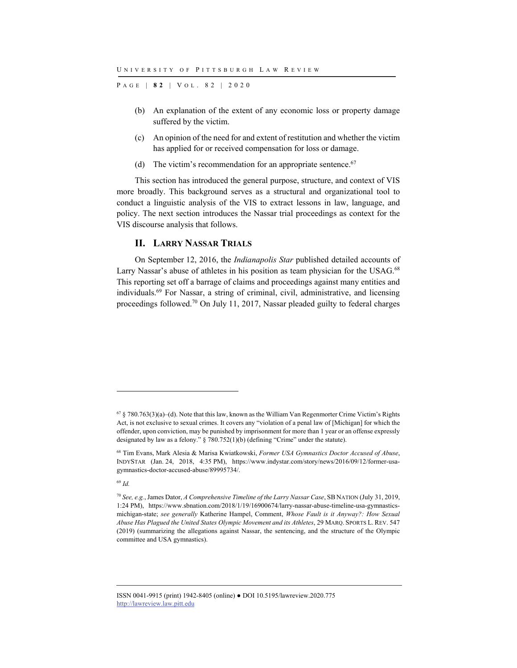P AGE | **8 2** | V O L . 8 2 | 2020

- (b) An explanation of the extent of any economic loss or property damage suffered by the victim.
- (c) An opinion of the need for and extent of restitution and whether the victim has applied for or received compensation for loss or damage.
- (d) The victim's recommendation for an appropriate sentence. $67$

This section has introduced the general purpose, structure, and context of VIS more broadly. This background serves as a structural and organizational tool to conduct a linguistic analysis of the VIS to extract lessons in law, language, and policy. The next section introduces the Nassar trial proceedings as context for the VIS discourse analysis that follows.

## **II. LARRY NASSAR TRIALS**

On September 12, 2016, the *Indianapolis Star* published detailed accounts of Larry Nassar's abuse of athletes in his position as team physician for the USAG.<sup>68</sup> This reporting set off a barrage of claims and proceedings against many entities and individuals.69 For Nassar, a string of criminal, civil, administrative, and licensing proceedings followed.70 On July 11, 2017, Nassar pleaded guilty to federal charges

l

 $67 \frac{\pi}{3}$  780.763(3)(a)–(d). Note that this law, known as the William Van Regenmorter Crime Victim's Rights Act, is not exclusive to sexual crimes. It covers any "violation of a penal law of [Michigan] for which the offender, upon conviction, may be punished by imprisonment for more than 1 year or an offense expressly designated by law as a felony." § 780.752(1)(b) (defining "Crime" under the statute).

<sup>68</sup> Tim Evans, Mark Alesia & Marisa Kwiatkowski, *Former USA Gymnastics Doctor Accused of Abuse*, INDYSTAR (Jan. 24, 2018, 4:35 PM), https://www.indystar.com/story/news/2016/09/12/former-usagymnastics-doctor-accused-abuse/89995734/.

<sup>69</sup> *Id.*

<sup>70</sup> *See, e.g.*, James Dator, *A Comprehensive Timeline of the Larry Nassar Case*, SB NATION (July 31, 2019, 1:24 PM), https://www.sbnation.com/2018/1/19/16900674/larry-nassar-abuse-timeline-usa-gymnasticsmichigan-state; *see generally* Katherine Hampel, Comment, *Whose Fault is it Anyway?: How Sexual Abuse Has Plagued the United States Olympic Movement and its Athletes*, 29 MARQ. SPORTS L. REV. 547 (2019) (summarizing the allegations against Nassar, the sentencing, and the structure of the Olympic committee and USA gymnastics).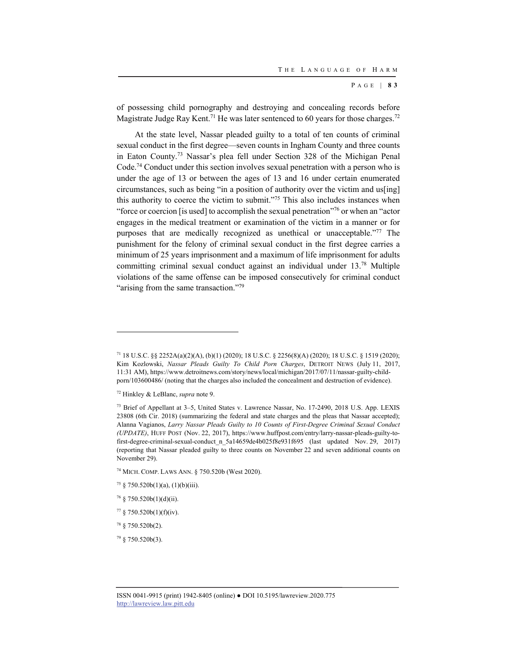P AGE | **8 3**

of possessing child pornography and destroying and concealing records before Magistrate Judge Ray Kent.<sup>71</sup> He was later sentenced to 60 years for those charges.<sup>72</sup>

At the state level, Nassar pleaded guilty to a total of ten counts of criminal sexual conduct in the first degree—seven counts in Ingham County and three counts in Eaton County.73 Nassar's plea fell under Section 328 of the Michigan Penal Code.74 Conduct under this section involves sexual penetration with a person who is under the age of 13 or between the ages of 13 and 16 under certain enumerated circumstances, such as being "in a position of authority over the victim and us[ing] this authority to coerce the victim to submit."75 This also includes instances when "force or coercion [is used] to accomplish the sexual penetration"76 or when an "actor engages in the medical treatment or examination of the victim in a manner or for purposes that are medically recognized as unethical or unacceptable."77 The punishment for the felony of criminal sexual conduct in the first degree carries a minimum of 25 years imprisonment and a maximum of life imprisonment for adults committing criminal sexual conduct against an individual under 13.78 Multiple violations of the same offense can be imposed consecutively for criminal conduct "arising from the same transaction."<sup>79</sup>

74 MICH. COMP. LAWS ANN. § 750.520b (West 2020).

- $75 \S$  750.520b(1)(a), (1)(b)(iii).
- $76 \& 750.520b(1)(d)(ii)$ .
- $77 \& 750.520b(1)(f)(iv).$

<sup>71 18</sup> U.S.C. §§ 2252A(a)(2)(A), (b)(1) (2020); 18 U.S.C. § 2256(8)(A) (2020); 18 U.S.C. § 1519 (2020); Kim Kozlowski, *Nassar Pleads Guilty To Child Porn Charges*, DETROIT NEWS (July 11, 2017, 11:31 AM), https://www.detroitnews.com/story/news/local/michigan/2017/07/11/nassar-guilty-childporn/103600486/ (noting that the charges also included the concealment and destruction of evidence).

<sup>72</sup> Hinkley & LeBlanc, *supra* note 9.

<sup>73</sup> Brief of Appellant at 3–5, United States v. Lawrence Nassar, No. 17-2490, 2018 U.S. App. LEXIS 23808 (6th Cir. 2018) (summarizing the federal and state charges and the pleas that Nassar accepted); Alanna Vagianos, *Larry Nassar Pleads Guilty to 10 Counts of First-Degree Criminal Sexual Conduct (UPDATE)*, HUFF POST (Nov. 22, 2017), https://www.huffpost.com/entry/larry-nassar-pleads-guilty-tofirst-degree-criminal-sexual-conduct\_n\_5a14659de4b025f8e931f695 (last updated Nov. 29, 2017) (reporting that Nassar pleaded guilty to three counts on November 22 and seven additional counts on November 29).

<sup>78 § 750.520</sup>b(2).

 $79 \text{ } $750.520b(3)$ .

ISSN 0041-9915 (print) 1942-8405 (online) ● DOI 10.5195/lawreview.2020.775 http://lawreview.law.pitt.edu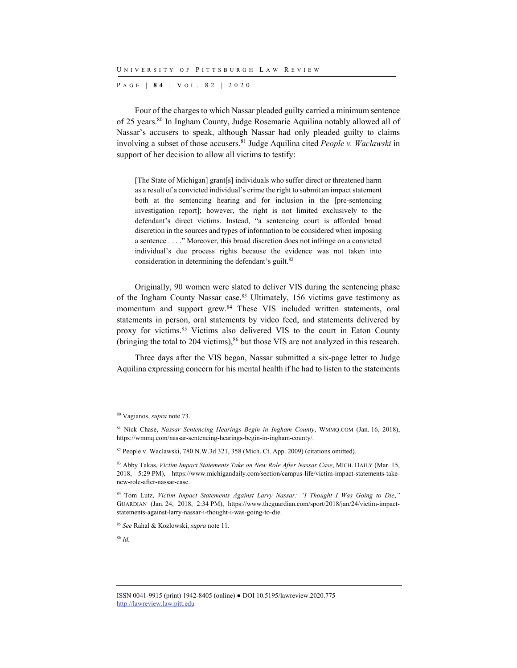P AGE | **8 4** | V O L . 8 2 | 2020

Four of the charges to which Nassar pleaded guilty carried a minimum sentence of 25 years.<sup>80</sup> In Ingham County, Judge Rosemarie Aquilina notably allowed all of Nassar's accusers to speak, although Nassar had only pleaded guilty to claims involving a subset of those accusers.81 Judge Aquilina cited *People v. Waclawski* in support of her decision to allow all victims to testify:

[The State of Michigan] grant[s] individuals who suffer direct or threatened harm as a result of a convicted individual's crime the right to submit an impact statement both at the sentencing hearing and for inclusion in the [pre-sentencing investigation report]; however, the right is not limited exclusively to the defendant's direct victims. Instead, "a sentencing court is afforded broad discretion in the sources and types of information to be considered when imposing a sentence . . . ." Moreover, this broad discretion does not infringe on a convicted individual's due process rights because the evidence was not taken into consideration in determining the defendant's guilt.<sup>82</sup>

Originally, 90 women were slated to deliver VIS during the sentencing phase of the Ingham County Nassar case.83 Ultimately, 156 victims gave testimony as momentum and support grew.<sup>84</sup> These VIS included written statements, oral statements in person, oral statements by video feed, and statements delivered by proxy for victims.85 Victims also delivered VIS to the court in Eaton County (bringing the total to 204 victims),<sup>86</sup> but those VIS are not analyzed in this research.

Three days after the VIS began, Nassar submitted a six-page letter to Judge Aquilina expressing concern for his mental health if he had to listen to the statements

<sup>85</sup> *See* Rahal & Kozlowski, *supra* note 11.

<sup>86</sup> *Id.*

<sup>80</sup> Vagianos, *supra* note 73.

<sup>81</sup> Nick Chase, *Nassar Sentencing Hearings Begin in Ingham County*, WMMQ.COM (Jan. 16, 2018), https://wmmq.com/nassar-sentencing-hearings-begin-in-ingham-county/.

 $82$  People v. Waclawski, 780 N.W.3d 321, 358 (Mich. Ct. App. 2009) (citations omitted).

<sup>83</sup> Abby Takas, *Victim Impact Statements Take on New Role After Nassar Case*, MICH. DAILY (Mar. 15, 2018, 5:29 PM), https://www.michigandaily.com/section/campus-life/victim-impact-statements-takenew-role-after-nassar-case.

<sup>84</sup> Tom Lutz, *Victim Impact Statements Against Larry Nassar: "I Thought I Was Going to Die*,*"* GUARDIAN (Jan. 24, 2018, 2:34 PM), https://www.theguardian.com/sport/2018/jan/24/victim-impactstatements-against-larry-nassar-i-thought-i-was-going-to-die.

ISSN 0041-9915 (print) 1942-8405 (online) ● DOI 10.5195/lawreview.2020.775 http://lawreview.law.pitt.edu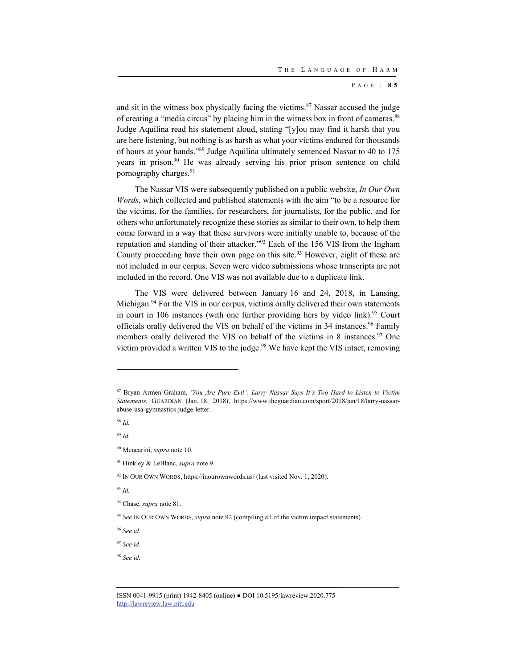P AGE | **8 5**

and sit in the witness box physically facing the victims. $87$  Nassar accused the judge of creating a "media circus" by placing him in the witness box in front of cameras.88 Judge Aquilina read his statement aloud, stating "[y]ou may find it harsh that you are here listening, but nothing is as harsh as what your victims endured for thousands of hours at your hands."89 Judge Aquilina ultimately sentenced Nassar to 40 to 175 years in prison.<sup>90</sup> He was already serving his prior prison sentence on child pornography charges.<sup>91</sup>

The Nassar VIS were subsequently published on a public website, *In Our Own Words*, which collected and published statements with the aim "to be a resource for the victims, for the families, for researchers, for journalists, for the public, and for others who unfortunately recognize these stories as similar to their own, to help them come forward in a way that these survivors were initially unable to, because of the reputation and standing of their attacker."92 Each of the 156 VIS from the Ingham County proceeding have their own page on this site.<sup>93</sup> However, eight of these are not included in our corpus. Seven were video submissions whose transcripts are not included in the record. One VIS was not available due to a duplicate link.

The VIS were delivered between January 16 and 24, 2018, in Lansing, Michigan.<sup>94</sup> For the VIS in our corpus, victims orally delivered their own statements in court in 106 instances (with one further providing hers by video link).<sup>95</sup> Court officials orally delivered the VIS on behalf of the victims in 34 instances.<sup>96</sup> Family members orally delivered the VIS on behalf of the victims in  $8$  instances.<sup>97</sup> One victim provided a written VIS to the judge.<sup>98</sup> We have kept the VIS intact, removing

<sup>88</sup> *Id.*

l

<sup>89</sup> *Id.*

<sup>93</sup> *Id.*

<sup>97</sup> *See id.*

<sup>87</sup> Bryan Armen Graham, *'You Are Pure Evil': Larry Nassar Says It's Too Hard to Listen to Victim Statements*, GUARDIAN (Jan. 18, 2018), https://www.theguardian.com/sport/2018/jan/18/larry-nassarabuse-usa-gymnastics-judge-letter.

<sup>90</sup> Mencarini, *supra* note 10.

<sup>91</sup> Hinkley & LeBlanc, *supra* note 9.

<sup>&</sup>lt;sup>92</sup> IN OUR OWN WORDS, https://inourownwords.us/ (last visited Nov. 1, 2020).

<sup>94</sup> Chase, *supra* note 81.

<sup>95</sup> *See* IN OUR OWN WORDS, *supra* note 92 (compiling all of the victim impact statements).

<sup>96</sup> *See id.*

<sup>98</sup> *See id.*

ISSN 0041-9915 (print) 1942-8405 (online) ● DOI 10.5195/lawreview.2020.775 http://lawreview.law.pitt.edu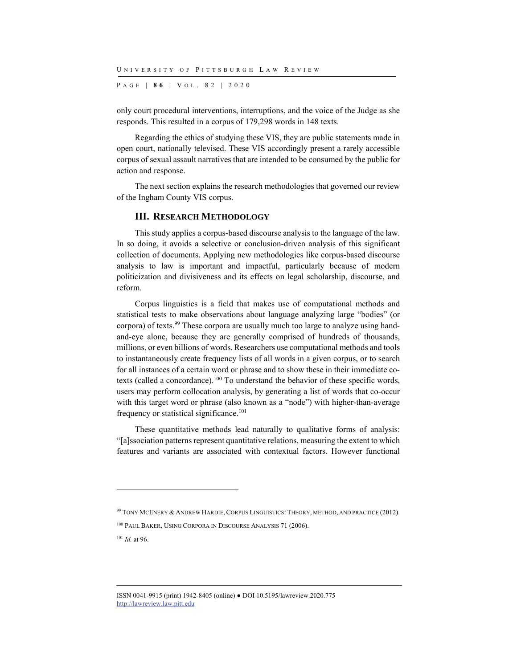P AGE | **8 6** | V O L . 8 2 | 2020

only court procedural interventions, interruptions, and the voice of the Judge as she responds. This resulted in a corpus of 179,298 words in 148 texts.

Regarding the ethics of studying these VIS, they are public statements made in open court, nationally televised. These VIS accordingly present a rarely accessible corpus of sexual assault narratives that are intended to be consumed by the public for action and response.

The next section explains the research methodologies that governed our review of the Ingham County VIS corpus.

#### **III. RESEARCH METHODOLOGY**

This study applies a corpus-based discourse analysis to the language of the law. In so doing, it avoids a selective or conclusion-driven analysis of this significant collection of documents. Applying new methodologies like corpus-based discourse analysis to law is important and impactful, particularly because of modern politicization and divisiveness and its effects on legal scholarship, discourse, and reform.

Corpus linguistics is a field that makes use of computational methods and statistical tests to make observations about language analyzing large "bodies" (or corpora) of texts.99 These corpora are usually much too large to analyze using handand-eye alone, because they are generally comprised of hundreds of thousands, millions, or even billions of words. Researchers use computational methods and tools to instantaneously create frequency lists of all words in a given corpus, or to search for all instances of a certain word or phrase and to show these in their immediate cotexts (called a concordance).100 To understand the behavior of these specific words, users may perform collocation analysis, by generating a list of words that co-occur with this target word or phrase (also known as a "node") with higher-than-average frequency or statistical significance.<sup>101</sup>

These quantitative methods lead naturally to qualitative forms of analysis: "[a]ssociation patterns represent quantitative relations, measuring the extent to which features and variants are associated with contextual factors. However functional

<sup>99</sup> TONY MCENERY & ANDREW HARDIE,CORPUS LINGUISTICS: THEORY, METHOD, AND PRACTICE (2012).

<sup>&</sup>lt;sup>100</sup> PAUL BAKER, USING CORPORA IN DISCOURSE ANALYSIS 71 (2006).

<sup>101</sup> *Id.* at 96.

ISSN 0041-9915 (print) 1942-8405 (online) ● DOI 10.5195/lawreview.2020.775 http://lawreview.law.pitt.edu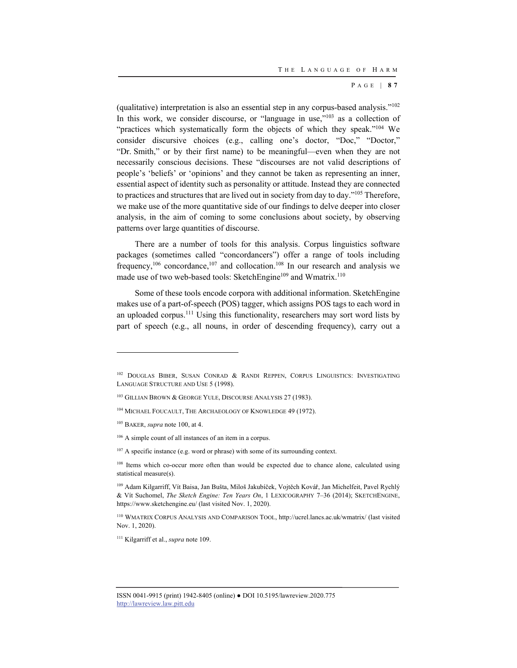P AGE | **8 7**

(qualitative) interpretation is also an essential step in any corpus-based analysis."102 In this work, we consider discourse, or "language in use,"<sup>103</sup> as a collection of "practices which systematically form the objects of which they speak."104 We consider discursive choices (e.g., calling one's doctor, "Doc," "Doctor," "Dr. Smith," or by their first name) to be meaningful—even when they are not necessarily conscious decisions. These "discourses are not valid descriptions of people's 'beliefs' or 'opinions' and they cannot be taken as representing an inner, essential aspect of identity such as personality or attitude. Instead they are connected to practices and structures that are lived out in society from day to day."105 Therefore, we make use of the more quantitative side of our findings to delve deeper into closer analysis, in the aim of coming to some conclusions about society, by observing patterns over large quantities of discourse.

There are a number of tools for this analysis. Corpus linguistics software packages (sometimes called "concordancers") offer a range of tools including frequency,<sup>106</sup> concordance,<sup>107</sup> and collocation.<sup>108</sup> In our research and analysis we made use of two web-based tools: SketchEngine<sup>109</sup> and Wmatrix.<sup>110</sup>

Some of these tools encode corpora with additional information. SketchEngine makes use of a part-of-speech (POS) tagger, which assigns POS tags to each word in an uploaded corpus.111 Using this functionality, researchers may sort word lists by part of speech (e.g., all nouns, in order of descending frequency), carry out a

l

111 Kilgarriff et al., *supra* note 109.

<sup>&</sup>lt;sup>102</sup> DOUGLAS BIBER, SUSAN CONRAD & RANDI REPPEN, CORPUS LINGUISTICS: INVESTIGATING LANGUAGE STRUCTURE AND USE 5 (1998).

<sup>&</sup>lt;sup>103</sup> GILLIAN BROWN & GEORGE YULE, DISCOURSE ANALYSIS 27 (1983).

<sup>104</sup> MICHAEL FOUCAULT, THE ARCHAEOLOGY OF KNOWLEDGE 49 (1972).

<sup>105</sup> BAKER, *supra* note 100, at 4.

<sup>106</sup> A simple count of all instances of an item in a corpus.

 $107$  A specific instance (e.g. word or phrase) with some of its surrounding context.

<sup>&</sup>lt;sup>108</sup> Items which co-occur more often than would be expected due to chance alone, calculated using statistical measure(s).

<sup>109</sup> Adam Kilgarriff, Vít Baisa, Jan Bušta, Miloš Jakubíček, Vojtěch Kovář, Jan Michelfeit, Pavel Rychlý & Vít Suchomel, *The Sketch Engine: Ten Years On*, 1 LEXICOGRAPHY 7–36 (2014); SKETCHENGINE, https://www.sketchengine.eu/ (last visited Nov. 1, 2020).

<sup>110</sup> WMATRIX CORPUS ANALYSIS AND COMPARISON TOOL, http://ucrel.lancs.ac.uk/wmatrix/ (last visited Nov. 1, 2020).

ISSN 0041-9915 (print) 1942-8405 (online) ● DOI 10.5195/lawreview.2020.775 http://lawreview.law.pitt.edu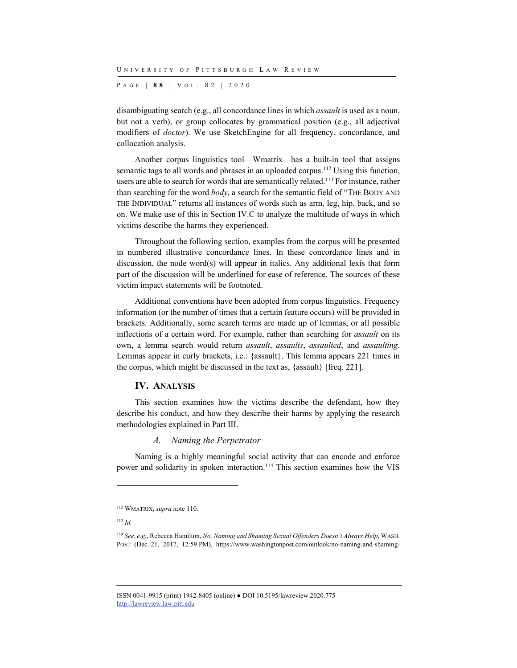P AGE | **8 8** | V O L . 8 2 | 2020

disambiguating search (e.g., all concordance lines in which *assault* is used as a noun, but not a verb), or group collocates by grammatical position (e.g., all adjectival modifiers of *doctor*). We use SketchEngine for all frequency, concordance, and collocation analysis.

Another corpus linguistics tool—Wmatrix—has a built-in tool that assigns semantic tags to all words and phrases in an uploaded corpus.<sup>112</sup> Using this function, users are able to search for words that are semantically related.<sup>113</sup> For instance, rather than searching for the word *body*, a search for the semantic field of "THE BODY AND THE INDIVIDUAL" returns all instances of words such as arm, leg, hip, back, and so on. We make use of this in Section IV.C to analyze the multitude of ways in which victims describe the harms they experienced.

Throughout the following section, examples from the corpus will be presented in numbered illustrative concordance lines. In these concordance lines and in discussion, the node word(s) will appear in italics. Any additional lexis that form part of the discussion will be underlined for ease of reference. The sources of these victim impact statements will be footnoted.

Additional conventions have been adopted from corpus linguistics. Frequency information (or the number of times that a certain feature occurs) will be provided in brackets. Additionally, some search terms are made up of lemmas, or all possible inflections of a certain word. For example, rather than searching for *assault* on its own, a lemma search would return *assault*, *assaults*, *assaulted*, and *assaulting*. Lemmas appear in curly brackets, i.e.: {assault}. This lemma appears 221 times in the corpus, which might be discussed in the text as, {assault} [freq. 221].

## **IV. ANALYSIS**

This section examines how the victims describe the defendant, how they describe his conduct, and how they describe their harms by applying the research methodologies explained in Part III.

#### *A. Naming the Perpetrator*

Naming is a highly meaningful social activity that can encode and enforce power and solidarity in spoken interaction.<sup>114</sup> This section examines how the VIS

l

<sup>112</sup> WMATRIX, *supra* note 110.

<sup>113</sup> *Id.*

<sup>114</sup> *See, e.g.*, Rebecca Hamilton, *No, Naming and Shaming Sexual Offenders Doesn't Always Help*, WASH. POST (Dec. 21, 2017, 12:59 PM), https://www.washingtonpost.com/outlook/no-naming-and-shaming-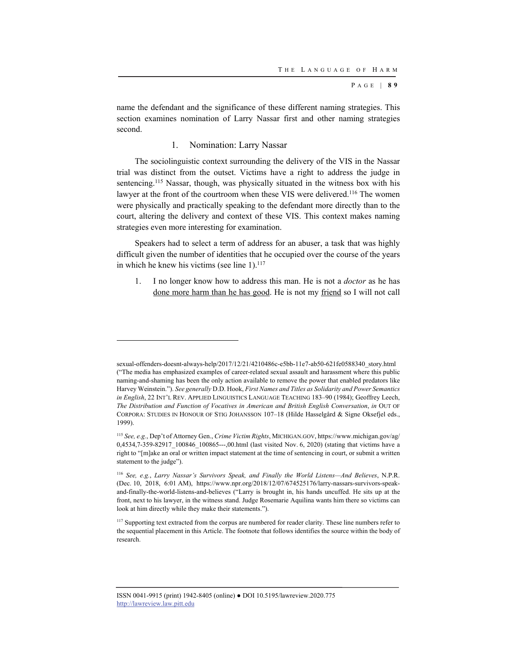P AGE | **8 9**

name the defendant and the significance of these different naming strategies. This section examines nomination of Larry Nassar first and other naming strategies second.

## 1. Nomination: Larry Nassar

The sociolinguistic context surrounding the delivery of the VIS in the Nassar trial was distinct from the outset. Victims have a right to address the judge in sentencing.<sup>115</sup> Nassar, though, was physically situated in the witness box with his lawyer at the front of the courtroom when these VIS were delivered.<sup>116</sup> The women were physically and practically speaking to the defendant more directly than to the court, altering the delivery and context of these VIS. This context makes naming strategies even more interesting for examination.

Speakers had to select a term of address for an abuser, a task that was highly difficult given the number of identities that he occupied over the course of the years in which he knew his victims (see line  $1$ ).<sup>117</sup>

1. I no longer know how to address this man. He is not a *doctor* as he has done more harm than he has good. He is not my friend so I will not call

l

sexual-offenders-doesnt-always-help/2017/12/21/4210486c-e5bb-11e7-ab50-621fe0588340\_story.html ("The media has emphasized examples of career-related sexual assault and harassment where this public naming-and-shaming has been the only action available to remove the power that enabled predators like Harvey Weinstein."). *See generally* D.D. Hook, *First Names and Titles as Solidarity and Power Semantics in English*, 22 INT'L REV. APPLIED LINGUISTICS LANGUAGE TEACHING 183–90 (1984); Geoffrey Leech, *The Distribution and Function of Vocatives in American and British English Conversation*, *in* OUT OF CORPORA: STUDIES IN HONOUR OF STIG JOHANSSON 107–18 (Hilde Hasselgård & Signe Oksefjel eds., 1999).

<sup>115</sup> *See, e.g.*, Dep't of Attorney Gen., *Crime Victim Rights*, MICHIGAN.GOV, https://www.michigan.gov/ag/ 0,4534,7-359-82917\_100846\_100865---,00.html (last visited Nov. 6, 2020) (stating that victims have a right to "[m]ake an oral or written impact statement at the time of sentencing in court, or submit a written statement to the judge").

<sup>116</sup> *See, e.g.*, *Larry Nassar's Survivors Speak, and Finally the World Listens—And Believes*, N.P.R. (Dec. 10, 2018, 6:01 AM), https://www.npr.org/2018/12/07/674525176/larry-nassars-survivors-speakand-finally-the-world-listens-and-believes ("Larry is brought in, his hands uncuffed. He sits up at the front, next to his lawyer, in the witness stand. Judge Rosemarie Aquilina wants him there so victims can look at him directly while they make their statements.").

<sup>&</sup>lt;sup>117</sup> Supporting text extracted from the corpus are numbered for reader clarity. These line numbers refer to the sequential placement in this Article. The footnote that follows identifies the source within the body of research.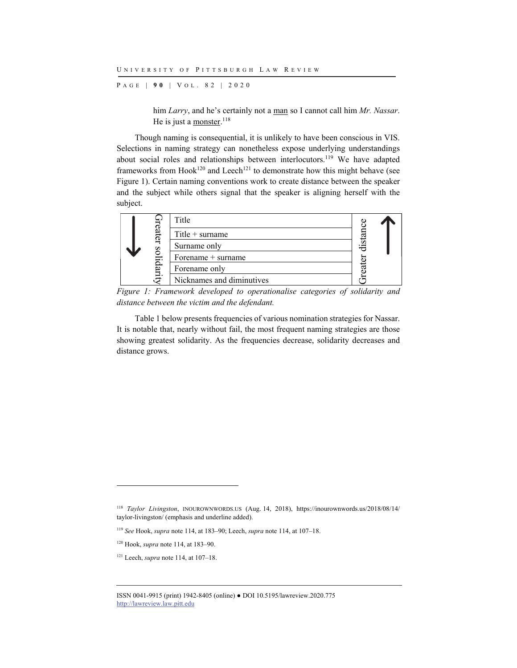P AGE | **9 0** | V O L . 8 2 | 2020

him *Larry*, and he's certainly not a man so I cannot call him *Mr. Nassar*. He is just a monster.<sup>118</sup>

Though naming is consequential, it is unlikely to have been conscious in VIS. Selections in naming strategy can nonetheless expose underlying understandings about social roles and relationships between interlocutors.<sup>119</sup> We have adapted frameworks from  $Hook<sup>120</sup>$  and Leech<sup>121</sup> to demonstrate how this might behave (see Figure 1). Certain naming conventions work to create distance between the speaker and the subject while others signal that the speaker is aligning herself with the subject.

|       | Title                     |       |  |
|-------|---------------------------|-------|--|
| eater | Title $+$ surname         |       |  |
|       | Surname only              | lista |  |
|       | Forename $+$ surname      |       |  |
|       | Forename only             |       |  |
|       | Nicknames and diminutives |       |  |

*Figure 1: Framework developed to operationalise categories of solidarity and distance between the victim and the defendant.* 

Table 1 below presents frequencies of various nomination strategies for Nassar. It is notable that, nearly without fail, the most frequent naming strategies are those showing greatest solidarity. As the frequencies decrease, solidarity decreases and distance grows.

<sup>118</sup> *Taylor Livingston*, INOUROWNWORDS.US (Aug. 14, 2018), https://inourownwords.us/2018/08/14/ taylor-livingston/ (emphasis and underline added).

<sup>119</sup> *See* Hook, *supra* note 114, at 183–90; Leech, *supra* note 114, at 107–18.

<sup>120</sup> Hook, *supra* note 114, at 183–90.

<sup>121</sup> Leech, *supra* note 114, at 107–18.

ISSN 0041-9915 (print) 1942-8405 (online) ● DOI 10.5195/lawreview.2020.775 http://lawreview.law.pitt.edu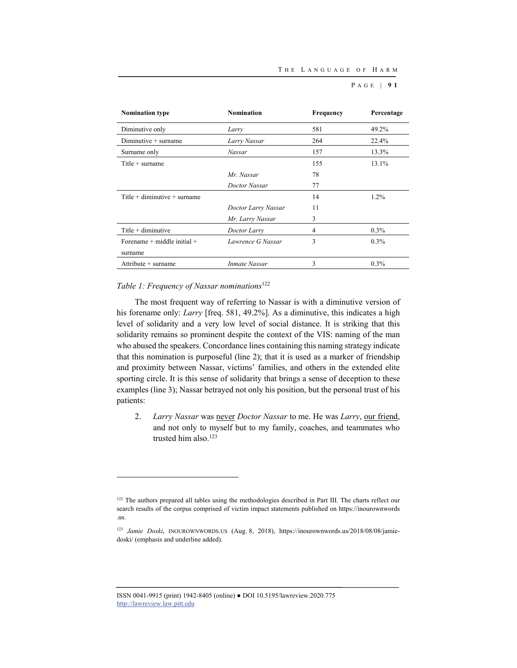P AGE | **9 1**

| <b>Nomination type</b>           | <b>Nomination</b>   | <b>Frequency</b> | Percentage |
|----------------------------------|---------------------|------------------|------------|
| Diminutive only                  | Larry               | 581              | 49.2%      |
| Diminutive $+$ surname           | Larry Nassar        | 264              | 22.4%      |
| Surname only                     | Nassar              | 157              | 13.3%      |
| Title $+$ surname                |                     | 155              | 13.1%      |
|                                  | Mr. Nassar          | 78               |            |
|                                  | Doctor Nassar       | 77               |            |
| Title $+$ diminutive $+$ surname |                     | 14               | $1.2\%$    |
|                                  | Doctor Larry Nassar | 11               |            |
|                                  | Mr. Larry Nassar    | 3                |            |
| Title $+$ diminutive             | Doctor Larry        | $\overline{4}$   | $0.3\%$    |
| Forename $+$ middle initial $+$  | Lawrence G Nassar   | 3                | $0.3\%$    |
| surname                          |                     |                  |            |
| Attribute $+$ surname            | Inmate Nassar       | 3                | $0.3\%$    |

## *Table 1: Frequency of Nassar nominations*<sup>122</sup>

l

The most frequent way of referring to Nassar is with a diminutive version of his forename only: *Larry* [freq. 581, 49.2%]. As a diminutive, this indicates a high level of solidarity and a very low level of social distance. It is striking that this solidarity remains so prominent despite the context of the VIS: naming of the man who abused the speakers. Concordance lines containing this naming strategy indicate that this nomination is purposeful (line 2); that it is used as a marker of friendship and proximity between Nassar, victims' families, and others in the extended elite sporting circle. It is this sense of solidarity that brings a sense of deception to these examples (line 3); Nassar betrayed not only his position, but the personal trust of his patients:

2. *Larry Nassar* was never *Doctor Nassar* to me. He was *Larry*, our friend, and not only to myself but to my family, coaches, and teammates who trusted him also.<sup>123</sup>

<sup>&</sup>lt;sup>122</sup> The authors prepared all tables using the methodologies described in Part III. The charts reflect our search results of the corpus comprised of victim impact statements published on https://inourownwords .us.

<sup>&</sup>lt;sup>123</sup> Jamie Doski, INOUROWNWORDS.US (Aug. 8, 2018), https://inourownwords.us/2018/08/08/jamiedoski/ (emphasis and underline added).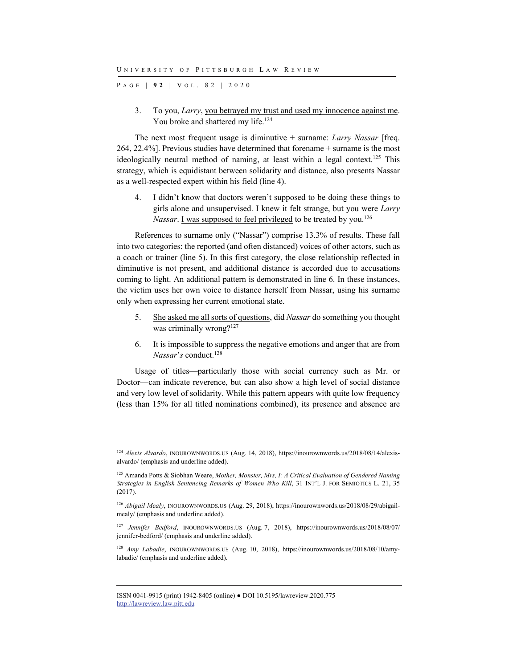P AGE | **9 2** | V O L . 8 2 | 2020

l

3. To you, *Larry*, you betrayed my trust and used my innocence against me. You broke and shattered my life.<sup>124</sup>

The next most frequent usage is diminutive + surname: *Larry Nassar* [freq. 264, 22.4%]. Previous studies have determined that forename + surname is the most ideologically neutral method of naming, at least within a legal context.<sup>125</sup> This strategy, which is equidistant between solidarity and distance, also presents Nassar as a well-respected expert within his field (line 4).

4. I didn't know that doctors weren't supposed to be doing these things to girls alone and unsupervised. I knew it felt strange, but you were *Larry Nassar*. I was supposed to feel privileged to be treated by you.<sup>126</sup>

References to surname only ("Nassar") comprise 13.3% of results. These fall into two categories: the reported (and often distanced) voices of other actors, such as a coach or trainer (line 5). In this first category, the close relationship reflected in diminutive is not present, and additional distance is accorded due to accusations coming to light. An additional pattern is demonstrated in line 6. In these instances, the victim uses her own voice to distance herself from Nassar, using his surname only when expressing her current emotional state.

- 5. She asked me all sorts of questions, did *Nassar* do something you thought was criminally wrong?<sup>127</sup>
- 6. It is impossible to suppress the negative emotions and anger that are from *Nassar*'*s* conduct.128

Usage of titles—particularly those with social currency such as Mr. or Doctor—can indicate reverence, but can also show a high level of social distance and very low level of solidarity. While this pattern appears with quite low frequency (less than 15% for all titled nominations combined), its presence and absence are

<sup>124</sup> *Alexis Alvardo*, INOUROWNWORDS.US (Aug. 14, 2018), https://inourownwords.us/2018/08/14/alexisalvardo/ (emphasis and underline added).

<sup>125</sup> Amanda Potts & Siobhan Weare, *Mother, Monster, Mrs, I: A Critical Evaluation of Gendered Naming Strategies in English Sentencing Remarks of Women Who Kill*, 31 INT'L J. FOR SEMIOTICS L. 21, 35 (2017).

<sup>126</sup> *Abigail Mealy*, INOUROWNWORDS.US (Aug. 29, 2018), https://inourownwords.us/2018/08/29/abigailmealy/ (emphasis and underline added).

<sup>127</sup> *Jennifer Bedford*, INOUROWNWORDS.US (Aug. 7, 2018), https://inourownwords.us/2018/08/07/ jennifer-bedford/ (emphasis and underline added).

<sup>128</sup> *Amy Labadie*, INOUROWNWORDS.US (Aug. 10, 2018), https://inourownwords.us/2018/08/10/amylabadie/ (emphasis and underline added).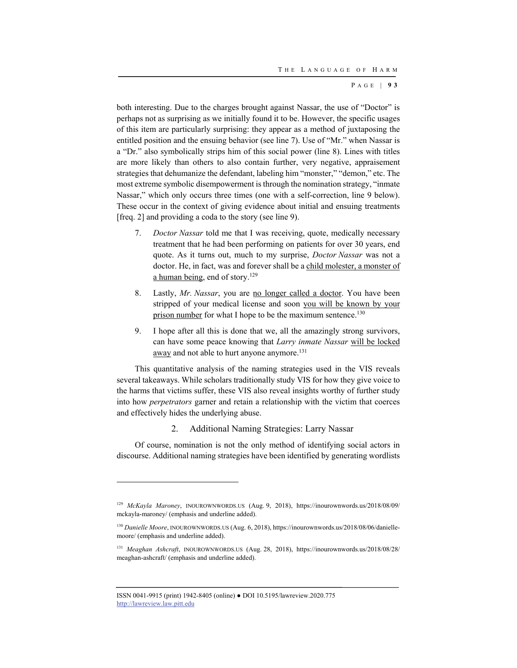P AGE | **9 3**

both interesting. Due to the charges brought against Nassar, the use of "Doctor" is perhaps not as surprising as we initially found it to be. However, the specific usages of this item are particularly surprising: they appear as a method of juxtaposing the entitled position and the ensuing behavior (see line 7). Use of "Mr." when Nassar is a "Dr." also symbolically strips him of this social power (line 8). Lines with titles are more likely than others to also contain further, very negative, appraisement strategies that dehumanize the defendant, labeling him "monster," "demon," etc. The most extreme symbolic disempowerment is through the nomination strategy, "inmate Nassar," which only occurs three times (one with a self-correction, line 9 below). These occur in the context of giving evidence about initial and ensuing treatments [freq. 2] and providing a coda to the story (see line 9).

- 7. *Doctor Nassar* told me that I was receiving, quote, medically necessary treatment that he had been performing on patients for over 30 years, end quote. As it turns out, much to my surprise, *Doctor Nassar* was not a doctor. He, in fact, was and forever shall be a child molester, a monster of a human being, end of story.<sup>129</sup>
- 8. Lastly, *Mr. Nassar*, you are no longer called a doctor. You have been stripped of your medical license and soon you will be known by your prison number for what I hope to be the maximum sentence.<sup>130</sup>
- 9. I hope after all this is done that we, all the amazingly strong survivors, can have some peace knowing that *Larry inmate Nassar* will be locked away and not able to hurt anyone anymore.<sup>131</sup>

This quantitative analysis of the naming strategies used in the VIS reveals several takeaways. While scholars traditionally study VIS for how they give voice to the harms that victims suffer, these VIS also reveal insights worthy of further study into how *perpetrators* garner and retain a relationship with the victim that coerces and effectively hides the underlying abuse.

## 2. Additional Naming Strategies: Larry Nassar

Of course, nomination is not the only method of identifying social actors in discourse. Additional naming strategies have been identified by generating wordlists

ISSN 0041-9915 (print) 1942-8405 (online) ● DOI 10.5195/lawreview.2020.775 http://lawreview.law.pitt.edu

<sup>129</sup> *McKayla Maroney*, INOUROWNWORDS.US (Aug. 9, 2018), https://inourownwords.us/2018/08/09/ mckayla-maroney/ (emphasis and underline added).

<sup>&</sup>lt;sup>130</sup> Danielle Moore, INOUROWNWORDS.US (Aug. 6, 2018), https://inourownwords.us/2018/08/06/daniellemoore/ (emphasis and underline added).

<sup>131</sup> *Meaghan Ashcraft*, INOUROWNWORDS.US (Aug. 28, 2018), https://inourownwords.us/2018/08/28/ meaghan-ashcraft/ (emphasis and underline added).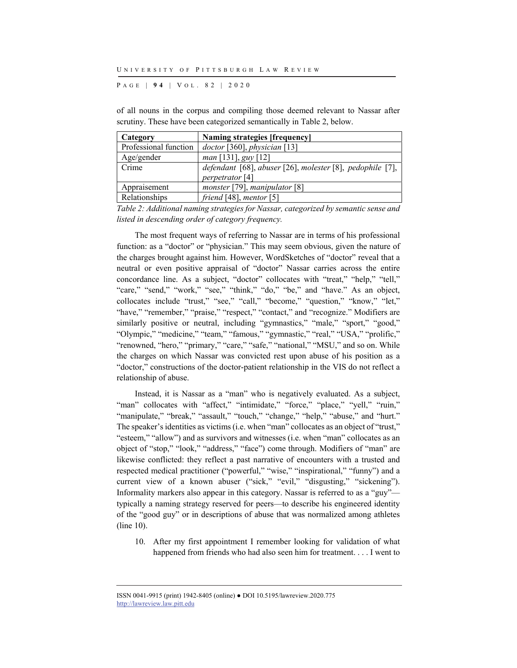P AGE | **9 4** | V O L . 8 2 | 2020

of all nouns in the corpus and compiling those deemed relevant to Nassar after scrutiny. These have been categorized semantically in Table 2, below.

| Category              | Naming strategies [frequency]                             |
|-----------------------|-----------------------------------------------------------|
| Professional function | $doctor$ [360], physician [13]                            |
| Age/gender            | <i>man</i> [131], $guy$ [12]                              |
| Crime                 | defendant [68], abuser [26], molester [8], pedophile [7], |
|                       | <i>perpetrator</i> [4]                                    |
| Appraisement          | monster [79], manipulator $[8]$                           |
| Relationships         | friend [48], mentor [5]                                   |

*Table 2: Additional naming strategies for Nassar, categorized by semantic sense and listed in descending order of category frequency.* 

The most frequent ways of referring to Nassar are in terms of his professional function: as a "doctor" or "physician." This may seem obvious, given the nature of the charges brought against him. However, WordSketches of "doctor" reveal that a neutral or even positive appraisal of "doctor" Nassar carries across the entire concordance line. As a subject, "doctor" collocates with "treat," "help," "tell," "care," "send," "work," "see," "think," "do," "be," and "have." As an object, collocates include "trust," "see," "call," "become," "question," "know," "let," "have," "remember," "praise," "respect," "contact," and "recognize." Modifiers are similarly positive or neutral, including "gymnastics," "male," "sport," "good," "Olympic," "medicine," "team," "famous," "gymnastic," "real," "USA," "prolific," "renowned, "hero," "primary," "care," "safe," "national," "MSU," and so on. While the charges on which Nassar was convicted rest upon abuse of his position as a "doctor," constructions of the doctor-patient relationship in the VIS do not reflect a relationship of abuse.

Instead, it is Nassar as a "man" who is negatively evaluated. As a subject, "man" collocates with "affect," "intimidate," "force," "place," "yell," "ruin," "manipulate," "break," "assault," "touch," "change," "help," "abuse," and "hurt." The speaker's identities as victims (i.e. when "man" collocates as an object of "trust," "esteem," "allow") and as survivors and witnesses (i.e. when "man" collocates as an object of "stop," "look," "address," "face") come through. Modifiers of "man" are likewise conflicted: they reflect a past narrative of encounters with a trusted and respected medical practitioner ("powerful," "wise," "inspirational," "funny") and a current view of a known abuser ("sick," "evil," "disgusting," "sickening"). Informality markers also appear in this category. Nassar is referred to as a "guy" typically a naming strategy reserved for peers—to describe his engineered identity of the "good guy" or in descriptions of abuse that was normalized among athletes (line 10).

10. After my first appointment I remember looking for validation of what happened from friends who had also seen him for treatment. . . . I went to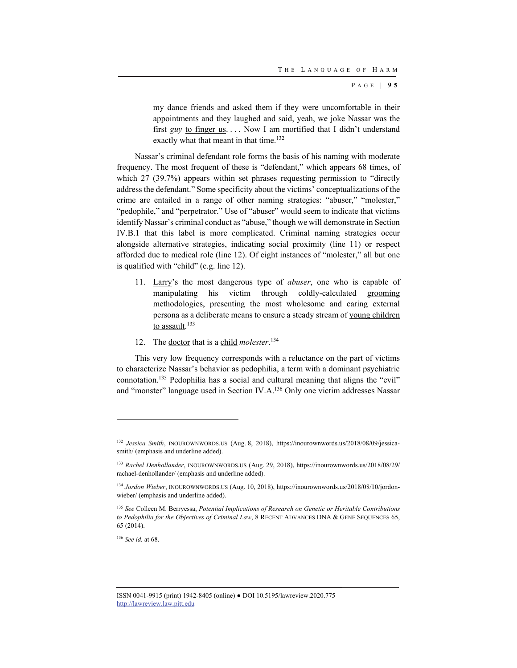P AGE | **9 5**

my dance friends and asked them if they were uncomfortable in their appointments and they laughed and said, yeah, we joke Nassar was the first *guy* to finger us. . . . Now I am mortified that I didn't understand exactly what that meant in that time.<sup>132</sup>

Nassar's criminal defendant role forms the basis of his naming with moderate frequency. The most frequent of these is "defendant," which appears 68 times, of which 27 (39.7%) appears within set phrases requesting permission to "directly" address the defendant." Some specificity about the victims' conceptualizations of the crime are entailed in a range of other naming strategies: "abuser," "molester," "pedophile," and "perpetrator." Use of "abuser" would seem to indicate that victims identify Nassar's criminal conduct as "abuse," though we will demonstrate in Section IV.B.1 that this label is more complicated. Criminal naming strategies occur alongside alternative strategies, indicating social proximity (line 11) or respect afforded due to medical role (line 12). Of eight instances of "molester," all but one is qualified with "child" (e.g. line 12).

- 11. Larry's the most dangerous type of *abuser*, one who is capable of manipulating his victim through coldly-calculated grooming methodologies, presenting the most wholesome and caring external persona as a deliberate means to ensure a steady stream of young children to assault.<sup>133</sup>
- 12. The doctor that is a child *molester*. 134

This very low frequency corresponds with a reluctance on the part of victims to characterize Nassar's behavior as pedophilia, a term with a dominant psychiatric connotation.135 Pedophilia has a social and cultural meaning that aligns the "evil" and "monster" language used in Section IV.A.136 Only one victim addresses Nassar

<sup>136</sup> *See id.* at 68.

<sup>132</sup> *Jessica Smith*, INOUROWNWORDS.US (Aug. 8, 2018), https://inourownwords.us/2018/08/09/jessicasmith/ (emphasis and underline added).

<sup>133</sup> *Rachel Denhollander*, INOUROWNWORDS.US (Aug. 29, 2018), https://inourownwords.us/2018/08/29/ rachael-denhollander/ (emphasis and underline added).

<sup>134</sup> *Jordon Wieber*, INOUROWNWORDS.US (Aug. 10, 2018), https://inourownwords.us/2018/08/10/jordonwieber/ (emphasis and underline added).

<sup>135</sup> *See* Colleen M. Berryessa, *Potential Implications of Research on Genetic or Heritable Contributions*  to Pedophilia for the Objectives of Criminal Law, 8 RECENT ADVANCES DNA & GENE SEQUENCES 65, 65 (2014).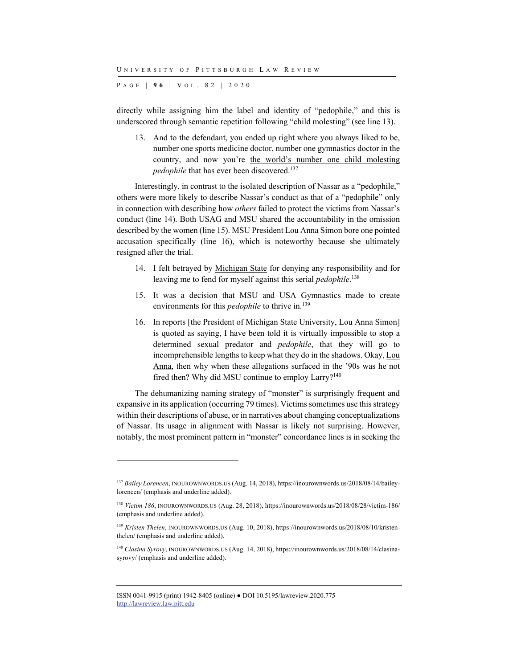P AGE | **9 6** | V O L . 8 2 | 2020

directly while assigning him the label and identity of "pedophile," and this is underscored through semantic repetition following "child molesting" (see line 13).

13. And to the defendant, you ended up right where you always liked to be, number one sports medicine doctor, number one gymnastics doctor in the country, and now you're the world's number one child molesting *pedophile* that has ever been discovered.137

Interestingly, in contrast to the isolated description of Nassar as a "pedophile," others were more likely to describe Nassar's conduct as that of a "pedophile" only in connection with describing how *others* failed to protect the victims from Nassar's conduct (line 14). Both USAG and MSU shared the accountability in the omission described by the women (line 15). MSU President Lou Anna Simon bore one pointed accusation specifically (line 16), which is noteworthy because she ultimately resigned after the trial.

- 14. I felt betrayed by Michigan State for denying any responsibility and for leaving me to fend for myself against this serial *pedophile*. 138
- 15. It was a decision that MSU and USA Gymnastics made to create environments for this *pedophile* to thrive in.<sup>139</sup>
- 16. In reports [the President of Michigan State University, Lou Anna Simon] is quoted as saying, I have been told it is virtually impossible to stop a determined sexual predator and *pedophile*, that they will go to incomprehensible lengths to keep what they do in the shadows. Okay, Lou Anna, then why when these allegations surfaced in the '90s was he not fired then? Why did MSU continue to employ Larry?<sup>140</sup>

The dehumanizing naming strategy of "monster" is surprisingly frequent and expansive in its application (occurring 79 times). Victims sometimes use this strategy within their descriptions of abuse, or in narratives about changing conceptualizations of Nassar. Its usage in alignment with Nassar is likely not surprising. However, notably, the most prominent pattern in "monster" concordance lines is in seeking the

ISSN 0041-9915 (print) 1942-8405 (online) ● DOI 10.5195/lawreview.2020.775 http://lawreview.law.pitt.edu

<sup>137</sup> *Bailey Lorencen*, INOUROWNWORDS.US (Aug. 14, 2018), https://inourownwords.us/2018/08/14/baileylorencen/ (emphasis and underline added).

<sup>138</sup> *Victim 186*, INOUROWNWORDS.US (Aug. 28, 2018), https://inourownwords.us/2018/08/28/victim-186/ (emphasis and underline added).

<sup>139</sup> *Kristen Thelen*, INOUROWNWORDS.US (Aug. 10, 2018), https://inourownwords.us/2018/08/10/kristenthelen/ (emphasis and underline added).

<sup>140</sup> *Clasina Syrovy*, INOUROWNWORDS.US (Aug. 14, 2018), https://inourownwords.us/2018/08/14/clasinasyrovy/ (emphasis and underline added).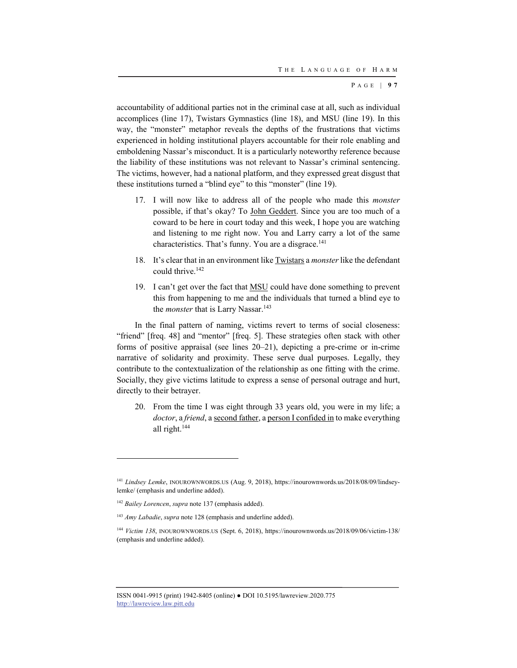P AGE | **9 7**

accountability of additional parties not in the criminal case at all, such as individual accomplices (line 17), Twistars Gymnastics (line 18), and MSU (line 19). In this way, the "monster" metaphor reveals the depths of the frustrations that victims experienced in holding institutional players accountable for their role enabling and emboldening Nassar's misconduct. It is a particularly noteworthy reference because the liability of these institutions was not relevant to Nassar's criminal sentencing. The victims, however, had a national platform, and they expressed great disgust that these institutions turned a "blind eye" to this "monster" (line 19).

- 17. I will now like to address all of the people who made this *monster* possible, if that's okay? To John Geddert. Since you are too much of a coward to be here in court today and this week, I hope you are watching and listening to me right now. You and Larry carry a lot of the same characteristics. That's funny. You are a disgrace.<sup>141</sup>
- 18. It's clear that in an environment like Twistars a *monster* like the defendant could thrive.142
- 19. I can't get over the fact that **MSU** could have done something to prevent this from happening to me and the individuals that turned a blind eye to the *monster* that is Larry Nassar.<sup>143</sup>

In the final pattern of naming, victims revert to terms of social closeness: "friend" [freq. 48] and "mentor" [freq. 5]. These strategies often stack with other forms of positive appraisal (see lines 20–21), depicting a pre-crime or in-crime narrative of solidarity and proximity. These serve dual purposes. Legally, they contribute to the contextualization of the relationship as one fitting with the crime. Socially, they give victims latitude to express a sense of personal outrage and hurt, directly to their betrayer.

20. From the time I was eight through 33 years old, you were in my life; a *doctor*, a *friend*, a second father, a person I confided in to make everything all right.144

<sup>141</sup> *Lindsey Lemke*, INOUROWNWORDS.US (Aug. 9, 2018), https://inourownwords.us/2018/08/09/lindseylemke/ (emphasis and underline added).

<sup>142</sup> *Bailey Lorencen*, *supra* note 137 (emphasis added).

<sup>143</sup> *Amy Labadie*, *supra* note 128 (emphasis and underline added).

<sup>144</sup> *Victim 138*, INOUROWNWORDS.US (Sept. 6, 2018), https://inourownwords.us/2018/09/06/victim-138/ (emphasis and underline added).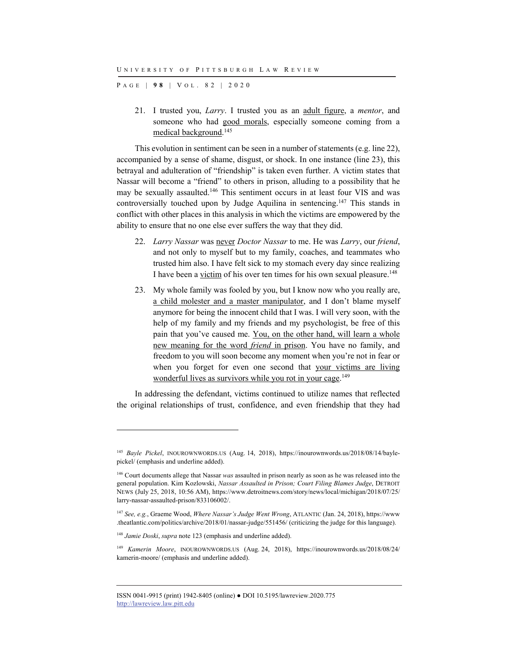P AGE | **9 8** | V O L . 8 2 | 2020

21. I trusted you, *Larry*. I trusted you as an adult figure, a *mentor*, and someone who had good morals, especially someone coming from a medical background.145

This evolution in sentiment can be seen in a number of statements (e.g. line 22), accompanied by a sense of shame, disgust, or shock. In one instance (line 23), this betrayal and adulteration of "friendship" is taken even further. A victim states that Nassar will become a "friend" to others in prison, alluding to a possibility that he may be sexually assaulted.<sup>146</sup> This sentiment occurs in at least four VIS and was controversially touched upon by Judge Aquilina in sentencing.<sup>147</sup> This stands in conflict with other places in this analysis in which the victims are empowered by the ability to ensure that no one else ever suffers the way that they did.

- 22. *Larry Nassar* was never *Doctor Nassar* to me. He was *Larry*, our *friend*, and not only to myself but to my family, coaches, and teammates who trusted him also. I have felt sick to my stomach every day since realizing I have been a victim of his over ten times for his own sexual pleasure.<sup>148</sup>
- 23. My whole family was fooled by you, but I know now who you really are, a child molester and a master manipulator, and I don't blame myself anymore for being the innocent child that I was. I will very soon, with the help of my family and my friends and my psychologist, be free of this pain that you've caused me. You, on the other hand, will learn a whole new meaning for the word *friend* in prison. You have no family, and freedom to you will soon become any moment when you're not in fear or when you forget for even one second that your victims are living wonderful lives as survivors while you rot in your cage.<sup>149</sup>

In addressing the defendant, victims continued to utilize names that reflected the original relationships of trust, confidence, and even friendship that they had

<sup>145</sup> *Bayle Pickel*, INOUROWNWORDS.US (Aug. 14, 2018), https://inourownwords.us/2018/08/14/baylepickel/ (emphasis and underline added).

<sup>146</sup> Court documents allege that Nassar *was* assaulted in prison nearly as soon as he was released into the general population. Kim Kozlowski, *Nassar Assaulted in Prison; Court Filing Blames Judge*, DETROIT NEWS (July 25, 2018, 10:56 AM), https://www.detroitnews.com/story/news/local/michigan/2018/07/25/ larry-nassar-assaulted-prison/833106002/.

<sup>147</sup> *See, e.g.*, Graeme Wood, *Where Nassar's Judge Went Wrong*, ATLANTIC (Jan. 24, 2018), https://www .theatlantic.com/politics/archive/2018/01/nassar-judge/551456/ (criticizing the judge for this language).

<sup>148</sup> *Jamie Doski*, *supra* note 123 (emphasis and underline added).

<sup>149</sup> *Kamerin Moore*, INOUROWNWORDS.US (Aug. 24, 2018), https://inourownwords.us/2018/08/24/ kamerin-moore/ (emphasis and underline added).

ISSN 0041-9915 (print) 1942-8405 (online) ● DOI 10.5195/lawreview.2020.775 http://lawreview.law.pitt.edu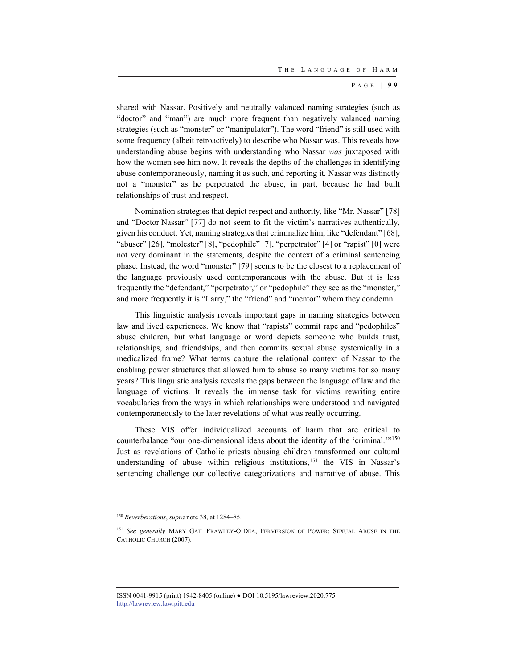P AGE | **9 9**

shared with Nassar. Positively and neutrally valanced naming strategies (such as "doctor" and "man") are much more frequent than negatively valanced naming strategies (such as "monster" or "manipulator"). The word "friend" is still used with some frequency (albeit retroactively) to describe who Nassar was. This reveals how understanding abuse begins with understanding who Nassar *was* juxtaposed with how the women see him now. It reveals the depths of the challenges in identifying abuse contemporaneously, naming it as such, and reporting it. Nassar was distinctly not a "monster" as he perpetrated the abuse, in part, because he had built relationships of trust and respect.

Nomination strategies that depict respect and authority, like "Mr. Nassar" [78] and "Doctor Nassar" [77] do not seem to fit the victim's narratives authentically, given his conduct. Yet, naming strategies that criminalize him, like "defendant" [68], "abuser" [26], "molester" [8], "pedophile" [7], "perpetrator" [4] or "rapist" [0] were not very dominant in the statements, despite the context of a criminal sentencing phase. Instead, the word "monster" [79] seems to be the closest to a replacement of the language previously used contemporaneous with the abuse. But it is less frequently the "defendant," "perpetrator," or "pedophile" they see as the "monster," and more frequently it is "Larry," the "friend" and "mentor" whom they condemn.

This linguistic analysis reveals important gaps in naming strategies between law and lived experiences. We know that "rapists" commit rape and "pedophiles" abuse children, but what language or word depicts someone who builds trust, relationships, and friendships, and then commits sexual abuse systemically in a medicalized frame? What terms capture the relational context of Nassar to the enabling power structures that allowed him to abuse so many victims for so many years? This linguistic analysis reveals the gaps between the language of law and the language of victims. It reveals the immense task for victims rewriting entire vocabularies from the ways in which relationships were understood and navigated contemporaneously to the later revelations of what was really occurring.

These VIS offer individualized accounts of harm that are critical to counterbalance "our one-dimensional ideas about the identity of the 'criminal.'"150 Just as revelations of Catholic priests abusing children transformed our cultural understanding of abuse within religious institutions,<sup>151</sup> the VIS in Nassar's sentencing challenge our collective categorizations and narrative of abuse. This

l

<sup>150</sup> *Reverberations*, *supra* note 38, at 1284–85.

<sup>151</sup> See generally MARY GAIL FRAWLEY-O'DEA, PERVERSION OF POWER: SEXUAL ABUSE IN THE CATHOLIC CHURCH (2007).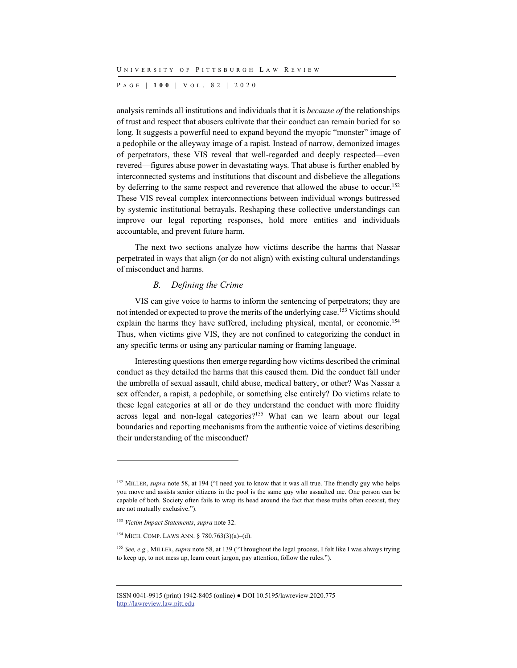P AGE | **100** | V O L . 8 2 | 2020

analysis reminds all institutions and individuals that it is *because of* the relationships of trust and respect that abusers cultivate that their conduct can remain buried for so long. It suggests a powerful need to expand beyond the myopic "monster" image of a pedophile or the alleyway image of a rapist. Instead of narrow, demonized images of perpetrators, these VIS reveal that well-regarded and deeply respected—even revered—figures abuse power in devastating ways. That abuse is further enabled by interconnected systems and institutions that discount and disbelieve the allegations by deferring to the same respect and reverence that allowed the abuse to occur.152 These VIS reveal complex interconnections between individual wrongs buttressed by systemic institutional betrayals. Reshaping these collective understandings can improve our legal reporting responses, hold more entities and individuals accountable, and prevent future harm.

The next two sections analyze how victims describe the harms that Nassar perpetrated in ways that align (or do not align) with existing cultural understandings of misconduct and harms.

## *B. Defining the Crime*

VIS can give voice to harms to inform the sentencing of perpetrators; they are not intended or expected to prove the merits of the underlying case.<sup>153</sup> Victims should explain the harms they have suffered, including physical, mental, or economic.154 Thus, when victims give VIS, they are not confined to categorizing the conduct in any specific terms or using any particular naming or framing language.

Interesting questions then emerge regarding how victims described the criminal conduct as they detailed the harms that this caused them. Did the conduct fall under the umbrella of sexual assault, child abuse, medical battery, or other? Was Nassar a sex offender, a rapist, a pedophile, or something else entirely? Do victims relate to these legal categories at all or do they understand the conduct with more fluidity across legal and non-legal categories?<sup>155</sup> What can we learn about our legal boundaries and reporting mechanisms from the authentic voice of victims describing their understanding of the misconduct?

l

<sup>&</sup>lt;sup>152</sup> MILLER, *supra* note 58, at 194 ("I need you to know that it was all true. The friendly guy who helps you move and assists senior citizens in the pool is the same guy who assaulted me. One person can be capable of both. Society often fails to wrap its head around the fact that these truths often coexist, they are not mutually exclusive.").

<sup>153</sup> *Victim Impact Statements*, *supra* note 32.

<sup>154</sup> MICH. COMP. LAWS ANN. § 780.763(3)(a)–(d).

<sup>155</sup> *See, e.g.*, MILLER, *supra* note 58, at 139 ("Throughout the legal process, I felt like I was always trying to keep up, to not mess up, learn court jargon, pay attention, follow the rules.").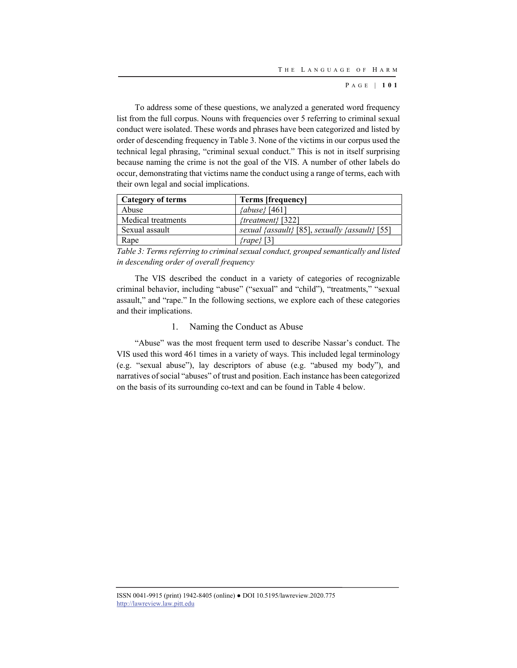To address some of these questions, we analyzed a generated word frequency list from the full corpus. Nouns with frequencies over 5 referring to criminal sexual conduct were isolated. These words and phrases have been categorized and listed by order of descending frequency in Table 3. None of the victims in our corpus used the technical legal phrasing, "criminal sexual conduct." This is not in itself surprising because naming the crime is not the goal of the VIS. A number of other labels do occur, demonstrating that victims name the conduct using a range of terms, each with their own legal and social implications.

| Category of terms  | <b>Terms [frequency]</b>                               |
|--------------------|--------------------------------------------------------|
| Abuse              | ${abuse}$ [461]                                        |
| Medical treatments | {treatment} [322]                                      |
| Sexual assault     | sexual { $assault$ } [85], sexually { $assault$ } [55] |
| Rape               | $\{range\}$ [3]                                        |

*Table 3: Terms referring to criminal sexual conduct, grouped semantically and listed in descending order of overall frequency* 

The VIS described the conduct in a variety of categories of recognizable criminal behavior, including "abuse" ("sexual" and "child"), "treatments," "sexual assault," and "rape." In the following sections, we explore each of these categories and their implications.

#### 1. Naming the Conduct as Abuse

"Abuse" was the most frequent term used to describe Nassar's conduct. The VIS used this word 461 times in a variety of ways. This included legal terminology (e.g. "sexual abuse"), lay descriptors of abuse (e.g. "abused my body"), and narratives of social "abuses" of trust and position. Each instance has been categorized on the basis of its surrounding co-text and can be found in Table 4 below.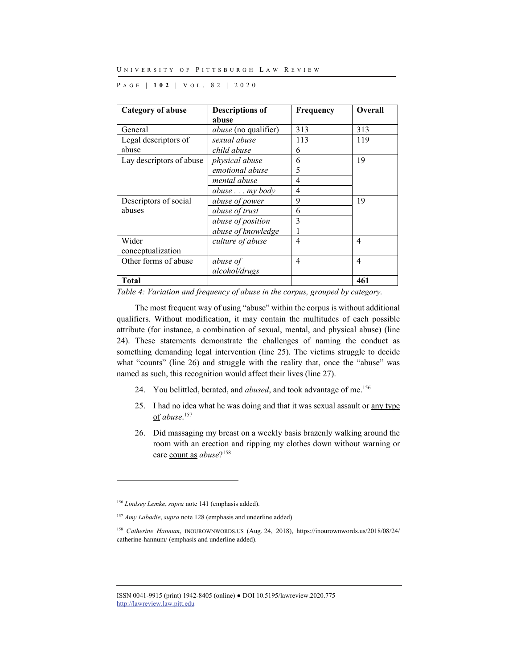P AGE | **102** | V O L . 8 2 | 2020

| <b>Category of abuse</b> | <b>Descriptions of</b>      | <b>Frequency</b> | Overall |
|--------------------------|-----------------------------|------------------|---------|
|                          | abuse                       |                  |         |
| General                  | <i>abuse</i> (no qualifier) | 313              | 313     |
| Legal descriptors of     | sexual abuse                | 113              | 119     |
| abuse                    | child abuse                 | 6                |         |
| Lay descriptors of abuse | <i>physical abuse</i>       | 6                | 19      |
|                          | emotional abuse             | 5                |         |
|                          | mental abuse                | 4                |         |
|                          | abuse $\ldots$ my body      | 4                |         |
| Descriptors of social    | abuse of power              | 9                | 19      |
| abuses                   | abuse of trust              | 6                |         |
|                          | abuse of position           | 3                |         |
|                          | abuse of knowledge          |                  |         |
| Wider                    | culture of abuse            | $\overline{4}$   | 4       |
| conceptualization        |                             |                  |         |
| Other forms of abuse     | abuse of                    | 4                | 4       |
|                          | alcohol/drugs               |                  |         |
| Total                    |                             |                  | 461     |

*Table 4: Variation and frequency of abuse in the corpus, grouped by category.* 

The most frequent way of using "abuse" within the corpus is without additional qualifiers. Without modification, it may contain the multitudes of each possible attribute (for instance, a combination of sexual, mental, and physical abuse) (line 24). These statements demonstrate the challenges of naming the conduct as something demanding legal intervention (line 25). The victims struggle to decide what "counts" (line 26) and struggle with the reality that, once the "abuse" was named as such, this recognition would affect their lives (line 27).

- 24. You belittled, berated, and *abused*, and took advantage of me.156
- 25. I had no idea what he was doing and that it was sexual assault or any type of *abuse*. 157
- 26. Did massaging my breast on a weekly basis brazenly walking around the room with an erection and ripping my clothes down without warning or care count as *abuse*?158

<sup>156</sup> *Lindsey Lemke*, *supra* note 141 (emphasis added).

<sup>&</sup>lt;sup>157</sup> *Amy Labadie*, *supra* note 128 (emphasis and underline added).

<sup>158</sup> *Catherine Hannum*, INOUROWNWORDS.US (Aug. 24, 2018), https://inourownwords.us/2018/08/24/ catherine-hannum/ (emphasis and underline added).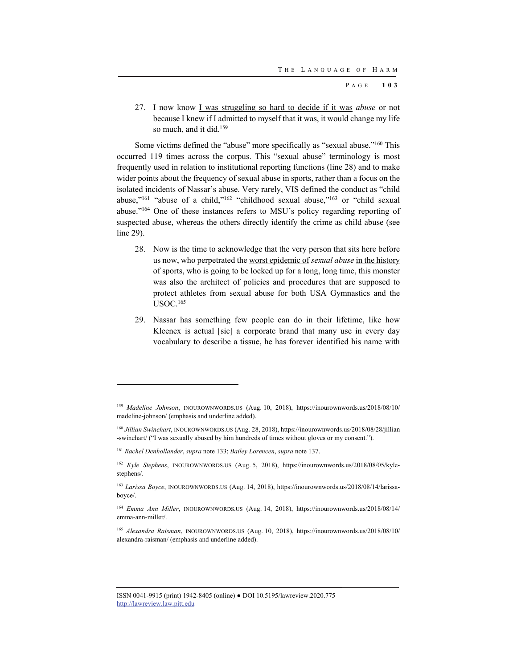27. I now know I was struggling so hard to decide if it was *abuse* or not because I knew if I admitted to myself that it was, it would change my life so much, and it did.<sup>159</sup>

Some victims defined the "abuse" more specifically as "sexual abuse."160 This occurred 119 times across the corpus. This "sexual abuse" terminology is most frequently used in relation to institutional reporting functions (line 28) and to make wider points about the frequency of sexual abuse in sports, rather than a focus on the isolated incidents of Nassar's abuse. Very rarely, VIS defined the conduct as "child abuse,"161 "abuse of a child,"162 "childhood sexual abuse,"163 or "child sexual abuse."164 One of these instances refers to MSU's policy regarding reporting of suspected abuse, whereas the others directly identify the crime as child abuse (see line 29).

- 28. Now is the time to acknowledge that the very person that sits here before us now, who perpetrated the worst epidemic of *sexual abuse* in the history of sports, who is going to be locked up for a long, long time, this monster was also the architect of policies and procedures that are supposed to protect athletes from sexual abuse for both USA Gymnastics and the USOC.165
- 29. Nassar has something few people can do in their lifetime, like how Kleenex is actual [sic] a corporate brand that many use in every day vocabulary to describe a tissue, he has forever identified his name with

<sup>159</sup> *Madeline Johnson*, INOUROWNWORDS.US (Aug. 10, 2018), https://inourownwords.us/2018/08/10/ madeline-johnson/ (emphasis and underline added).

<sup>160</sup> *Jillian Swinehart*, INOUROWNWORDS.US (Aug. 28, 2018), https://inourownwords.us/2018/08/28/jillian -swinehart/ ("I was sexually abused by him hundreds of times without gloves or my consent.").

<sup>161</sup> *Rachel Denhollander*, *supra* note 133; *Bailey Lorencen*, *supra* note 137.

<sup>162</sup> *Kyle Stephens*, INOUROWNWORDS.US (Aug. 5, 2018), https://inourownwords.us/2018/08/05/kylestephens/.

<sup>163</sup> *Larissa Boyce*, INOUROWNWORDS.US (Aug. 14, 2018), https://inourownwords.us/2018/08/14/larissaboyce/.

<sup>164</sup> *Emma Ann Miller*, INOUROWNWORDS.US (Aug. 14, 2018), https://inourownwords.us/2018/08/14/ emma-ann-miller/.

<sup>165</sup> *Alexandra Raisman*, INOUROWNWORDS.US (Aug. 10, 2018), https://inourownwords.us/2018/08/10/ alexandra-raisman/ (emphasis and underline added).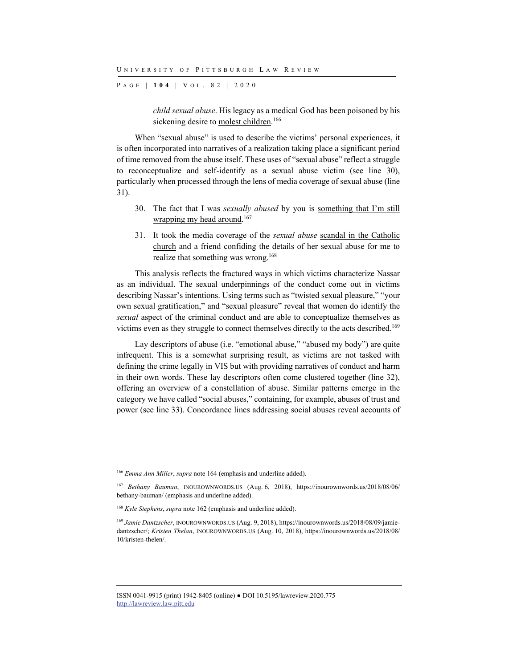P AGE | **104** | V O L . 8 2 | 2020

*child sexual abuse*. His legacy as a medical God has been poisoned by his sickening desire to molest children.<sup>166</sup>

When "sexual abuse" is used to describe the victims' personal experiences, it is often incorporated into narratives of a realization taking place a significant period of time removed from the abuse itself. These uses of "sexual abuse" reflect a struggle to reconceptualize and self-identify as a sexual abuse victim (see line 30), particularly when processed through the lens of media coverage of sexual abuse (line 31).

- 30. The fact that I was *sexually abused* by you is something that I'm still wrapping my head around. $167$
- 31. It took the media coverage of the *sexual abuse* scandal in the Catholic church and a friend confiding the details of her sexual abuse for me to realize that something was wrong.<sup>168</sup>

This analysis reflects the fractured ways in which victims characterize Nassar as an individual. The sexual underpinnings of the conduct come out in victims describing Nassar's intentions. Using terms such as "twisted sexual pleasure," "your own sexual gratification," and "sexual pleasure" reveal that women do identify the *sexual* aspect of the criminal conduct and are able to conceptualize themselves as victims even as they struggle to connect themselves directly to the acts described.<sup>169</sup>

Lay descriptors of abuse (i.e. "emotional abuse," "abused my body") are quite infrequent. This is a somewhat surprising result, as victims are not tasked with defining the crime legally in VIS but with providing narratives of conduct and harm in their own words. These lay descriptors often come clustered together (line 32), offering an overview of a constellation of abuse. Similar patterns emerge in the category we have called "social abuses," containing, for example, abuses of trust and power (see line 33). Concordance lines addressing social abuses reveal accounts of

l

<sup>166</sup> *Emma Ann Miller*, *supra* note 164 (emphasis and underline added).

<sup>167</sup> *Bethany Bauman*, INOUROWNWORDS.US (Aug. 6, 2018), https://inourownwords.us/2018/08/06/ bethany-bauman/ (emphasis and underline added).

<sup>168</sup> *Kyle Stephens*, *supra* note 162 (emphasis and underline added).

<sup>169</sup> *Jamie Dantzscher*, INOUROWNWORDS.US (Aug. 9, 2018), https://inourownwords.us/2018/08/09/jamiedantzscher/; *Kristen Thelan*, INOUROWNWORDS.US (Aug. 10, 2018), https://inourownwords.us/2018/08/ 10/kristen-thelen/.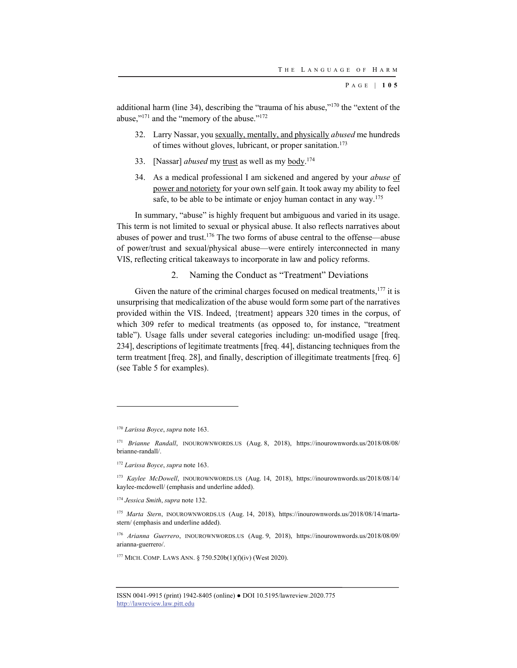additional harm (line 34), describing the "trauma of his abuse,"170 the "extent of the abuse,"171 and the "memory of the abuse."172

- 32. Larry Nassar, you sexually, mentally, and physically *abused* me hundreds of times without gloves, lubricant, or proper sanitation.<sup>173</sup>
- 33. [Nassar] *abused* my trust as well as my body.174
- 34. As a medical professional I am sickened and angered by your *abuse* of power and notoriety for your own self gain. It took away my ability to feel safe, to be able to be intimate or enjoy human contact in any way.175

In summary, "abuse" is highly frequent but ambiguous and varied in its usage. This term is not limited to sexual or physical abuse. It also reflects narratives about abuses of power and trust.<sup>176</sup> The two forms of abuse central to the offense—abuse of power/trust and sexual/physical abuse—were entirely interconnected in many VIS, reflecting critical takeaways to incorporate in law and policy reforms.

# 2. Naming the Conduct as "Treatment" Deviations

Given the nature of the criminal charges focused on medical treatments, $177$  it is unsurprising that medicalization of the abuse would form some part of the narratives provided within the VIS. Indeed, {treatment} appears 320 times in the corpus, of which 309 refer to medical treatments (as opposed to, for instance, "treatment table"). Usage falls under several categories including: un-modified usage [freq. 234], descriptions of legitimate treatments [freq. 44], distancing techniques from the term treatment [freq. 28], and finally, description of illegitimate treatments [freq. 6] (see Table 5 for examples).

<sup>170</sup> *Larissa Boyce*, *supra* note 163.

<sup>171</sup> *Brianne Randall*, INOUROWNWORDS.US (Aug. 8, 2018), https://inourownwords.us/2018/08/08/ brianne-randall/.

<sup>172</sup> *Larissa Boyce*, *supra* note 163.

<sup>173</sup> *Kaylee McDowell*, INOUROWNWORDS.US (Aug. 14, 2018), https://inourownwords.us/2018/08/14/ kaylee-mcdowell/ (emphasis and underline added).

<sup>174</sup> *Jessica Smith*, *supra* note 132.

<sup>175</sup> *Marta Stern*, INOUROWNWORDS.US (Aug. 14, 2018), https://inourownwords.us/2018/08/14/martastern/ (emphasis and underline added).

<sup>176</sup> *Arianna Guerrero*, INOUROWNWORDS.US (Aug. 9, 2018), https://inourownwords.us/2018/08/09/ arianna-guerrero/.

<sup>&</sup>lt;sup>177</sup> MICH. COMP. LAWS ANN. § 750.520b(1)(f)(iv) (West 2020).

ISSN 0041-9915 (print) 1942-8405 (online) ● DOI 10.5195/lawreview.2020.775 http://lawreview.law.pitt.edu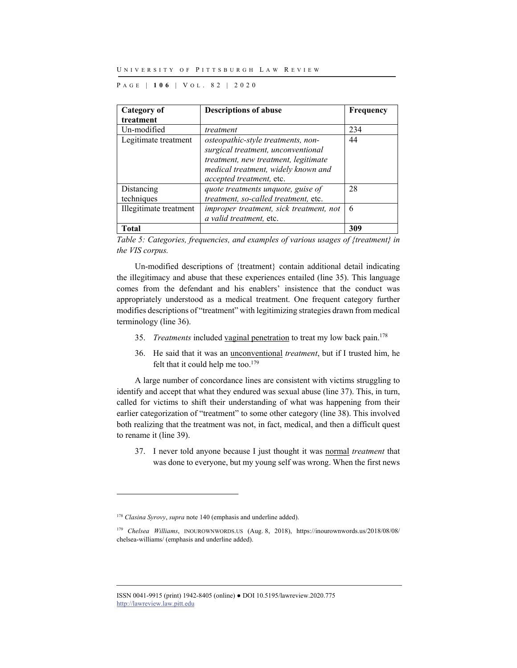P AGE | **106** | V O L . 8 2 | 2020

| Category of              | <b>Descriptions of abuse</b>                                                                                                                                                        | Frequency |
|--------------------------|-------------------------------------------------------------------------------------------------------------------------------------------------------------------------------------|-----------|
| treatment                |                                                                                                                                                                                     |           |
| Un-modified              | treatment                                                                                                                                                                           | 234       |
| Legitimate treatment     | osteopathic-style treatments, non-<br>surgical treatment, unconventional<br>treatment, new treatment, legitimate<br>medical treatment, widely known and<br>accepted treatment, etc. | 44        |
| Distancing<br>techniques | quote treatments unquote, guise of<br>treatment, so-called treatment, etc.                                                                                                          | 28        |
|                          |                                                                                                                                                                                     |           |
| Illegitimate treatment   | improper treatment, sick treatment, not<br>a valid treatment, etc.                                                                                                                  | 6         |
| Total                    |                                                                                                                                                                                     | 309       |

*Table 5: Categories, frequencies, and examples of various usages of {treatment} in the VIS corpus.* 

Un-modified descriptions of {treatment} contain additional detail indicating the illegitimacy and abuse that these experiences entailed (line 35). This language comes from the defendant and his enablers' insistence that the conduct was appropriately understood as a medical treatment. One frequent category further modifies descriptions of "treatment" with legitimizing strategies drawn from medical terminology (line 36).

- 35. *Treatments* included vaginal penetration to treat my low back pain.178
- 36. He said that it was an unconventional *treatment*, but if I trusted him, he felt that it could help me too. $179$

A large number of concordance lines are consistent with victims struggling to identify and accept that what they endured was sexual abuse (line 37). This, in turn, called for victims to shift their understanding of what was happening from their earlier categorization of "treatment" to some other category (line 38). This involved both realizing that the treatment was not, in fact, medical, and then a difficult quest to rename it (line 39).

37. I never told anyone because I just thought it was normal *treatment* that was done to everyone, but my young self was wrong. When the first news

<sup>178</sup> *Clasina Syrovy*, *supra* note 140 (emphasis and underline added).

<sup>179</sup> *Chelsea Williams*, INOUROWNWORDS.US (Aug. 8, 2018), https://inourownwords.us/2018/08/08/ chelsea-williams/ (emphasis and underline added).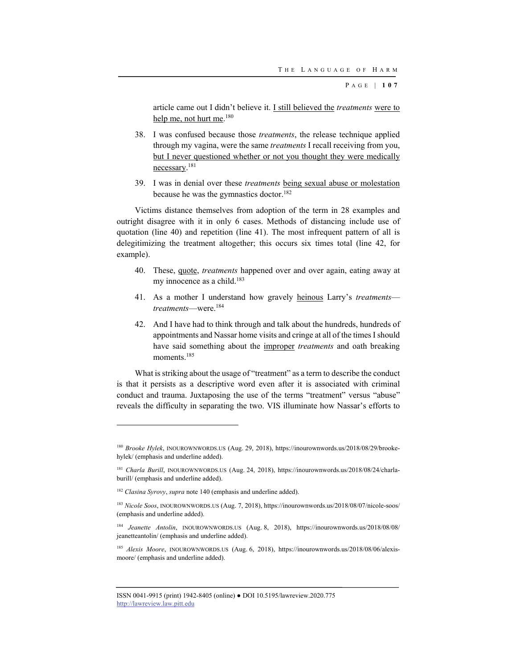article came out I didn't believe it. I still believed the *treatments* were to help me, not hurt me.<sup>180</sup>

- 38. I was confused because those *treatments*, the release technique applied through my vagina, were the same *treatments* I recall receiving from you, but I never questioned whether or not you thought they were medically necessary.181
- 39. I was in denial over these *treatments* being sexual abuse or molestation because he was the gymnastics doctor.<sup>182</sup>

Victims distance themselves from adoption of the term in 28 examples and outright disagree with it in only 6 cases. Methods of distancing include use of quotation (line 40) and repetition (line 41). The most infrequent pattern of all is delegitimizing the treatment altogether; this occurs six times total (line 42, for example).

- 40. These, quote, *treatments* happened over and over again, eating away at my innocence as a child.<sup>183</sup>
- 41. As a mother I understand how gravely heinous Larry's *treatments treatments*—were.184
- 42. And I have had to think through and talk about the hundreds, hundreds of appointments and Nassar home visits and cringe at all of the times I should have said something about the improper *treatments* and oath breaking moments.<sup>185</sup>

What is striking about the usage of "treatment" as a term to describe the conduct is that it persists as a descriptive word even after it is associated with criminal conduct and trauma. Juxtaposing the use of the terms "treatment" versus "abuse" reveals the difficulty in separating the two. VIS illuminate how Nassar's efforts to

l

<sup>180</sup> *Brooke Hylek*, INOUROWNWORDS.US (Aug. 29, 2018), https://inourownwords.us/2018/08/29/brookehylek/ (emphasis and underline added).

<sup>&</sup>lt;sup>181</sup> Charla Burill, INOUROWNWORDS.US (Aug. 24, 2018), https://inourownwords.us/2018/08/24/charlaburill/ (emphasis and underline added).

<sup>182</sup> *Clasina Syrovy*, *supra* note 140 (emphasis and underline added).

<sup>&</sup>lt;sup>183</sup> Nicole Soos, INOUROWNWORDS.US (Aug. 7, 2018), https://inourownwords.us/2018/08/07/nicole-soos/ (emphasis and underline added).

<sup>184</sup> *Jeanette Antolin*, INOUROWNWORDS.US (Aug. 8, 2018), https://inourownwords.us/2018/08/08/ jeanetteantolin/ (emphasis and underline added).

<sup>185</sup> *Alexis Moore*, INOUROWNWORDS.US (Aug. 6, 2018), https://inourownwords.us/2018/08/06/alexismoore/ (emphasis and underline added).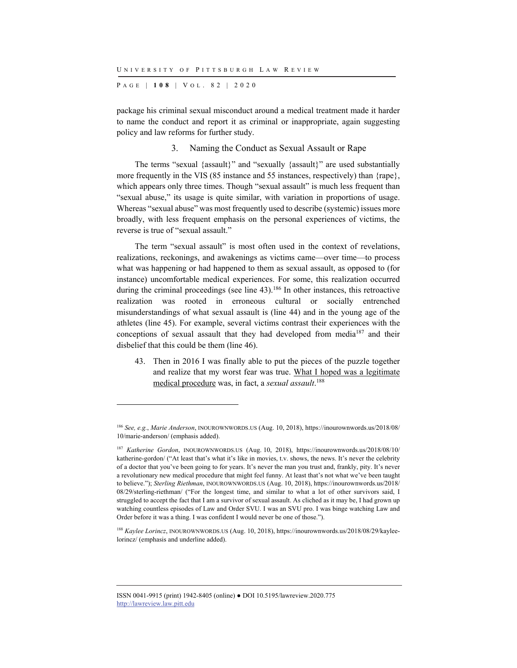P AGE | **108** | V O L . 8 2 | 2020

l

package his criminal sexual misconduct around a medical treatment made it harder to name the conduct and report it as criminal or inappropriate, again suggesting policy and law reforms for further study.

# 3. Naming the Conduct as Sexual Assault or Rape

The terms "sexual {assault}" and "sexually {assault}" are used substantially more frequently in the VIS (85 instance and 55 instances, respectively) than {rape}, which appears only three times. Though "sexual assault" is much less frequent than "sexual abuse," its usage is quite similar, with variation in proportions of usage. Whereas "sexual abuse" was most frequently used to describe (systemic) issues more broadly, with less frequent emphasis on the personal experiences of victims, the reverse is true of "sexual assault."

The term "sexual assault" is most often used in the context of revelations, realizations, reckonings, and awakenings as victims came—over time—to process what was happening or had happened to them as sexual assault, as opposed to (for instance) uncomfortable medical experiences. For some, this realization occurred during the criminal proceedings (see line 43).<sup>186</sup> In other instances, this retroactive realization was rooted in erroneous cultural or socially entrenched misunderstandings of what sexual assault is (line 44) and in the young age of the athletes (line 45). For example, several victims contrast their experiences with the conceptions of sexual assault that they had developed from media187 and their disbelief that this could be them (line 46).

43. Then in 2016 I was finally able to put the pieces of the puzzle together and realize that my worst fear was true. What I hoped was a legitimate medical procedure was, in fact, a *sexual assault*. 188

<sup>186</sup> *See, e.g.*, *Marie Anderson*, INOUROWNWORDS.US (Aug. 10, 2018), https://inourownwords.us/2018/08/ 10/marie-anderson/ (emphasis added).

<sup>187</sup> *Katherine Gordon*, INOUROWNWORDS.US (Aug. 10, 2018), https://inourownwords.us/2018/08/10/ katherine-gordon/ ("At least that's what it's like in movies, t.v. shows, the news. It's never the celebrity of a doctor that you've been going to for years. It's never the man you trust and, frankly, pity. It's never a revolutionary new medical procedure that might feel funny. At least that's not what we've been taught to believe."); *Sterling Riethman*, INOUROWNWORDS.US (Aug. 10, 2018), https://inourownwords.us/2018/ 08/29/sterling-riethman/ ("For the longest time, and similar to what a lot of other survivors said, I struggled to accept the fact that I am a survivor of sexual assault. As cliched as it may be, I had grown up watching countless episodes of Law and Order SVU. I was an SVU pro. I was binge watching Law and Order before it was a thing. I was confident I would never be one of those.").

<sup>188</sup> *Kaylee Lorincz*, INOUROWNWORDS.US (Aug. 10, 2018), https://inourownwords.us/2018/08/29/kayleelorincz/ (emphasis and underline added).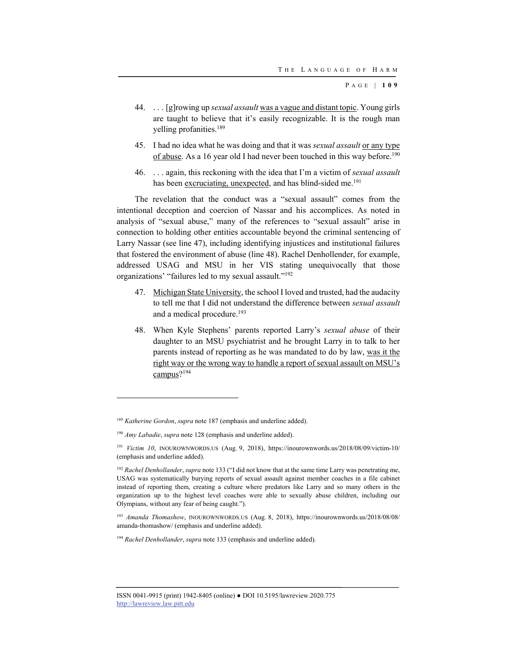- 44. . . . [g]rowing up *sexual assault* was a vague and distant topic. Young girls are taught to believe that it's easily recognizable. It is the rough man yelling profanities.<sup>189</sup>
- 45. I had no idea what he was doing and that it was *sexual assault* or any type of abuse. As a 16 year old I had never been touched in this way before.<sup>190</sup>
- 46. . . . again, this reckoning with the idea that I'm a victim of *sexual assault* has been excruciating, unexpected, and has blind-sided me.<sup>191</sup>

The revelation that the conduct was a "sexual assault" comes from the intentional deception and coercion of Nassar and his accomplices. As noted in analysis of "sexual abuse," many of the references to "sexual assault" arise in connection to holding other entities accountable beyond the criminal sentencing of Larry Nassar (see line 47), including identifying injustices and institutional failures that fostered the environment of abuse (line 48). Rachel Denhollender, for example, addressed USAG and MSU in her VIS stating unequivocally that those organizations' "failures led to my sexual assault."192

- 47. Michigan State University, the school I loved and trusted, had the audacity to tell me that I did not understand the difference between *sexual assault* and a medical procedure.<sup>193</sup>
- 48. When Kyle Stephens' parents reported Larry's *sexual abuse* of their daughter to an MSU psychiatrist and he brought Larry in to talk to her parents instead of reporting as he was mandated to do by law, was it the right way or the wrong way to handle a report of sexual assault on MSU's campus?194

l

<sup>194</sup> *Rachel Denhollander*, *supra* note 133 (emphasis and underline added).

<sup>189</sup> *Katherine Gordon*, *supra* note 187 (emphasis and underline added).

<sup>&</sup>lt;sup>190</sup> *Amy Labadie*, *supra* note 128 (emphasis and underline added).

<sup>191</sup> *Victim 10*, INOUROWNWORDS.US (Aug. 9, 2018), https://inourownwords.us/2018/08/09/victim-10/ (emphasis and underline added).

<sup>192</sup> *Rachel Denhollander*, *supra* note 133 ("I did not know that at the same time Larry was penetrating me, USAG was systematically burying reports of sexual assault against member coaches in a file cabinet instead of reporting them, creating a culture where predators like Larry and so many others in the organization up to the highest level coaches were able to sexually abuse children, including our Olympians, without any fear of being caught.").

<sup>193</sup> *Amanda Thomashow*, INOUROWNWORDS.US (Aug. 8, 2018), https://inourownwords.us/2018/08/08/ amanda-thomashow/ (emphasis and underline added).

ISSN 0041-9915 (print) 1942-8405 (online) ● DOI 10.5195/lawreview.2020.775 http://lawreview.law.pitt.edu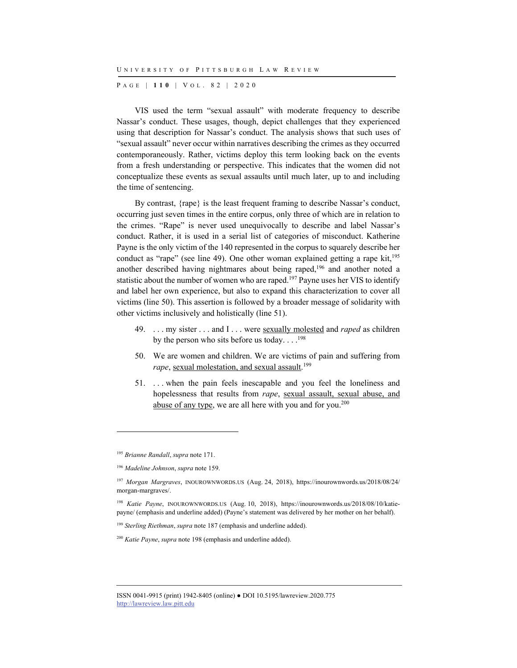P AGE | **110** | V O L . 8 2 | 2020

VIS used the term "sexual assault" with moderate frequency to describe Nassar's conduct. These usages, though, depict challenges that they experienced using that description for Nassar's conduct. The analysis shows that such uses of "sexual assault" never occur within narratives describing the crimes as they occurred contemporaneously. Rather, victims deploy this term looking back on the events from a fresh understanding or perspective. This indicates that the women did not conceptualize these events as sexual assaults until much later, up to and including the time of sentencing.

By contrast, {rape} is the least frequent framing to describe Nassar's conduct, occurring just seven times in the entire corpus, only three of which are in relation to the crimes. "Rape" is never used unequivocally to describe and label Nassar's conduct. Rather, it is used in a serial list of categories of misconduct. Katherine Payne is the only victim of the 140 represented in the corpus to squarely describe her conduct as "rape" (see line 49). One other woman explained getting a rape  $\text{kit}^{195}$ another described having nightmares about being raped,<sup>196</sup> and another noted a statistic about the number of women who are raped.<sup>197</sup> Payne uses her VIS to identify and label her own experience, but also to expand this characterization to cover all victims (line 50). This assertion is followed by a broader message of solidarity with other victims inclusively and holistically (line 51).

- 49. . . . my sister . . . and I . . . were sexually molested and *raped* as children by the person who sits before us today.  $\ldots$ <sup>198</sup>
- 50. We are women and children. We are victims of pain and suffering from rape, sexual molestation, and sexual assault.<sup>199</sup>
- 51. . . . when the pain feels inescapable and you feel the loneliness and hopelessness that results from *rape*, sexual assault, sexual abuse, and abuse of any type, we are all here with you and for you.<sup>200</sup>

<sup>195</sup> *Brianne Randall*, *supra* note 171.

<sup>196</sup> *Madeline Johnson*, *supra* note 159.

<sup>197</sup> *Morgan Margraves*, INOUROWNWORDS.US (Aug. 24, 2018), https://inourownwords.us/2018/08/24/ morgan-margraves/.

<sup>198</sup> *Katie Payne*, INOUROWNWORDS.US (Aug. 10, 2018), https://inourownwords.us/2018/08/10/katiepayne/ (emphasis and underline added) (Payne's statement was delivered by her mother on her behalf).

<sup>&</sup>lt;sup>199</sup> *Sterling Riethman, supra* note 187 (emphasis and underline added).

<sup>200</sup> *Katie Payne*, *supra* note 198 (emphasis and underline added).

ISSN 0041-9915 (print) 1942-8405 (online) ● DOI 10.5195/lawreview.2020.775 http://lawreview.law.pitt.edu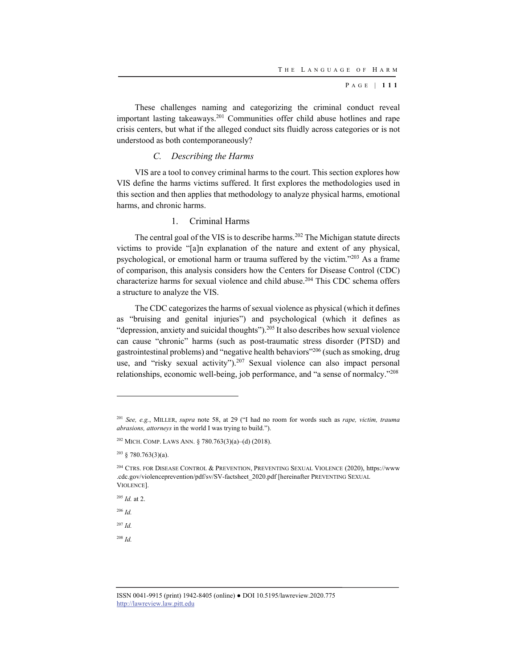These challenges naming and categorizing the criminal conduct reveal important lasting takeaways.<sup>201</sup> Communities offer child abuse hotlines and rape crisis centers, but what if the alleged conduct sits fluidly across categories or is not understood as both contemporaneously?

#### *C. Describing the Harms*

VIS are a tool to convey criminal harms to the court. This section explores how VIS define the harms victims suffered. It first explores the methodologies used in this section and then applies that methodology to analyze physical harms, emotional harms, and chronic harms.

#### 1. Criminal Harms

The central goal of the VIS is to describe harms.<sup>202</sup> The Michigan statute directs victims to provide "[a]n explanation of the nature and extent of any physical, psychological, or emotional harm or trauma suffered by the victim."203 As a frame of comparison, this analysis considers how the Centers for Disease Control (CDC) characterize harms for sexual violence and child abuse.204 This CDC schema offers a structure to analyze the VIS.

The CDC categorizes the harms of sexual violence as physical (which it defines as "bruising and genital injuries") and psychological (which it defines as "depression, anxiety and suicidal thoughts").<sup>205</sup> It also describes how sexual violence can cause "chronic" harms (such as post-traumatic stress disorder (PTSD) and gastrointestinal problems) and "negative health behaviors"206 (such as smoking, drug use, and "risky sexual activity").<sup>207</sup> Sexual violence can also impact personal relationships, economic well-being, job performance, and "a sense of normalcy."208

<sup>205</sup> *Id.* at 2.

<sup>206</sup> *Id.*

l

<sup>207</sup> *Id.*

<sup>208</sup> *Id.*

<sup>201</sup> *See, e.g.*, MILLER, *supra* note 58, at 29 ("I had no room for words such as *rape, victim, trauma abrasions, attorneys* in the world I was trying to build.").

<sup>202</sup> MICH. COMP. LAWS ANN. § 780.763(3)(a)–(d) (2018).

 $203 \S$  780.763(3)(a).

<sup>204</sup> CTRS. FOR DISEASE CONTROL & PREVENTION, PREVENTING SEXUAL VIOLENCE (2020), https://www .cdc.gov/violenceprevention/pdf/sv/SV-factsheet\_2020.pdf [hereinafter PREVENTING SEXUAL VIOLENCE].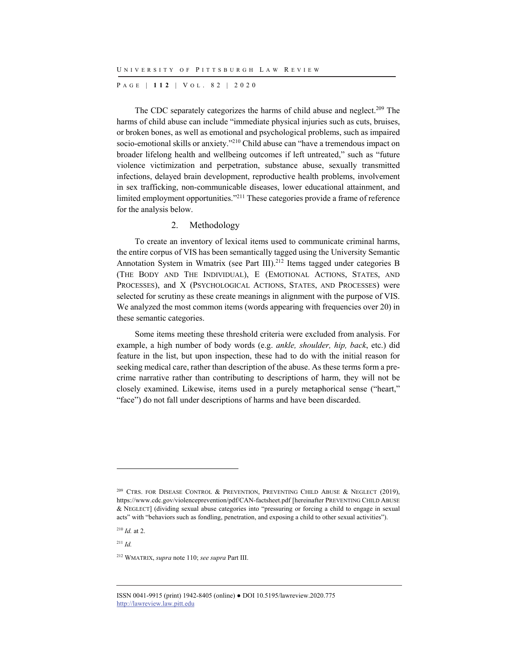P AGE | **112** | V O L . 8 2 | 2020

The CDC separately categorizes the harms of child abuse and neglect.<sup>209</sup> The harms of child abuse can include "immediate physical injuries such as cuts, bruises, or broken bones, as well as emotional and psychological problems, such as impaired socio-emotional skills or anxiety."210 Child abuse can "have a tremendous impact on broader lifelong health and wellbeing outcomes if left untreated," such as "future violence victimization and perpetration, substance abuse, sexually transmitted infections, delayed brain development, reproductive health problems, involvement in sex trafficking, non-communicable diseases, lower educational attainment, and limited employment opportunities."211 These categories provide a frame of reference for the analysis below.

#### 2. Methodology

To create an inventory of lexical items used to communicate criminal harms, the entire corpus of VIS has been semantically tagged using the University Semantic Annotation System in Wmatrix (see Part III).<sup>212</sup> Items tagged under categories B (THE BODY AND THE INDIVIDUAL), E (EMOTIONAL ACTIONS, STATES, AND PROCESSES), and X (PSYCHOLOGICAL ACTIONS, STATES, AND PROCESSES) were selected for scrutiny as these create meanings in alignment with the purpose of VIS. We analyzed the most common items (words appearing with frequencies over 20) in these semantic categories.

Some items meeting these threshold criteria were excluded from analysis. For example, a high number of body words (e.g. *ankle, shoulder, hip, back*, etc.) did feature in the list, but upon inspection, these had to do with the initial reason for seeking medical care, rather than description of the abuse. As these terms form a precrime narrative rather than contributing to descriptions of harm, they will not be closely examined. Likewise, items used in a purely metaphorical sense ("heart," "face") do not fall under descriptions of harms and have been discarded.

<sup>211</sup> *Id.*

<sup>&</sup>lt;sup>209</sup> CTRS. FOR DISEASE CONTROL & PREVENTION, PREVENTING CHILD ABUSE & NEGLECT (2019), https://www.cdc.gov/violenceprevention/pdf/CAN-factsheet.pdf [hereinafter PREVENTING CHILD ABUSE & NEGLECT] (dividing sexual abuse categories into "pressuring or forcing a child to engage in sexual acts" with "behaviors such as fondling, penetration, and exposing a child to other sexual activities").

<sup>210</sup> *Id.* at 2.

<sup>212</sup> WMATRIX, *supra* note 110; *see supra* Part III.

ISSN 0041-9915 (print) 1942-8405 (online) ● DOI 10.5195/lawreview.2020.775 http://lawreview.law.pitt.edu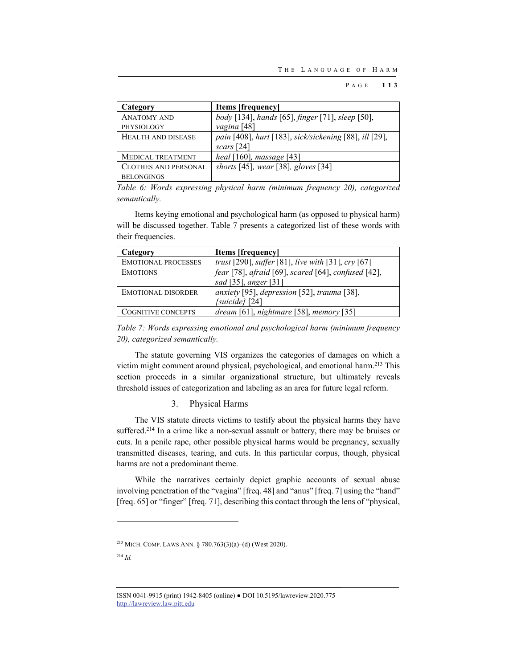| Category                    | <b>Items</b> [frequency]                               |
|-----------------------------|--------------------------------------------------------|
| <b>ANATOMY AND</b>          | body [134], hands [65], finger [71], sleep [50],       |
| <b>PHYSIOLOGY</b>           | vagina [48]                                            |
| HEALTH AND DISEASE          | pain [408], hurt [183], sick/sickening [88], ill [29], |
|                             | scars $[24]$                                           |
| <b>MEDICAL TREATMENT</b>    | heal [160], massage [43]                               |
| <b>CLOTHES AND PERSONAL</b> | shorts [45], wear [38], gloves [34]                    |
| <b>BELONGINGS</b>           |                                                        |

*Table 6: Words expressing physical harm (minimum frequency 20), categorized semantically.* 

Items keying emotional and psychological harm (as opposed to physical harm) will be discussed together. Table 7 presents a categorized list of these words with their frequencies.

| Category                   | <b>Items</b> [frequency]                                                       |
|----------------------------|--------------------------------------------------------------------------------|
| <b>EMOTIONAL PROCESSES</b> | <i>trust</i> [290], <i>suffer</i> [81], <i>live</i> with [31], <i>cry</i> [67] |
| <b>EMOTIONS</b>            | fear [78], afraid [69], scared [64], confused [42],                            |
|                            | sad [35], anger [31]                                                           |
| EMOTIONAL DISORDER         | anxiety [95], depression [52], trauma [38],                                    |
|                            | $\{suicide\}$ [24]                                                             |
| COGNITIVE CONCEPTS         | dream [61], nightmare [58], memory [35]                                        |

*Table 7: Words expressing emotional and psychological harm (minimum frequency 20), categorized semantically.* 

The statute governing VIS organizes the categories of damages on which a victim might comment around physical, psychological, and emotional harm.<sup>213</sup> This section proceeds in a similar organizational structure, but ultimately reveals threshold issues of categorization and labeling as an area for future legal reform.

### 3. Physical Harms

The VIS statute directs victims to testify about the physical harms they have suffered.<sup>214</sup> In a crime like a non-sexual assault or battery, there may be bruises or cuts. In a penile rape, other possible physical harms would be pregnancy, sexually transmitted diseases, tearing, and cuts. In this particular corpus, though, physical harms are not a predominant theme.

While the narratives certainly depict graphic accounts of sexual abuse involving penetration of the "vagina" [freq. 48] and "anus" [freq. 7] using the "hand" [freq. 65] or "finger" [freq. 71], describing this contact through the lens of "physical,

<sup>213</sup> MICH. COMP. LAWS ANN. § 780.763(3)(a)–(d) (West 2020).

<sup>214</sup> *Id.*

ISSN 0041-9915 (print) 1942-8405 (online) ● DOI 10.5195/lawreview.2020.775 http://lawreview.law.pitt.edu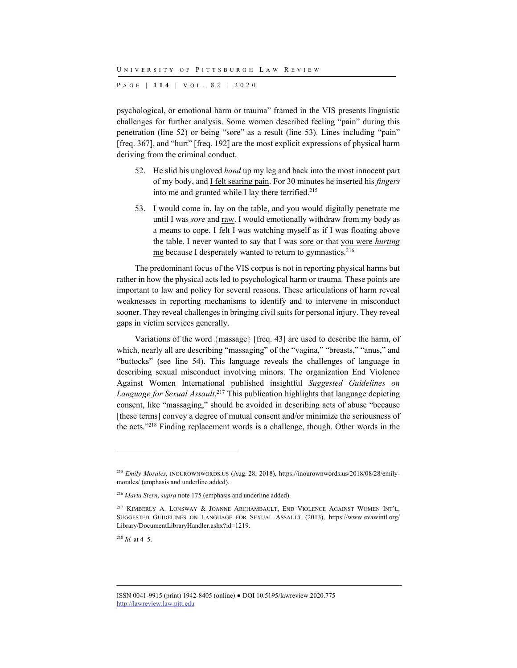P AGE | **114** | V O L . 8 2 | 2020

psychological, or emotional harm or trauma" framed in the VIS presents linguistic challenges for further analysis. Some women described feeling "pain" during this penetration (line 52) or being "sore" as a result (line 53). Lines including "pain" [freq. 367], and "hurt" [freq. 192] are the most explicit expressions of physical harm deriving from the criminal conduct.

- 52. He slid his ungloved *hand* up my leg and back into the most innocent part of my body, and I felt searing pain. For 30 minutes he inserted his *fingers* into me and grunted while I lay there terrified.<sup>215</sup>
- 53. I would come in, lay on the table, and you would digitally penetrate me until I was *sore* and raw. I would emotionally withdraw from my body as a means to cope. I felt I was watching myself as if I was floating above the table. I never wanted to say that I was sore or that you were *hurting* me because I desperately wanted to return to gymnastics.<sup>216</sup>

The predominant focus of the VIS corpus is not in reporting physical harms but rather in how the physical acts led to psychological harm or trauma. These points are important to law and policy for several reasons. These articulations of harm reveal weaknesses in reporting mechanisms to identify and to intervene in misconduct sooner. They reveal challenges in bringing civil suits for personal injury. They reveal gaps in victim services generally.

Variations of the word {massage} [freq. 43] are used to describe the harm, of which, nearly all are describing "massaging" of the "vagina," "breasts," "anus," and "buttocks" (see line 54). This language reveals the challenges of language in describing sexual misconduct involving minors. The organization End Violence Against Women International published insightful *Suggested Guidelines on Language for Sexual Assault*. 217 This publication highlights that language depicting consent, like "massaging," should be avoided in describing acts of abuse "because [these terms] convey a degree of mutual consent and/or minimize the seriousness of the acts."218 Finding replacement words is a challenge, though. Other words in the

<sup>218</sup> *Id.* at 4–5.

<sup>215</sup> *Emily Morales*, INOUROWNWORDS.US (Aug. 28, 2018), https://inourownwords.us/2018/08/28/emilymorales/ (emphasis and underline added).

<sup>216</sup> *Marta Stern*, *supra* note 175 (emphasis and underline added).

<sup>217</sup> KIMBERLY A. LONSWAY & JOANNE ARCHAMBAULT, END VIOLENCE AGAINST WOMEN INT'L, SUGGESTED GUIDELINES ON LANGUAGE FOR SEXUAL ASSAULT (2013), https://www.evawintl.org/ Library/DocumentLibraryHandler.ashx?id=1219.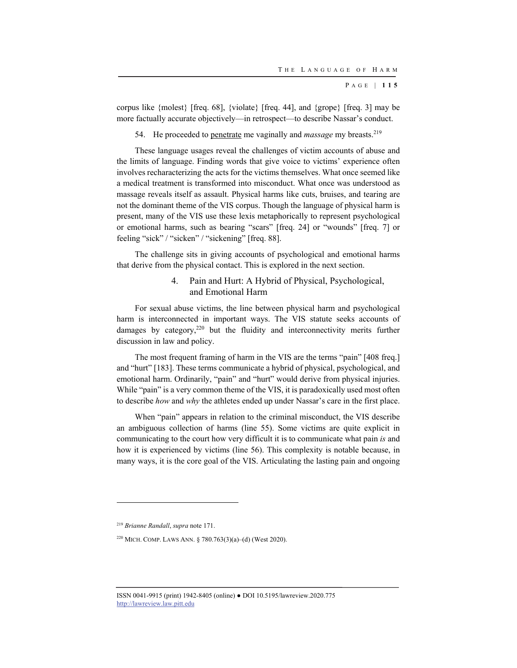corpus like {molest} [freq. 68], {violate} [freq. 44], and {grope} [freq. 3] may be more factually accurate objectively—in retrospect—to describe Nassar's conduct.

54. He proceeded to penetrate me vaginally and *massage* my breasts.219

These language usages reveal the challenges of victim accounts of abuse and the limits of language. Finding words that give voice to victims' experience often involves recharacterizing the acts for the victims themselves. What once seemed like a medical treatment is transformed into misconduct. What once was understood as massage reveals itself as assault. Physical harms like cuts, bruises, and tearing are not the dominant theme of the VIS corpus. Though the language of physical harm is present, many of the VIS use these lexis metaphorically to represent psychological or emotional harms, such as bearing "scars" [freq. 24] or "wounds" [freq. 7] or feeling "sick" / "sicken" / "sickening" [freq. 88].

The challenge sits in giving accounts of psychological and emotional harms that derive from the physical contact. This is explored in the next section.

## 4. Pain and Hurt: A Hybrid of Physical, Psychological, and Emotional Harm

For sexual abuse victims, the line between physical harm and psychological harm is interconnected in important ways. The VIS statute seeks accounts of damages by category,<sup>220</sup> but the fluidity and interconnectivity merits further discussion in law and policy.

The most frequent framing of harm in the VIS are the terms "pain" [408 freq.] and "hurt" [183]. These terms communicate a hybrid of physical, psychological, and emotional harm. Ordinarily, "pain" and "hurt" would derive from physical injuries. While "pain" is a very common theme of the VIS, it is paradoxically used most often to describe *how* and *why* the athletes ended up under Nassar's care in the first place.

When "pain" appears in relation to the criminal misconduct, the VIS describe an ambiguous collection of harms (line 55). Some victims are quite explicit in communicating to the court how very difficult it is to communicate what pain *is* and how it is experienced by victims (line 56). This complexity is notable because, in many ways, it is the core goal of the VIS. Articulating the lasting pain and ongoing

<sup>219</sup> *Brianne Randall*, *supra* note 171.

<sup>220</sup> MICH. COMP. LAWS ANN. § 780.763(3)(a)–(d) (West 2020).

ISSN 0041-9915 (print) 1942-8405 (online) ● DOI 10.5195/lawreview.2020.775 http://lawreview.law.pitt.edu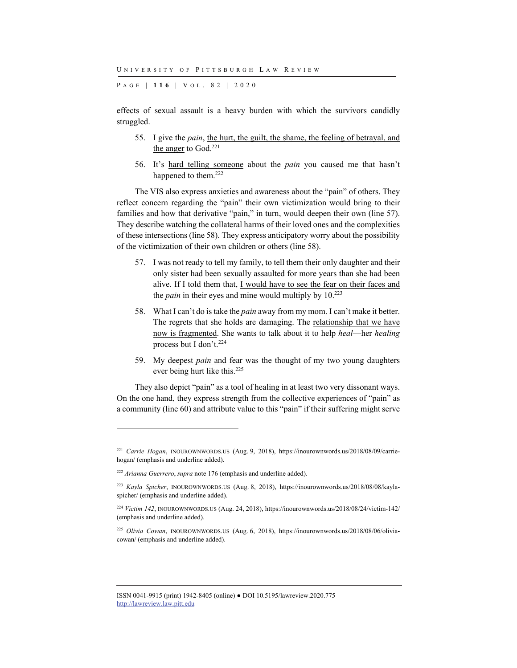P AGE | **116** | V O L . 8 2 | 2020

effects of sexual assault is a heavy burden with which the survivors candidly struggled.

- 55. I give the *pain*, the hurt, the guilt, the shame, the feeling of betrayal, and the anger to  $God.<sup>221</sup>$
- 56. It's hard telling someone about the *pain* you caused me that hasn't happened to them.<sup>222</sup>

The VIS also express anxieties and awareness about the "pain" of others. They reflect concern regarding the "pain" their own victimization would bring to their families and how that derivative "pain," in turn, would deepen their own (line 57). They describe watching the collateral harms of their loved ones and the complexities of these intersections (line 58). They express anticipatory worry about the possibility of the victimization of their own children or others (line 58).

- 57. I was not ready to tell my family, to tell them their only daughter and their only sister had been sexually assaulted for more years than she had been alive. If I told them that, I would have to see the fear on their faces and the *pain* in their eyes and mine would multiply by 10.<sup>223</sup>
- 58. What I can't do is take the *pain* away from my mom. I can't make it better. The regrets that she holds are damaging. The relationship that we have now is fragmented. She wants to talk about it to help *heal*—her *healing* process but I don't.224
- 59. My deepest *pain* and fear was the thought of my two young daughters ever being hurt like this.225

They also depict "pain" as a tool of healing in at least two very dissonant ways. On the one hand, they express strength from the collective experiences of "pain" as a community (line 60) and attribute value to this "pain" if their suffering might serve

<sup>221</sup> *Carrie Hogan*, INOUROWNWORDS.US (Aug. 9, 2018), https://inourownwords.us/2018/08/09/carriehogan/ (emphasis and underline added).

<sup>222</sup> *Arianna Guerrero*, *supra* note 176 (emphasis and underline added).

<sup>223</sup> *Kayla Spicher*, INOUROWNWORDS.US (Aug. 8, 2018), https://inourownwords.us/2018/08/08/kaylaspicher/ (emphasis and underline added).

<sup>224</sup> *Victim 142*, INOUROWNWORDS.US (Aug. 24, 2018), https://inourownwords.us/2018/08/24/victim-142/ (emphasis and underline added).

<sup>225</sup> *Olivia Cowan*, INOUROWNWORDS.US (Aug. 6, 2018), https://inourownwords.us/2018/08/06/oliviacowan/ (emphasis and underline added).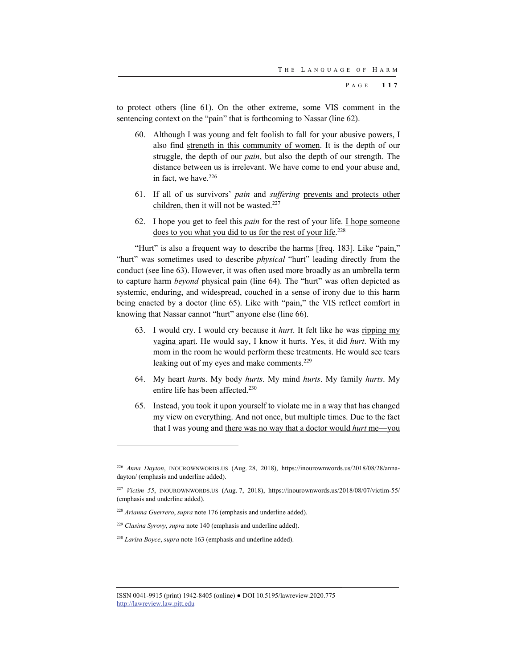to protect others (line 61). On the other extreme, some VIS comment in the sentencing context on the "pain" that is forthcoming to Nassar (line 62).

- 60. Although I was young and felt foolish to fall for your abusive powers, I also find strength in this community of women. It is the depth of our struggle, the depth of our *pain*, but also the depth of our strength. The distance between us is irrelevant. We have come to end your abuse and, in fact, we have. $226$
- 61. If all of us survivors' *pain* and *suffering* prevents and protects other children, then it will not be wasted.<sup>227</sup>
- 62. I hope you get to feel this *pain* for the rest of your life. I hope someone does to you what you did to us for the rest of your life.<sup>228</sup>

"Hurt" is also a frequent way to describe the harms [freq. 183]. Like "pain," "hurt" was sometimes used to describe *physical* "hurt" leading directly from the conduct (see line 63). However, it was often used more broadly as an umbrella term to capture harm *beyond* physical pain (line 64). The "hurt" was often depicted as systemic, enduring, and widespread, couched in a sense of irony due to this harm being enacted by a doctor (line 65). Like with "pain," the VIS reflect comfort in knowing that Nassar cannot "hurt" anyone else (line 66).

- 63. I would cry. I would cry because it *hurt*. It felt like he was ripping my vagina apart. He would say, I know it hurts. Yes, it did *hurt*. With my mom in the room he would perform these treatments. He would see tears leaking out of my eyes and make comments.<sup>229</sup>
- 64. My heart *hurt*s. My body *hurts*. My mind *hurts*. My family *hurts*. My entire life has been affected.<sup>230</sup>
- 65. Instead, you took it upon yourself to violate me in a way that has changed my view on everything. And not once, but multiple times. Due to the fact that I was young and there was no way that a doctor would *hurt* me—you

<sup>226</sup> *Anna Dayton*, INOUROWNWORDS.US (Aug. 28, 2018), https://inourownwords.us/2018/08/28/annadayton/ (emphasis and underline added).

<sup>227</sup> *Victim 55*, INOUROWNWORDS.US (Aug. 7, 2018), https://inourownwords.us/2018/08/07/victim-55/ (emphasis and underline added).

<sup>228</sup> *Arianna Guerrero*, *supra* note 176 (emphasis and underline added).

<sup>229</sup> *Clasina Syrovy*, *supra* note 140 (emphasis and underline added).

<sup>230</sup> *Larisa Boyce*, *supra* note 163 (emphasis and underline added).

ISSN 0041-9915 (print) 1942-8405 (online) ● DOI 10.5195/lawreview.2020.775 http://lawreview.law.pitt.edu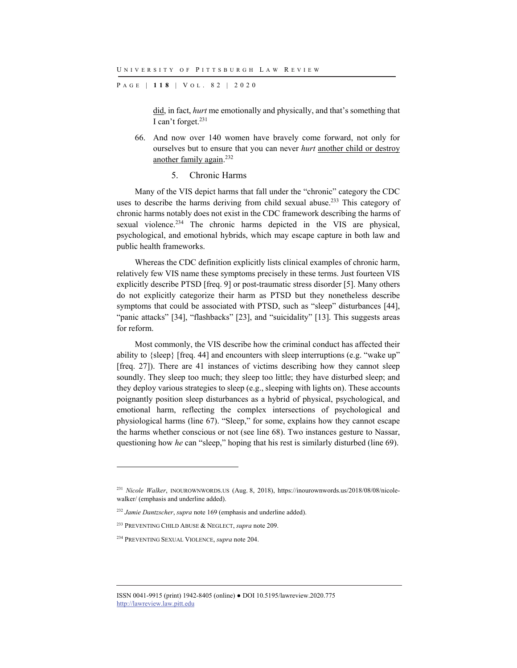P AGE | **118** | V O L . 8 2 | 2020

did, in fact, *hurt* me emotionally and physically, and that's something that I can't forget.231

- 66. And now over 140 women have bravely come forward, not only for ourselves but to ensure that you can never *hurt* another child or destroy another family again.232
	- 5. Chronic Harms

Many of the VIS depict harms that fall under the "chronic" category the CDC uses to describe the harms deriving from child sexual abuse.<sup>233</sup> This category of chronic harms notably does not exist in the CDC framework describing the harms of sexual violence.<sup>234</sup> The chronic harms depicted in the VIS are physical, psychological, and emotional hybrids, which may escape capture in both law and public health frameworks.

Whereas the CDC definition explicitly lists clinical examples of chronic harm, relatively few VIS name these symptoms precisely in these terms. Just fourteen VIS explicitly describe PTSD [freq. 9] or post-traumatic stress disorder [5]. Many others do not explicitly categorize their harm as PTSD but they nonetheless describe symptoms that could be associated with PTSD, such as "sleep" disturbances [44], "panic attacks" [34], "flashbacks" [23], and "suicidality" [13]. This suggests areas for reform.

Most commonly, the VIS describe how the criminal conduct has affected their ability to {sleep} [freq. 44] and encounters with sleep interruptions (e.g. "wake up" [freq. 27]). There are 41 instances of victims describing how they cannot sleep soundly. They sleep too much; they sleep too little; they have disturbed sleep; and they deploy various strategies to sleep (e.g., sleeping with lights on). These accounts poignantly position sleep disturbances as a hybrid of physical, psychological, and emotional harm, reflecting the complex intersections of psychological and physiological harms (line 67). "Sleep," for some, explains how they cannot escape the harms whether conscious or not (see line 68). Two instances gesture to Nassar, questioning how *he* can "sleep," hoping that his rest is similarly disturbed (line 69).

<sup>231</sup> *Nicole Walker*, INOUROWNWORDS.US (Aug. 8, 2018), https://inourownwords.us/2018/08/08/nicolewalker/ (emphasis and underline added).

<sup>232</sup> *Jamie Dantzscher*, *supra* note 169 (emphasis and underline added).

<sup>233</sup> PREVENTING CHILD ABUSE & NEGLECT, *supra* note 209.

<sup>234</sup> PREVENTING SEXUAL VIOLENCE, *supra* note 204.

ISSN 0041-9915 (print) 1942-8405 (online) ● DOI 10.5195/lawreview.2020.775 http://lawreview.law.pitt.edu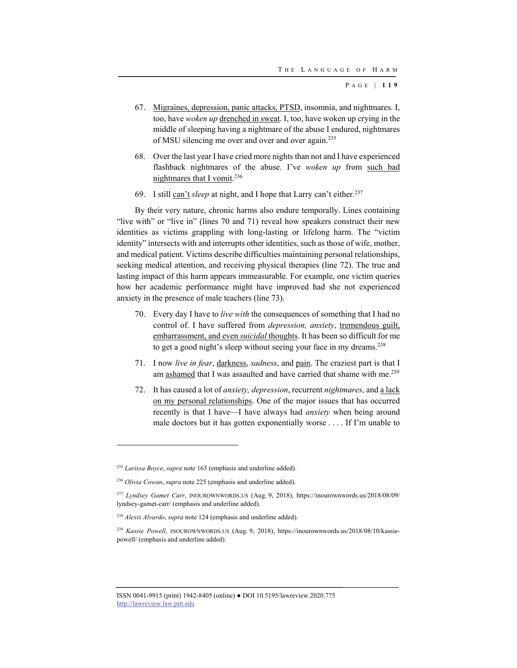- 67. Migraines, depression, panic attacks, PTSD, insomnia, and nightmares. I, too, have *woken up* drenched in sweat. I, too, have woken up crying in the middle of sleeping having a nightmare of the abuse I endured, nightmares of MSU silencing me over and over and over again.<sup>235</sup>
- 68. Over the last year I have cried more nights than not and I have experienced flashback nightmares of the abuse. I've *woken up* from such bad nightmares that I vomit.236
- 69. I still can't *sleep* at night, and I hope that Larry can't either.<sup>237</sup>

By their very nature, chronic harms also endure temporally. Lines containing "live with" or "live in" (lines 70 and 71) reveal how speakers construct their new identities as victims grappling with long-lasting or lifelong harm. The "victim identity" intersects with and interrupts other identities, such as those of wife, mother, and medical patient. Victims describe difficulties maintaining personal relationships, seeking medical attention, and receiving physical therapies (line 72). The true and lasting impact of this harm appears immeasurable. For example, one victim queries how her academic performance might have improved had she not experienced anxiety in the presence of male teachers (line 73).

- 70. Every day I have to *live with* the consequences of something that I had no control of. I have suffered from *depression, anxiety*, tremendous guilt, embarrassment, and even *suicidal* thoughts. It has been so difficult for me to get a good night's sleep without seeing your face in my dreams.<sup>238</sup>
- 71. I now *live in fear*, darkness, *sadness*, and pain. The craziest part is that I am ashamed that I was assaulted and have carried that shame with me.<sup>239</sup>
- 72. It has caused a lot of *anxiety, depression*, recurrent *nightmares*, and a lack on my personal relationships. One of the major issues that has occurred recently is that I have—I have always had *anxiety* when being around male doctors but it has gotten exponentially worse . . . . If I'm unable to

<sup>235</sup> *Larissa Boyce*, *supra* note 163 (emphasis and underline added).

<sup>236</sup> *Olivia Cowan*, *supra* note 225 (emphasis and underline added).

<sup>237</sup> *Lyndsey Gamet Carr*, INOUROWNWORDS.US (Aug. 9, 2018), https://inourownwords.us/2018/08/09/ lyndsey-gamet-carr/ (emphasis and underline added).

<sup>238</sup> *Alexis Alvardo*, *supra* note 124 (emphasis and underline added).

<sup>&</sup>lt;sup>239</sup> Kassie Powell, INOUROWNWORDS.US (Aug. 9, 2018), https://inourownwords.us/2018/08/10/kassiepowell/ (emphasis and underline added).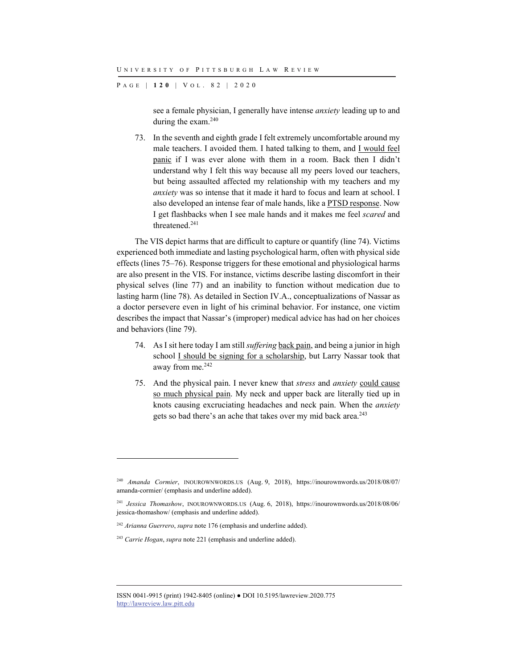P AGE | **120** | V O L . 8 2 | 2020

see a female physician, I generally have intense *anxiety* leading up to and during the exam.<sup>240</sup>

73. In the seventh and eighth grade I felt extremely uncomfortable around my male teachers. I avoided them. I hated talking to them, and I would feel panic if I was ever alone with them in a room. Back then I didn't understand why I felt this way because all my peers loved our teachers, but being assaulted affected my relationship with my teachers and my *anxiety* was so intense that it made it hard to focus and learn at school. I also developed an intense fear of male hands, like a **PTSD** response. Now I get flashbacks when I see male hands and it makes me feel *scared* and threatened.241

The VIS depict harms that are difficult to capture or quantify (line 74). Victims experienced both immediate and lasting psychological harm, often with physical side effects (lines 75–76). Response triggers for these emotional and physiological harms are also present in the VIS. For instance, victims describe lasting discomfort in their physical selves (line 77) and an inability to function without medication due to lasting harm (line 78). As detailed in Section IV.A., conceptualizations of Nassar as a doctor persevere even in light of his criminal behavior. For instance, one victim describes the impact that Nassar's (improper) medical advice has had on her choices and behaviors (line 79).

- 74. As I sit here today I am still *suffering* back pain, and being a junior in high school I should be signing for a scholarship, but Larry Nassar took that away from me.242
- 75. And the physical pain. I never knew that *stress* and *anxiety* could cause so much physical pain. My neck and upper back are literally tied up in knots causing excruciating headaches and neck pain. When the *anxiety* gets so bad there's an ache that takes over my mid back area.<sup>243</sup>

<sup>240</sup> *Amanda Cormier*, INOUROWNWORDS.US (Aug. 9, 2018), https://inourownwords.us/2018/08/07/ amanda-cormier/ (emphasis and underline added).

<sup>241</sup> *Jessica Thomashow*, INOUROWNWORDS.US (Aug. 6, 2018), https://inourownwords.us/2018/08/06/ jessica-thomashow/ (emphasis and underline added).

<sup>242</sup> *Arianna Guerrero*, *supra* note 176 (emphasis and underline added).

<sup>243</sup> *Carrie Hogan*, *supra* note 221 (emphasis and underline added).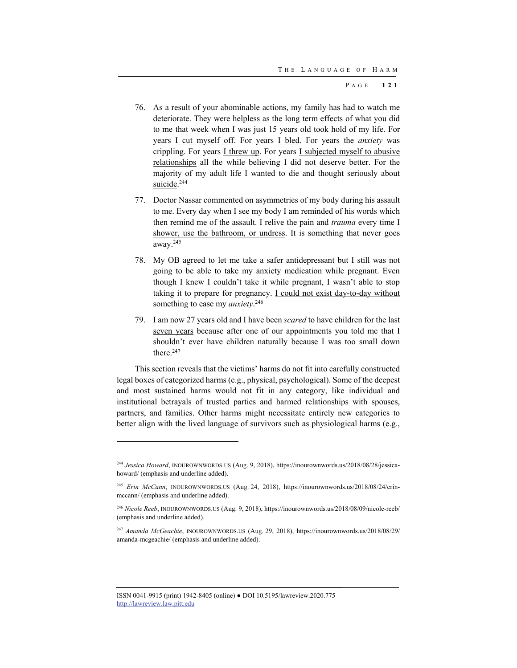- 76. As a result of your abominable actions, my family has had to watch me deteriorate. They were helpless as the long term effects of what you did to me that week when I was just 15 years old took hold of my life. For years I cut myself off. For years I bled. For years the *anxiety* was crippling. For years I threw up. For years I subjected myself to abusive relationships all the while believing I did not deserve better. For the majority of my adult life I wanted to die and thought seriously about suicide.<sup>244</sup>
- 77. Doctor Nassar commented on asymmetries of my body during his assault to me. Every day when I see my body I am reminded of his words which then remind me of the assault. I relive the pain and *trauma* every time I shower, use the bathroom, or undress. It is something that never goes away.245
- 78. My OB agreed to let me take a safer antidepressant but I still was not going to be able to take my anxiety medication while pregnant. Even though I knew I couldn't take it while pregnant, I wasn't able to stop taking it to prepare for pregnancy. I could not exist day-to-day without something to ease my *anxiety*. 246
- 79. I am now 27 years old and I have been *scared* to have children for the last seven years because after one of our appointments you told me that I shouldn't ever have children naturally because I was too small down there.<sup>247</sup>

This section reveals that the victims' harms do not fit into carefully constructed legal boxes of categorized harms (e.g., physical, psychological). Some of the deepest and most sustained harms would not fit in any category, like individual and institutional betrayals of trusted parties and harmed relationships with spouses, partners, and families. Other harms might necessitate entirely new categories to better align with the lived language of survivors such as physiological harms (e.g.,

<sup>&</sup>lt;sup>244</sup> Jessica Howard, INOUROWNWORDS.US (Aug. 9, 2018), https://inourownwords.us/2018/08/28/jessicahoward/ (emphasis and underline added).

<sup>&</sup>lt;sup>245</sup> *Erin McCann*, INOUROWNWORDS.US (Aug. 24, 2018), https://inourownwords.us/2018/08/24/erinmccann/ (emphasis and underline added).

<sup>246</sup> *Nicole Reeb*, INOUROWNWORDS.US (Aug. 9, 2018), https://inourownwords.us/2018/08/09/nicole-reeb/ (emphasis and underline added).

<sup>247</sup> *Amanda McGeachie*, INOUROWNWORDS.US (Aug. 29, 2018), https://inourownwords.us/2018/08/29/ amanda-mcgeachie/ (emphasis and underline added).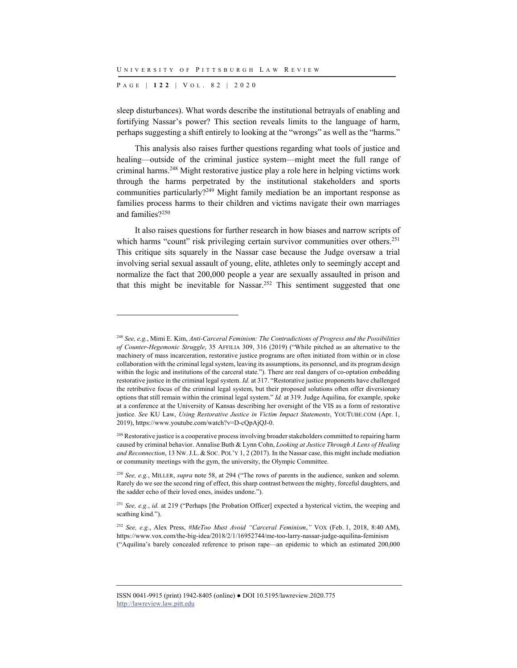P AGE | **122** | V O L . 8 2 | 2020

l

sleep disturbances). What words describe the institutional betrayals of enabling and fortifying Nassar's power? This section reveals limits to the language of harm, perhaps suggesting a shift entirely to looking at the "wrongs" as well as the "harms."

This analysis also raises further questions regarding what tools of justice and healing—outside of the criminal justice system—might meet the full range of criminal harms.248 Might restorative justice play a role here in helping victims work through the harms perpetrated by the institutional stakeholders and sports communities particularly?249 Might family mediation be an important response as families process harms to their children and victims navigate their own marriages and families?250

It also raises questions for further research in how biases and narrow scripts of which harms "count" risk privileging certain survivor communities over others.<sup>251</sup> This critique sits squarely in the Nassar case because the Judge oversaw a trial involving serial sexual assault of young, elite, athletes only to seemingly accept and normalize the fact that 200,000 people a year are sexually assaulted in prison and that this might be inevitable for Nassar.252 This sentiment suggested that one

<sup>248</sup> *See, e.g.*, Mimi E. Kim, *Anti-Carceral Feminism: The Contradictions of Progress and the Possibilities of Counter-Hegemonic Struggle*, 35 AFFILIA 309, 316 (2019) ("While pitched as an alternative to the machinery of mass incarceration, restorative justice programs are often initiated from within or in close collaboration with the criminal legal system, leaving its assumptions, its personnel, and its program design within the logic and institutions of the carceral state."). There are real dangers of co-optation embedding restorative justice in the criminal legal system. *Id.* at 317. "Restorative justice proponents have challenged the retributive focus of the criminal legal system, but their proposed solutions often offer diversionary options that still remain within the criminal legal system." *Id.* at 319. Judge Aquilina, for example, spoke at a conference at the University of Kansas describing her oversight of the VIS as a form of restorative justice. *See* KU Law, *Using Restorative Justice in Victim Impact Statements*, YOUTUBE.COM (Apr. 1, 2019), https://www.youtube.com/watch?v=D-cQpAjQJ-0.

<sup>&</sup>lt;sup>249</sup> Restorative justice is a cooperative process involving broader stakeholders committed to repairing harm caused by criminal behavior. Annalise Buth & Lynn Cohn, *Looking at Justice Through A Lens of Healing and Reconnection*, 13 NW.J.L. & SOC. POL'Y 1, 2 (2017). In the Nassar case, this might include mediation or community meetings with the gym, the university, the Olympic Committee.

<sup>250</sup> *See, e.g.*, MILLER, *supra* note 58, at 294 ("The rows of parents in the audience, sunken and solemn. Rarely do we see the second ring of effect, this sharp contrast between the mighty, forceful daughters, and the sadder echo of their loved ones, insides undone.").

<sup>251</sup> *See, e.g.*, *id.* at 219 ("Perhaps [the Probation Officer] expected a hysterical victim, the weeping and scathing kind.").

<sup>252</sup> *See, e.g.*, Alex Press, *#MeToo Must Avoid "Carceral Feminism*,*"* VOX (Feb. 1, 2018, 8:40 AM), https://www.vox.com/the-big-idea/2018/2/1/16952744/me-too-larry-nassar-judge-aquilina-feminism ("Aquilina's barely concealed reference to prison rape—an epidemic to which an estimated 200,000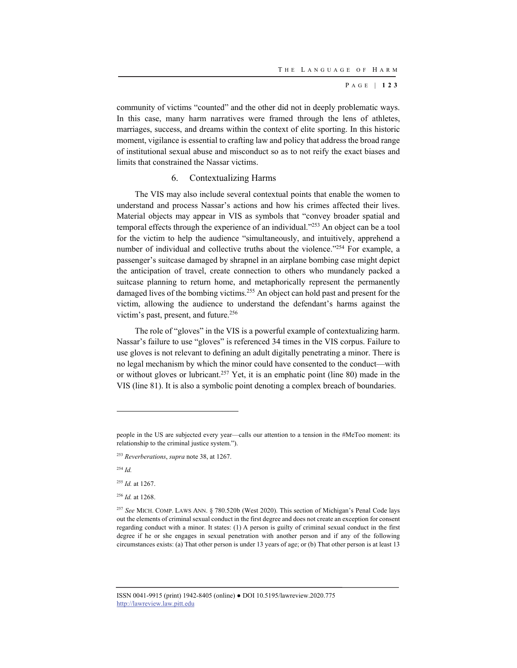community of victims "counted" and the other did not in deeply problematic ways. In this case, many harm narratives were framed through the lens of athletes, marriages, success, and dreams within the context of elite sporting. In this historic moment, vigilance is essential to crafting law and policy that address the broad range of institutional sexual abuse and misconduct so as to not reify the exact biases and limits that constrained the Nassar victims.

#### 6. Contextualizing Harms

The VIS may also include several contextual points that enable the women to understand and process Nassar's actions and how his crimes affected their lives. Material objects may appear in VIS as symbols that "convey broader spatial and temporal effects through the experience of an individual."253 An object can be a tool for the victim to help the audience "simultaneously, and intuitively, apprehend a number of individual and collective truths about the violence."<sup>254</sup> For example, a passenger's suitcase damaged by shrapnel in an airplane bombing case might depict the anticipation of travel, create connection to others who mundanely packed a suitcase planning to return home, and metaphorically represent the permanently damaged lives of the bombing victims.255 An object can hold past and present for the victim, allowing the audience to understand the defendant's harms against the victim's past, present, and future.256

The role of "gloves" in the VIS is a powerful example of contextualizing harm. Nassar's failure to use "gloves" is referenced 34 times in the VIS corpus. Failure to use gloves is not relevant to defining an adult digitally penetrating a minor. There is no legal mechanism by which the minor could have consented to the conduct—with or without gloves or lubricant.<sup>257</sup> Yet, it is an emphatic point (line 80) made in the VIS (line 81). It is also a symbolic point denoting a complex breach of boundaries.

<sup>254</sup> *Id.*

l

<sup>255</sup> *Id.* at 1267.

<sup>256</sup> *Id.* at 1268.

people in the US are subjected every year—calls our attention to a tension in the #MeToo moment: its relationship to the criminal justice system.").

<sup>253</sup> *Reverberations*, *supra* note 38, at 1267.

<sup>257</sup> *See* MICH. COMP. LAWS ANN. § 780.520b (West 2020). This section of Michigan's Penal Code lays out the elements of criminal sexual conduct in the first degree and does not create an exception for consent regarding conduct with a minor. It states: (1) A person is guilty of criminal sexual conduct in the first degree if he or she engages in sexual penetration with another person and if any of the following circumstances exists: (a) That other person is under 13 years of age; or (b) That other person is at least 13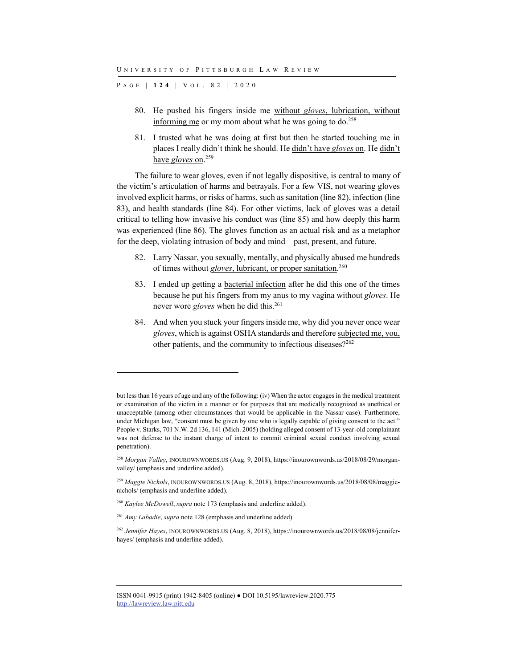P AGE | **124** | V O L . 8 2 | 2020

- 80. He pushed his fingers inside me without *gloves*, lubrication, without informing me or my mom about what he was going to  $do.^{258}$
- 81. I trusted what he was doing at first but then he started touching me in places I really didn't think he should. He didn't have *gloves* on. He didn't have *gloves* on.259

The failure to wear gloves, even if not legally dispositive, is central to many of the victim's articulation of harms and betrayals. For a few VIS, not wearing gloves involved explicit harms, or risks of harms, such as sanitation (line 82), infection (line 83), and health standards (line 84). For other victims, lack of gloves was a detail critical to telling how invasive his conduct was (line 85) and how deeply this harm was experienced (line 86). The gloves function as an actual risk and as a metaphor for the deep, violating intrusion of body and mind—past, present, and future.

- 82. Larry Nassar, you sexually, mentally, and physically abused me hundreds of times without *gloves*, lubricant, or proper sanitation.<sup>260</sup>
- 83. I ended up getting a bacterial infection after he did this one of the times because he put his fingers from my anus to my vagina without *gloves*. He never wore *gloves* when he did this.261
- 84. And when you stuck your fingers inside me, why did you never once wear *gloves*, which is against OSHA standards and therefore subjected me, you, other patients, and the community to infectious diseases?<sup>262</sup>

but less than 16 years of age and any of the following: (iv) When the actor engages in the medical treatment or examination of the victim in a manner or for purposes that are medically recognized as unethical or unacceptable (among other circumstances that would be applicable in the Nassar case). Furthermore, under Michigan law, "consent must be given by one who is legally capable of giving consent to the act." People v. Starks, 701 N.W. 2d 136, 141 (Mich. 2005) (holding alleged consent of 13-year-old complainant was not defense to the instant charge of intent to commit criminal sexual conduct involving sexual penetration).

<sup>258</sup> *Morgan Valley*, INOUROWNWORDS.US (Aug. 9, 2018), https://inourownwords.us/2018/08/29/morganvalley/ (emphasis and underline added).

<sup>259</sup> *Maggie Nichols*, INOUROWNWORDS.US (Aug. 8, 2018), https://inourownwords.us/2018/08/08/maggienichols/ (emphasis and underline added).

<sup>260</sup> *Kaylee McDowell*, *supra* note 173 (emphasis and underline added).

<sup>261</sup> *Amy Labadie*, *supra* note 128 (emphasis and underline added).

<sup>262</sup> *Jennifer Hayes*, INOUROWNWORDS.US (Aug. 8, 2018), https://inourownwords.us/2018/08/08/jenniferhayes/ (emphasis and underline added).

ISSN 0041-9915 (print) 1942-8405 (online) ● DOI 10.5195/lawreview.2020.775 http://lawreview.law.pitt.edu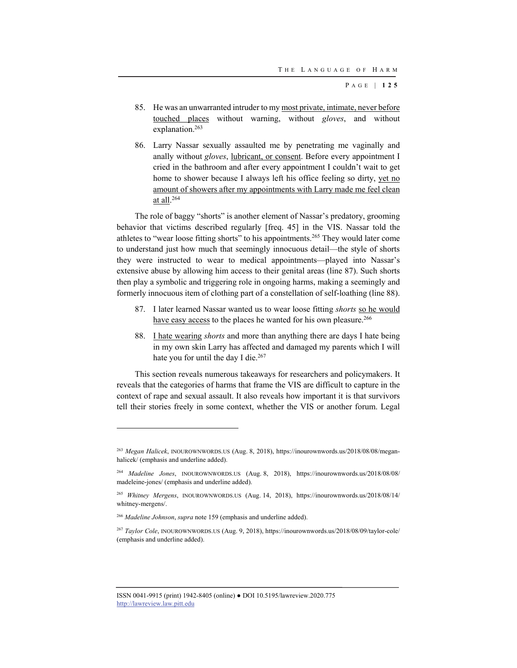- 85. He was an unwarranted intruder to my most private, intimate, never before touched places without warning, without *gloves*, and without explanation.263
- 86. Larry Nassar sexually assaulted me by penetrating me vaginally and anally without *gloves*, *lubricant*, or consent. Before every appointment I cried in the bathroom and after every appointment I couldn't wait to get home to shower because I always left his office feeling so dirty, yet no amount of showers after my appointments with Larry made me feel clean at all.264

The role of baggy "shorts" is another element of Nassar's predatory, grooming behavior that victims described regularly [freq. 45] in the VIS. Nassar told the athletes to "wear loose fitting shorts" to his appointments.265 They would later come to understand just how much that seemingly innocuous detail—the style of shorts they were instructed to wear to medical appointments—played into Nassar's extensive abuse by allowing him access to their genital areas (line 87). Such shorts then play a symbolic and triggering role in ongoing harms, making a seemingly and formerly innocuous item of clothing part of a constellation of self-loathing (line 88).

- 87. I later learned Nassar wanted us to wear loose fitting *shorts* so he would have easy access to the places he wanted for his own pleasure.<sup>266</sup>
- 88. I hate wearing *shorts* and more than anything there are days I hate being in my own skin Larry has affected and damaged my parents which I will hate you for until the day I die.<sup>267</sup>

This section reveals numerous takeaways for researchers and policymakers. It reveals that the categories of harms that frame the VIS are difficult to capture in the context of rape and sexual assault. It also reveals how important it is that survivors tell their stories freely in some context, whether the VIS or another forum. Legal

<sup>263</sup> *Megan Halicek*, INOUROWNWORDS.US (Aug. 8, 2018), https://inourownwords.us/2018/08/08/meganhalicek/ (emphasis and underline added).

<sup>264</sup> *Madeline Jones*, INOUROWNWORDS.US (Aug. 8, 2018), https://inourownwords.us/2018/08/08/ madeleine-jones/ (emphasis and underline added).

<sup>265</sup> *Whitney Mergens*, INOUROWNWORDS.US (Aug. 14, 2018), https://inourownwords.us/2018/08/14/ whitney-mergens/.

<sup>266</sup> *Madeline Johnson*, *supra* note 159 (emphasis and underline added).

<sup>267</sup> *Taylor Cole*, INOUROWNWORDS.US (Aug. 9, 2018), https://inourownwords.us/2018/08/09/taylor-cole/ (emphasis and underline added).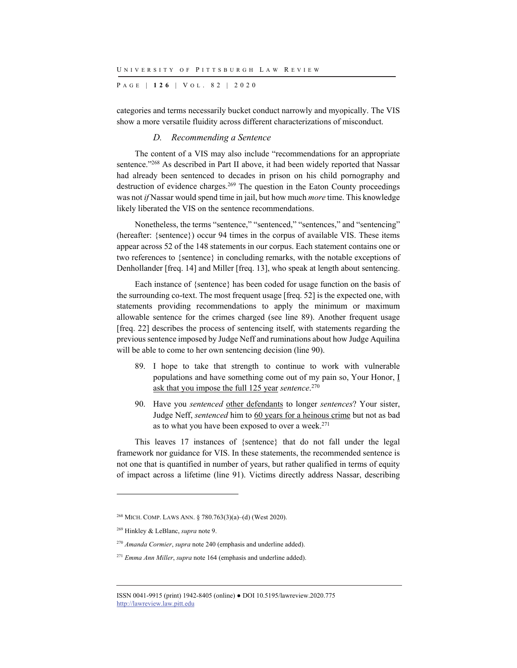P AGE | **126** | V O L . 8 2 | 2020

categories and terms necessarily bucket conduct narrowly and myopically. The VIS show a more versatile fluidity across different characterizations of misconduct.

#### *D. Recommending a Sentence*

The content of a VIS may also include "recommendations for an appropriate sentence."<sup>268</sup> As described in Part II above, it had been widely reported that Nassar had already been sentenced to decades in prison on his child pornography and destruction of evidence charges.<sup>269</sup> The question in the Eaton County proceedings was not *if* Nassar would spend time in jail, but how much *more* time. This knowledge likely liberated the VIS on the sentence recommendations.

Nonetheless, the terms "sentence," "sentenced," "sentences," and "sentencing" (hereafter: {sentence}) occur 94 times in the corpus of available VIS. These items appear across 52 of the 148 statements in our corpus. Each statement contains one or two references to {sentence} in concluding remarks, with the notable exceptions of Denhollander [freq. 14] and Miller [freq. 13], who speak at length about sentencing.

Each instance of {sentence} has been coded for usage function on the basis of the surrounding co-text. The most frequent usage [freq. 52] is the expected one, with statements providing recommendations to apply the minimum or maximum allowable sentence for the crimes charged (see line 89). Another frequent usage [freq. 22] describes the process of sentencing itself, with statements regarding the previous sentence imposed by Judge Neff and ruminations about how Judge Aquilina will be able to come to her own sentencing decision (line 90).

- 89. I hope to take that strength to continue to work with vulnerable populations and have something come out of my pain so, Your Honor, I ask that you impose the full 125 year *sentence*. 270
- 90. Have you *sentenced* other defendants to longer *sentences*? Your sister, Judge Neff, *sentenced* him to 60 years for a heinous crime but not as bad as to what you have been exposed to over a week.<sup>271</sup>

This leaves 17 instances of {sentence} that do not fall under the legal framework nor guidance for VIS. In these statements, the recommended sentence is not one that is quantified in number of years, but rather qualified in terms of equity of impact across a lifetime (line 91). Victims directly address Nassar, describing

<sup>268</sup> MICH. COMP. LAWS ANN. § 780.763(3)(a)–(d) (West 2020).

<sup>269</sup> Hinkley & LeBlanc, *supra* note 9.

<sup>270</sup> *Amanda Cormier*, *supra* note 240 (emphasis and underline added).

<sup>271</sup> *Emma Ann Miller*, *supra* note 164 (emphasis and underline added).

ISSN 0041-9915 (print) 1942-8405 (online) ● DOI 10.5195/lawreview.2020.775 http://lawreview.law.pitt.edu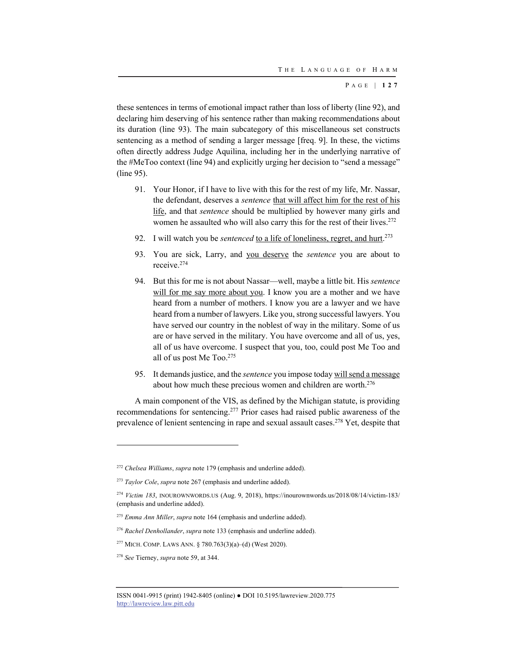these sentences in terms of emotional impact rather than loss of liberty (line 92), and declaring him deserving of his sentence rather than making recommendations about its duration (line 93). The main subcategory of this miscellaneous set constructs sentencing as a method of sending a larger message [freq. 9]. In these, the victims often directly address Judge Aquilina, including her in the underlying narrative of the #MeToo context (line 94) and explicitly urging her decision to "send a message" (line 95).

- 91. Your Honor, if I have to live with this for the rest of my life, Mr. Nassar, the defendant, deserves a *sentence* that will affect him for the rest of his life, and that *sentence* should be multiplied by however many girls and women he assaulted who will also carry this for the rest of their lives.<sup>272</sup>
- 92. I will watch you be *sentenced* to a life of loneliness, regret, and hurt.<sup>273</sup>
- 93. You are sick, Larry, and you deserve the *sentence* you are about to receive.274
- 94. But this for me is not about Nassar—well, maybe a little bit. His *sentence* will for me say more about you. I know you are a mother and we have heard from a number of mothers. I know you are a lawyer and we have heard from a number of lawyers. Like you, strong successful lawyers. You have served our country in the noblest of way in the military. Some of us are or have served in the military. You have overcome and all of us, yes, all of us have overcome. I suspect that you, too, could post Me Too and all of us post Me Too.275
- 95. It demands justice, and the *sentence* you impose today will send a message about how much these precious women and children are worth.<sup>276</sup>

A main component of the VIS, as defined by the Michigan statute, is providing recommendations for sentencing.277 Prior cases had raised public awareness of the prevalence of lenient sentencing in rape and sexual assault cases.278 Yet, despite that

<sup>272</sup> *Chelsea Williams*, *supra* note 179 (emphasis and underline added).

<sup>273</sup> *Taylor Cole*, *supra* note 267 (emphasis and underline added).

<sup>274</sup> *Victim 183*, INOUROWNWORDS.US (Aug. 9, 2018), https://inourownwords.us/2018/08/14/victim-183/ (emphasis and underline added).

<sup>275</sup> *Emma Ann Miller*, *supra* note 164 (emphasis and underline added).

<sup>276</sup> *Rachel Denhollander*, *supra* note 133 (emphasis and underline added).

<sup>277</sup> MICH. COMP. LAWS ANN. § 780.763(3)(a)–(d) (West 2020).

<sup>278</sup> *See* Tierney, *supra* note 59, at 344.

ISSN 0041-9915 (print) 1942-8405 (online) ● DOI 10.5195/lawreview.2020.775 http://lawreview.law.pitt.edu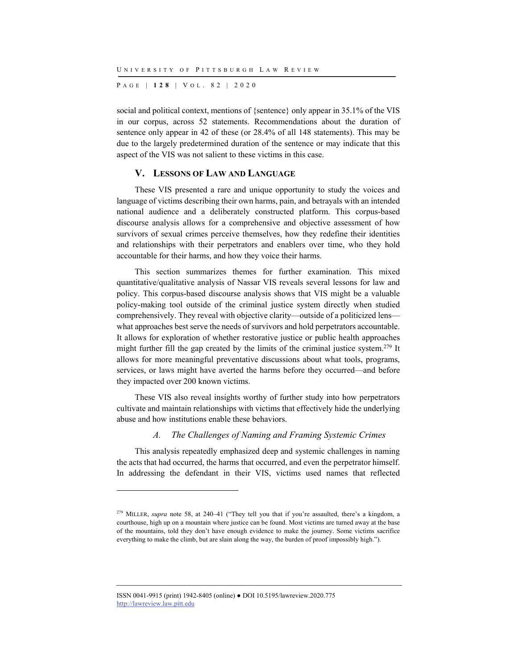P AGE | **128** | V O L . 8 2 | 2020

social and political context, mentions of {sentence} only appear in 35.1% of the VIS in our corpus, across 52 statements. Recommendations about the duration of sentence only appear in 42 of these (or 28.4% of all 148 statements). This may be due to the largely predetermined duration of the sentence or may indicate that this aspect of the VIS was not salient to these victims in this case.

## **V. LESSONS OF LAW AND LANGUAGE**

These VIS presented a rare and unique opportunity to study the voices and language of victims describing their own harms, pain, and betrayals with an intended national audience and a deliberately constructed platform. This corpus-based discourse analysis allows for a comprehensive and objective assessment of how survivors of sexual crimes perceive themselves, how they redefine their identities and relationships with their perpetrators and enablers over time, who they hold accountable for their harms, and how they voice their harms.

This section summarizes themes for further examination. This mixed quantitative/qualitative analysis of Nassar VIS reveals several lessons for law and policy. This corpus-based discourse analysis shows that VIS might be a valuable policy-making tool outside of the criminal justice system directly when studied comprehensively. They reveal with objective clarity—outside of a politicized lens what approaches best serve the needs of survivors and hold perpetrators accountable. It allows for exploration of whether restorative justice or public health approaches might further fill the gap created by the limits of the criminal justice system.<sup>279</sup> It allows for more meaningful preventative discussions about what tools, programs, services, or laws might have averted the harms before they occurred—and before they impacted over 200 known victims.

These VIS also reveal insights worthy of further study into how perpetrators cultivate and maintain relationships with victims that effectively hide the underlying abuse and how institutions enable these behaviors.

## *A. The Challenges of Naming and Framing Systemic Crimes*

This analysis repeatedly emphasized deep and systemic challenges in naming the acts that had occurred, the harms that occurred, and even the perpetrator himself. In addressing the defendant in their VIS, victims used names that reflected

ISSN 0041-9915 (print) 1942-8405 (online) ● DOI 10.5195/lawreview.2020.775 http://lawreview.law.pitt.edu

<sup>&</sup>lt;sup>279</sup> MILLER, *supra* note 58, at 240-41 ("They tell you that if you're assaulted, there's a kingdom, a courthouse, high up on a mountain where justice can be found. Most victims are turned away at the base of the mountains, told they don't have enough evidence to make the journey. Some victims sacrifice everything to make the climb, but are slain along the way, the burden of proof impossibly high.").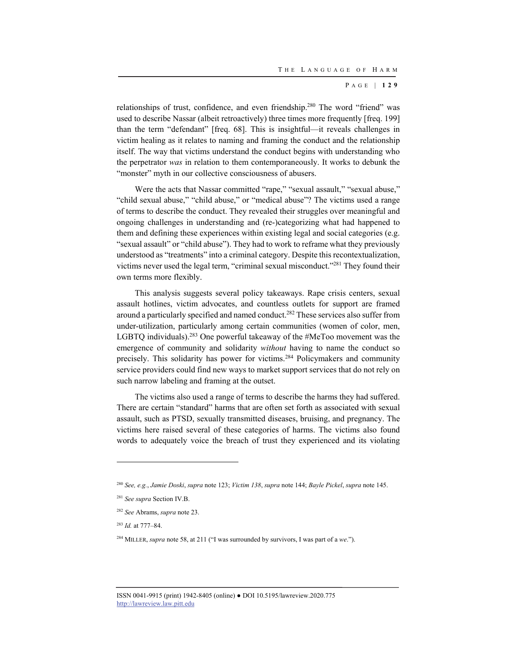relationships of trust, confidence, and even friendship.280 The word "friend" was used to describe Nassar (albeit retroactively) three times more frequently [freq. 199] than the term "defendant" [freq. 68]. This is insightful—it reveals challenges in victim healing as it relates to naming and framing the conduct and the relationship itself. The way that victims understand the conduct begins with understanding who the perpetrator *was* in relation to them contemporaneously. It works to debunk the "monster" myth in our collective consciousness of abusers.

Were the acts that Nassar committed "rape," "sexual assault," "sexual abuse," "child sexual abuse," "child abuse," or "medical abuse"? The victims used a range of terms to describe the conduct. They revealed their struggles over meaningful and ongoing challenges in understanding and (re-)categorizing what had happened to them and defining these experiences within existing legal and social categories (e.g. "sexual assault" or "child abuse"). They had to work to reframe what they previously understood as "treatments" into a criminal category. Despite this recontextualization, victims never used the legal term, "criminal sexual misconduct."281 They found their own terms more flexibly.

This analysis suggests several policy takeaways. Rape crisis centers, sexual assault hotlines, victim advocates, and countless outlets for support are framed around a particularly specified and named conduct.282 These services also suffer from under-utilization, particularly among certain communities (women of color, men, LGBTQ individuals).<sup>283</sup> One powerful takeaway of the #MeToo movement was the emergence of community and solidarity *without* having to name the conduct so precisely. This solidarity has power for victims.284 Policymakers and community service providers could find new ways to market support services that do not rely on such narrow labeling and framing at the outset.

The victims also used a range of terms to describe the harms they had suffered. There are certain "standard" harms that are often set forth as associated with sexual assault, such as PTSD, sexually transmitted diseases, bruising, and pregnancy. The victims here raised several of these categories of harms. The victims also found words to adequately voice the breach of trust they experienced and its violating

<sup>283</sup> *Id.* at 777–84.

<sup>280</sup> *See, e.g.*, *Jamie Doski*, *supra* note 123; *Victim 138*, *supra* note 144; *Bayle Pickel*, *supra* note 145.

<sup>281</sup> *See supra* Section IV.B.

<sup>282</sup> *See* Abrams, *supra* note 23.

<sup>284</sup> MILLER, *supra* note 58, at 211 ("I was surrounded by survivors, I was part of a *we*.").

ISSN 0041-9915 (print) 1942-8405 (online) ● DOI 10.5195/lawreview.2020.775 http://lawreview.law.pitt.edu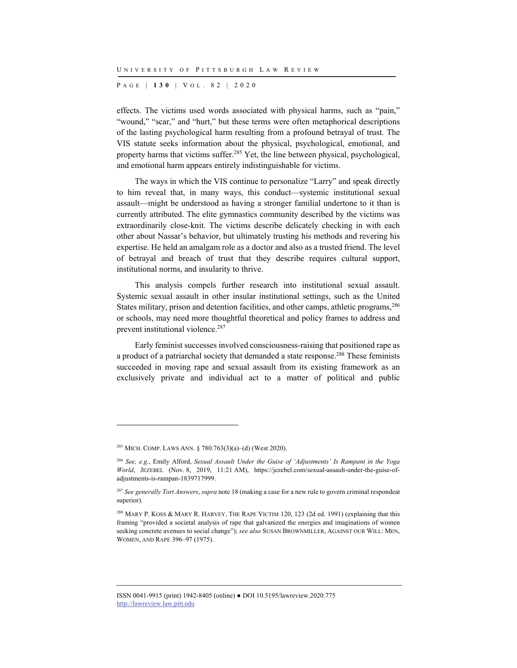P AGE | **130** | V O L . 8 2 | 2020

effects. The victims used words associated with physical harms, such as "pain," "wound," "scar," and "hurt," but these terms were often metaphorical descriptions of the lasting psychological harm resulting from a profound betrayal of trust. The VIS statute seeks information about the physical, psychological, emotional, and property harms that victims suffer.285 Yet, the line between physical, psychological, and emotional harm appears entirely indistinguishable for victims.

The ways in which the VIS continue to personalize "Larry" and speak directly to him reveal that, in many ways, this conduct—systemic institutional sexual assault—might be understood as having a stronger familial undertone to it than is currently attributed. The elite gymnastics community described by the victims was extraordinarily close-knit. The victims describe delicately checking in with each other about Nassar's behavior, but ultimately trusting his methods and revering his expertise. He held an amalgam role as a doctor and also as a trusted friend. The level of betrayal and breach of trust that they describe requires cultural support, institutional norms, and insularity to thrive.

This analysis compels further research into institutional sexual assault. Systemic sexual assault in other insular institutional settings, such as the United States military, prison and detention facilities, and other camps, athletic programs, <sup>286</sup> or schools, may need more thoughtful theoretical and policy frames to address and prevent institutional violence.287

Early feminist successes involved consciousness-raising that positioned rape as a product of a patriarchal society that demanded a state response.288 These feminists succeeded in moving rape and sexual assault from its existing framework as an exclusively private and individual act to a matter of political and public

l

<sup>285</sup> MICH. COMP. LAWS ANN. § 780.763(3)(a)–(d) (West 2020).

<sup>286</sup> *See, e.g.*, Emily Alford, *Sexual Assault Under the Guise of 'Adjustments' Is Rampant in the Yoga World*, JEZEBEL (Nov. 8, 2019, 11:21 AM), https://jezebel.com/sexual-assault-under-the-guise-ofadjustments-is-rampan-1839717999.

<sup>287</sup> *See generally Tort Answers*, *supra* note 18 (making a case for a new rule to govern criminal respondeat superior).

<sup>&</sup>lt;sup>288</sup> MARY P. KOSS & MARY R. HARVEY, THE RAPE VICTIM 120, 123 (2d ed. 1991) (explaining that this framing "provided a societal analysis of rape that galvanized the energies and imaginations of women seeking concrete avenues to social change"); *see also* SUSAN BROWNMILLER, AGAINST OUR WILL: MEN, WOMEN, AND RAPE 396–97 (1975).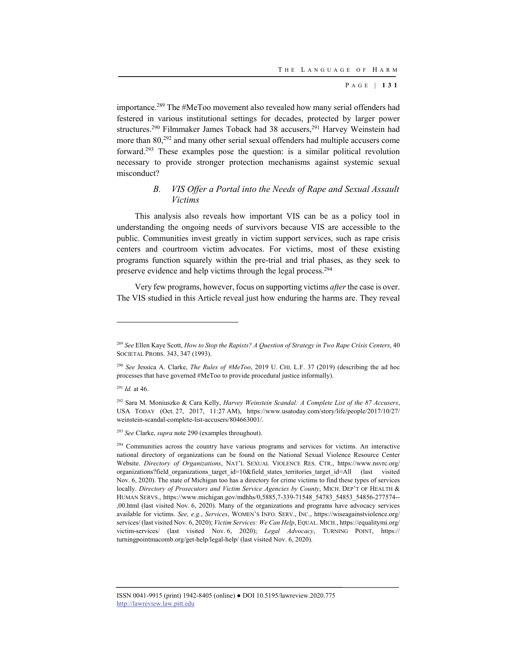importance.289 The #MeToo movement also revealed how many serial offenders had festered in various institutional settings for decades, protected by larger power structures.<sup>290</sup> Filmmaker James Toback had 38 accusers,<sup>291</sup> Harvey Weinstein had more than 80,292 and many other serial sexual offenders had multiple accusers come forward.293 These examples pose the question: is a similar political revolution necessary to provide stronger protection mechanisms against systemic sexual misconduct?

# *B. VIS Offer a Portal into the Needs of Rape and Sexual Assault Victims*

This analysis also reveals how important VIS can be as a policy tool in understanding the ongoing needs of survivors because VIS are accessible to the public. Communities invest greatly in victim support services, such as rape crisis centers and courtroom victim advocates. For victims, most of these existing programs function squarely within the pre-trial and trial phases, as they seek to preserve evidence and help victims through the legal process.294

Very few programs, however, focus on supporting victims *after* the case is over. The VIS studied in this Article reveal just how enduring the harms are. They reveal

<sup>291</sup> *Id.* at 46.

l

<sup>293</sup> *See* Clarke, *supra* note 290 (examples throughout).

<sup>289</sup> *See* Ellen Kaye Scott, *How to Stop the Rapists? A Question of Strategy in Two Rape Crisis Centers*, 40 SOCIETAL PROBS. 343, 347 (1993).

<sup>290</sup> *See* Jessica A. Clarke, *The Rules of #MeToo*, 2019 U. CHI. L.F. 37 (2019) (describing the ad hoc processes that have governed #MeToo to provide procedural justice informally).

<sup>292</sup> Sara M. Moniuszko & Cara Kelly, *Harvey Weinstein Scandal: A Complete List of the 87 Accusers*, USA TODAY (Oct. 27, 2017, 11:27 AM), https://www.usatoday.com/story/life/people/2017/10/27/ weinstein-scandal-complete-list-accusers/804663001/.

<sup>&</sup>lt;sup>294</sup> Communities across the country have various programs and services for victims. An interactive national directory of organizations can be found on the National Sexual Violence Resource Center Website. *Directory of Organizations*, NAT'L SEXUAL VIOLENCE RES. CTR., https://www.nsvrc.org/ organizations?field\_organizations\_target\_id=10&field\_states\_territories\_target\_id=All (last visited Nov. 6, 2020). The state of Michigan too has a directory for crime victims to find these types of services locally. *Directory of Prosecutors and Victim Service Agencies by County*, MICH. DEP'T OF HEALTH & HUMAN SERVS., https://www.michigan.gov/mdhhs/0,5885,7-339-71548\_54783\_54853\_54856-277574-- ,00.html (last visited Nov. 6, 2020). Many of the organizations and programs have advocacy services available for victims. *See, e.g.*, *Services*, WOMEN'S INFO. SERV., INC., https://wiseagainstviolence.org/ services/ (last visited Nov. 6, 2020); *Victim Services: We Can Help*, EQUAL. MICH., https://equalitymi.org/ victim-services/ (last visited Nov. 6, 2020); *Legal Advocacy*, TURNING POINT, https:// turningpointmacomb.org/get-help/legal-help/ (last visited Nov. 6, 2020).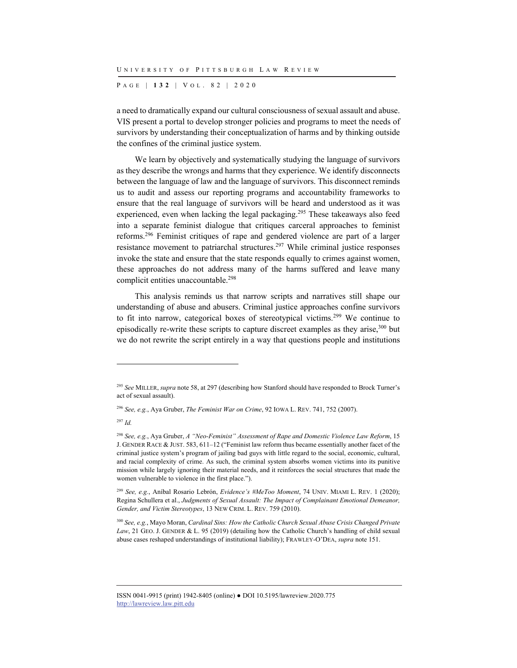P AGE | **132** | V O L . 8 2 | 2020

a need to dramatically expand our cultural consciousness of sexual assault and abuse. VIS present a portal to develop stronger policies and programs to meet the needs of survivors by understanding their conceptualization of harms and by thinking outside the confines of the criminal justice system.

We learn by objectively and systematically studying the language of survivors as they describe the wrongs and harms that they experience. We identify disconnects between the language of law and the language of survivors. This disconnect reminds us to audit and assess our reporting programs and accountability frameworks to ensure that the real language of survivors will be heard and understood as it was experienced, even when lacking the legal packaging.<sup>295</sup> These takeaways also feed into a separate feminist dialogue that critiques carceral approaches to feminist reforms.296 Feminist critiques of rape and gendered violence are part of a larger resistance movement to patriarchal structures.297 While criminal justice responses invoke the state and ensure that the state responds equally to crimes against women, these approaches do not address many of the harms suffered and leave many complicit entities unaccountable.<sup>298</sup>

This analysis reminds us that narrow scripts and narratives still shape our understanding of abuse and abusers. Criminal justice approaches confine survivors to fit into narrow, categorical boxes of stereotypical victims.299 We continue to episodically re-write these scripts to capture discreet examples as they arise,<sup>300</sup> but we do not rewrite the script entirely in a way that questions people and institutions

<sup>297</sup> *Id.*

l

<sup>295</sup> *See* MILLER, *supra* note 58, at 297 (describing how Stanford should have responded to Brock Turner's act of sexual assault).

<sup>296</sup> *See, e.g.*, Aya Gruber, *The Feminist War on Crime*, 92 IOWA L. REV. 741, 752 (2007).

<sup>298</sup> *See, e.g.*, Aya Gruber, *A "Neo-Feminist" Assessment of Rape and Domestic Violence Law Reform*, 15 J. GENDER RACE & JUST. 583, 611–12 ("Feminist law reform thus became essentially another facet of the criminal justice system's program of jailing bad guys with little regard to the social, economic, cultural, and racial complexity of crime. As such, the criminal system absorbs women victims into its punitive mission while largely ignoring their material needs, and it reinforces the social structures that made the women vulnerable to violence in the first place.").

<sup>299</sup> *See, e.g.*, Aníbal Rosario Lebrón, *Evidence's #MeToo Moment*, 74 UNIV. MIAMI L. REV. 1 (2020); Regina Schullera et al., *Judgments of Sexual Assault: The Impact of Complainant Emotional Demeanor, Gender, and Victim Stereotypes*, 13 NEW CRIM. L. REV. 759 (2010).

<sup>300</sup> *See, e.g.*, Mayo Moran, *Cardinal Sins: How the Catholic Church Sexual Abuse Crisis Changed Private*  Law, 21 GEO. J. GENDER & L. 95 (2019) (detailing how the Catholic Church's handling of child sexual abuse cases reshaped understandings of institutional liability); FRAWLEY-O'DEA, *supra* note 151.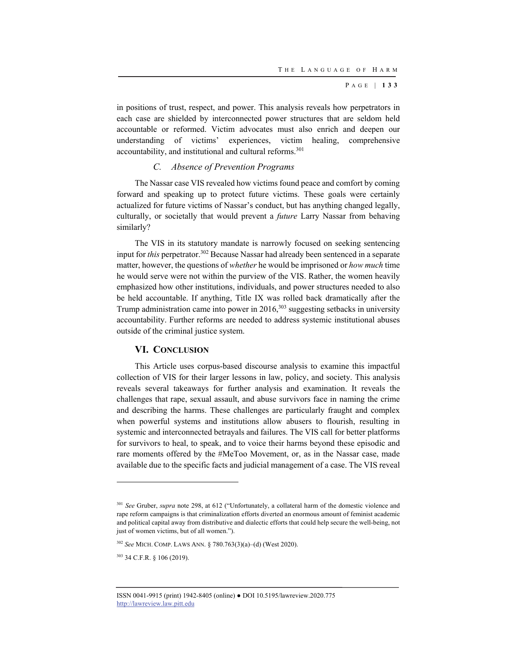in positions of trust, respect, and power. This analysis reveals how perpetrators in each case are shielded by interconnected power structures that are seldom held accountable or reformed. Victim advocates must also enrich and deepen our understanding of victims' experiences, victim healing, comprehensive accountability, and institutional and cultural reforms.301

## *C. Absence of Prevention Programs*

The Nassar case VIS revealed how victims found peace and comfort by coming forward and speaking up to protect future victims. These goals were certainly actualized for future victims of Nassar's conduct, but has anything changed legally, culturally, or societally that would prevent a *future* Larry Nassar from behaving similarly?

The VIS in its statutory mandate is narrowly focused on seeking sentencing input for *this* perpetrator.302 Because Nassar had already been sentenced in a separate matter, however, the questions of *whether* he would be imprisoned or *how much* time he would serve were not within the purview of the VIS. Rather, the women heavily emphasized how other institutions, individuals, and power structures needed to also be held accountable. If anything, Title IX was rolled back dramatically after the Trump administration came into power in  $2016$ ,  $303$  suggesting setbacks in university accountability. Further reforms are needed to address systemic institutional abuses outside of the criminal justice system.

## **VI. CONCLUSION**

This Article uses corpus-based discourse analysis to examine this impactful collection of VIS for their larger lessons in law, policy, and society. This analysis reveals several takeaways for further analysis and examination. It reveals the challenges that rape, sexual assault, and abuse survivors face in naming the crime and describing the harms. These challenges are particularly fraught and complex when powerful systems and institutions allow abusers to flourish, resulting in systemic and interconnected betrayals and failures. The VIS call for better platforms for survivors to heal, to speak, and to voice their harms beyond these episodic and rare moments offered by the #MeToo Movement, or, as in the Nassar case, made available due to the specific facts and judicial management of a case. The VIS reveal

<sup>301</sup> *See* Gruber, *supra* note 298, at 612 ("Unfortunately, a collateral harm of the domestic violence and rape reform campaigns is that criminalization efforts diverted an enormous amount of feminist academic and political capital away from distributive and dialectic efforts that could help secure the well-being, not just of women victims, but of all women.").

<sup>302</sup> *See* MICH. COMP. LAWS ANN. § 780.763(3)(a)–(d) (West 2020).

<sup>303 34</sup> C.F.R. § 106 (2019).

ISSN 0041-9915 (print) 1942-8405 (online) ● DOI 10.5195/lawreview.2020.775 http://lawreview.law.pitt.edu